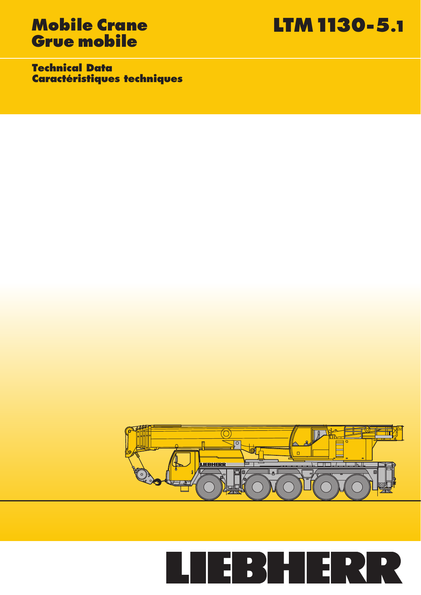# **Grue mobile**

**Mobile Crane LTM 1130-5.1**

**Technical Data Caractéristiques techniques**



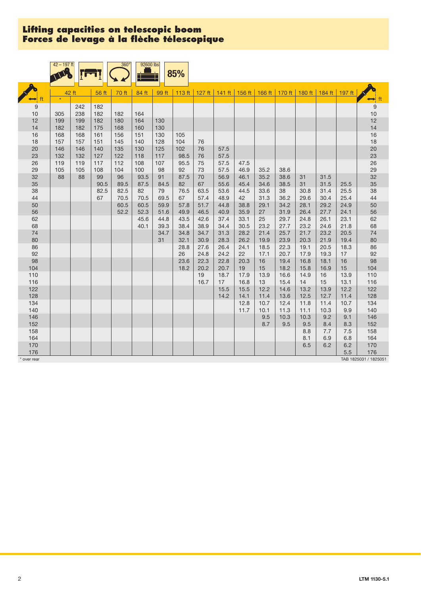|            | $42 - 197$ ft |           |           | 360°      | 92600 lbs    |          | 85%        |            |                                                                                |              |              |              |            |          |              |                       |
|------------|---------------|-----------|-----------|-----------|--------------|----------|------------|------------|--------------------------------------------------------------------------------|--------------|--------------|--------------|------------|----------|--------------|-----------------------|
|            |               | 42 ft     | 56 ft     | 70 ft     | 84 ft        | 99 ft    |            |            | 113 ft   127 ft   141 ft   156 ft   166 ft   170 ft   180 ft   184 ft   197 ft |              |              |              |            |          |              |                       |
|            |               |           |           |           |              |          |            |            |                                                                                |              |              |              |            |          |              | $\leftrightarrow$ ft  |
| 9          |               | 242       | 182       |           |              |          |            |            |                                                                                |              |              |              |            |          |              | $9\,$                 |
| 10         | 305           | 238       | 182       | 182       | 164          |          |            |            |                                                                                |              |              |              |            |          |              | 10                    |
| 12         | 199           | 199       | 182       | 180       | 164          | 130      |            |            |                                                                                |              |              |              |            |          |              | 12                    |
| 14         | 182           | 182       | 175       | 168       | 160          | 130      |            |            |                                                                                |              |              |              |            |          |              | 14                    |
| 16         | 168           | 168       | 161       | 156       | 151          | 130      | 105        |            |                                                                                |              |              |              |            |          |              | 16                    |
| 18         | 157           | 157       | 151       | 145       | 140          | 128      | 104        | 76         |                                                                                |              |              |              |            |          |              | 18                    |
| 20         | 146           | 146       | 140       | 135       | 130          | 125      | 102        | 76         | 57.5                                                                           |              |              |              |            |          |              | 20                    |
| 23         | 132           | 132       | 127       | 122       | 118          | 117      | 98.5       | 76         | 57.5                                                                           |              |              |              |            |          |              | 23                    |
| 26         | 119           | 119       | 117       | 112       | 108          | 107      | 95.5       | 75         | 57.5                                                                           | 47.5         |              |              |            |          |              | 26                    |
| 29         | 105<br>88     | 105<br>88 | 108<br>99 | 104<br>96 | 100          | 98<br>91 | 92<br>87.5 | 73<br>70   | 57.5<br>56.9                                                                   | 46.9<br>46.1 | 35.2<br>35.2 | 38.6<br>38.6 |            | 31.5     |              | 29<br>32              |
| 32<br>35   |               |           | 90.5      | 89.5      | 93.5<br>87.5 | 84.5     | 82         | 67         | 55.6                                                                           | 45.4         | 34.6         | 38.5         | 31<br>31   | 31.5     | 25.5         | 35                    |
| 38         |               |           | 82.5      | 82.5      | 82           | 79       | 76.5       | 63.5       | 53.6                                                                           | 44.5         | 33.6         | 38           | 30.8       | 31.4     | 25.5         | 38                    |
| 44         |               |           | 67        | 70.5      | 70.5         | 69.5     | 67         | 57.4       | 48.9                                                                           | 42           | 31.3         | 36.2         | 29.6       | 30.4     | 25.4         | 44                    |
| 50         |               |           |           | 60.5      | 60.5         | 59.9     | 57.8       | 51.7       | 44.8                                                                           | 38.8         | 29.1         | 34.2         | 28.1       | 29.2     | 24.9         | 50                    |
| 56         |               |           |           | 52.2      | 52.3         | 51.6     | 49.9       | 46.5       | 40.9                                                                           | 35.9         | 27           | 31.9         | 26.4       | 27.7     | 24.1         | 56                    |
| 62         |               |           |           |           | 45.6         | 44.8     | 43.5       | 42.6       | 37.4                                                                           | 33.1         | 25           | 29.7         | 24.8       | 26.1     | 23.1         | 62                    |
| 68         |               |           |           |           | 40.1         | 39.3     | 38.4       | 38.9       | 34.4                                                                           | 30.5         | 23.2         | 27.7         | 23.2       | 24.6     | 21.8         | 68                    |
| 74         |               |           |           |           |              | 34.7     | 34.8       | 34.7       | 31.3                                                                           | 28.2         | 21.4         | 25.7         | 21.7       | 23.2     | 20.5         | 74                    |
| 80         |               |           |           |           |              | 31       | 32.1       | 30.9       | 28.3                                                                           | 26.2         | 19.9         | 23.9         | 20.3       | 21.9     | 19.4         | 80                    |
| 86         |               |           |           |           |              |          | 28.8       | 27.6       | 26.4                                                                           | 24.1         | 18.5         | 22.3         | 19.1       | 20.5     | 18.3         | 86                    |
| 92         |               |           |           |           |              |          | 26         | 24.8       | 24.2                                                                           | 22           | 17.1         | 20.7         | 17.9       | 19.3     | 17           | 92                    |
| 98         |               |           |           |           |              |          | 23.6       | 22.3       | 22.8                                                                           | 20.3         | 16           | 19.4         | 16.8       | 18.1     | 16           | 98                    |
| 104        |               |           |           |           |              |          | 18.2       | 20.2       | 20.7                                                                           | 19           | 15           | 18.2         | 15.8       | 16.9     | 15           | 104                   |
| 110<br>116 |               |           |           |           |              |          |            | 19<br>16.7 | 18.7<br>17                                                                     | 17.9<br>16.8 | 13.9<br>13   | 16.6<br>15.4 | 14.9<br>14 | 16<br>15 | 13.9<br>13.1 | 110<br>116            |
| 122        |               |           |           |           |              |          |            |            | 15.5                                                                           | 15.5         | 12.2         | 14.6         | 13.2       | 13.9     | 12.2         | 122                   |
| 128        |               |           |           |           |              |          |            |            | 14.2                                                                           | 14.1         | 11.4         | 13.6         | 12.5       | 12.7     | 11.4         | 128                   |
| 134        |               |           |           |           |              |          |            |            |                                                                                | 12.8         | 10.7         | 12.4         | 11.8       | 11.4     | 10.7         | 134                   |
| 140        |               |           |           |           |              |          |            |            |                                                                                | 11.7         | 10.1         | 11.3         | 11.1       | 10.3     | 9.9          | 140                   |
| 146        |               |           |           |           |              |          |            |            |                                                                                |              | 9.5          | 10.3         | 10.3       | 9.2      | 9.1          | 146                   |
| 152        |               |           |           |           |              |          |            |            |                                                                                |              | 8.7          | 9.5          | 9.5        | 8.4      | 8.3          | 152                   |
| 158        |               |           |           |           |              |          |            |            |                                                                                |              |              |              | 8.8        | 7.7      | 7.5          | 158                   |
| 164        |               |           |           |           |              |          |            |            |                                                                                |              |              |              | 8.1        | 6.9      | 6.8          | 164                   |
| 170        |               |           |           |           |              |          |            |            |                                                                                |              |              |              | 6.5        | 6.2      | 6.2          | 170                   |
| 176        |               |           |           |           |              |          |            |            |                                                                                |              |              |              |            |          | 5.5          | 176                   |
| over rear  |               |           |           |           |              |          |            |            |                                                                                |              |              |              |            |          |              | TAB 1825031 / 1825051 |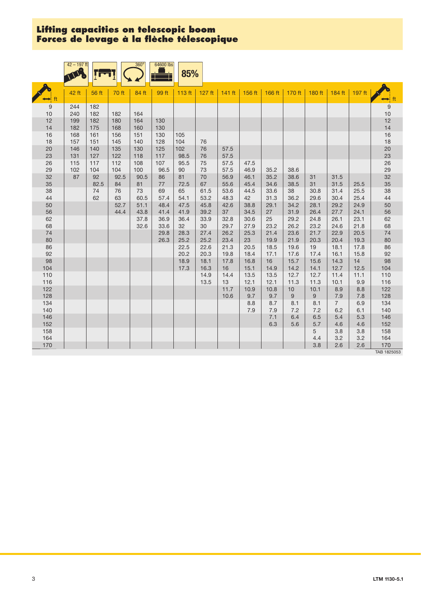|            | $42 - 197$ ft |            |            | $360^\circ$ | 64600 lbs   | 85%        |          |              |              |            |            |            |                        |            |                      |
|------------|---------------|------------|------------|-------------|-------------|------------|----------|--------------|--------------|------------|------------|------------|------------------------|------------|----------------------|
|            | 42 ft         | 56 ft      | 70 ft      | 84 ft       | 99 ft       | 113 ft     | $127$ ft | $141$ ft     | 156 ft       | 166 ft     | 170 ft     | 180 ft     | 184 ft                 | $197$ ft   | $\leftrightarrow$ ft |
| 9          | 244           | 182        |            |             |             |            |          |              |              |            |            |            |                        |            | $\boldsymbol{9}$     |
| 10         | 240           | 182        | 182        | 164         |             |            |          |              |              |            |            |            |                        |            | 10                   |
| 12         | 199           | 182        | 180        | 164         | 130         |            |          |              |              |            |            |            |                        |            | 12                   |
| 14         | 182           | 175        | 168        | 160         | 130         |            |          |              |              |            |            |            |                        |            | 14                   |
| 16         | 168           | 161        | 156        | 151         | 130         | 105        |          |              |              |            |            |            |                        |            | 16                   |
| 18         | 157           | 151        | 145        | 140         | 128         | 104        | 76       |              |              |            |            |            |                        |            | 18                   |
| 20         | 146           | 140        | 135        | 130         | 125         | 102        | 76       | 57.5         |              |            |            |            |                        |            | 20                   |
| 23         | 131           | 127        | 122        | 118         | 117         | 98.5       | 76       | 57.5         |              |            |            |            |                        |            | 23                   |
| 26<br>29   | 115<br>102    | 117<br>104 | 112<br>104 | 108<br>100  | 107<br>96.5 | 95.5<br>90 | 75<br>73 | 57.5<br>57.5 | 47.5<br>46.9 | 35.2       | 38.6       |            |                        |            | 26<br>29             |
| 32         | 87            | 92         | 92.5       | 90.5        | 86          | 81         | 70       | 56.9         | 46.1         | 35.2       | 38.6       | 31         | 31.5                   |            | 32                   |
| 35         |               | 82.5       | 84         | 81          | 77          | 72.5       | 67       | 55.6         | 45.4         | 34.6       | 38.5       | 31         | 31.5                   | 25.5       | 35                   |
| 38         |               | 74         | 76         | 73          | 69          | 65         | 61.5     | 53.6         | 44.5         | 33.6       | 38         | 30.8       | 31.4                   | 25.5       | 38                   |
| 44         |               | 62         | 63         | 60.5        | 57.4        | 54.1       | 53.2     | 48.3         | 42           | 31.3       | 36.2       | 29.6       | 30.4                   | 25.4       | 44                   |
| 50         |               |            | 52.7       | 51.1        | 48.4        | 47.5       | 45.8     | 42.6         | 38.8         | 29.1       | 34.2       | 28.1       | 29.2                   | 24.9       | 50                   |
| 56         |               |            | 44.4       | 43.8        | 41.4        | 41.9       | 39.2     | 37           | 34.5         | 27         | 31.9       | 26.4       | 27.7                   | 24.1       | 56                   |
| 62         |               |            |            | 37.8        | 36.9        | 36.4       | 33.9     | 32.8         | 30.6         | 25         | 29.2       | 24.8       | 26.1                   | 23.1       | 62                   |
| 68         |               |            |            | 32.6        | 33.6        | 32         | 30       | 29.7         | 27.9         | 23.2       | 26.2       | 23.2       | 24.6                   | 21.8       | 68                   |
| 74         |               |            |            |             | 29.8        | 28.3       | 27.4     | 26.2         | 25.3         | 21.4       | 23.6       | 21.7       | 22.9                   | 20.5       | 74                   |
| 80         |               |            |            |             | 26.3        | 25.2       | 25.2     | 23.4         | 23           | 19.9       | 21.9       | 20.3       | 20.4                   | 19.3       | 80                   |
| 86         |               |            |            |             |             | 22.5       | 22.6     | 21.3         | 20.5         | 18.5       | 19.6       | 19         | 18.1                   | 17.8       | 86                   |
| 92         |               |            |            |             |             | 20.2       | 20.3     | 19.8         | 18.4         | 17.1       | 17.6       | 17.4       | 16.1                   | 15.8       | 92                   |
| 98         |               |            |            |             |             | 18.9       | 18.1     | 17.8         | 16.8         | 16         | 15.7       | 15.6       | 14.3                   | 14         | 98                   |
| 104        |               |            |            |             |             | 17.3       | 16.3     | 16           | 15.1         | 14.9       | 14.2       | 14.1       | 12.7                   | 12.5       | 104                  |
| 110        |               |            |            |             |             |            | 14.9     | 14.4         | 13.5         | 13.5       | 12.7       | 12.7       | 11.4                   | 11.1       | 110                  |
| 116        |               |            |            |             |             |            | 13.5     | 13           | 12.1         | 12.1       | 11.3       | 11.3       | 10.1                   | 9.9        | 116                  |
| 122        |               |            |            |             |             |            |          | 11.7         | 10.9         | 10.8       | 10         | 10.1       | 8.9                    | 8.8        | 122                  |
| 128<br>134 |               |            |            |             |             |            |          | 10.6         | 9.7          | 9.7<br>8.7 | 9          | $9\,$      | 7.9<br>$7\overline{ }$ | 7.8<br>6.9 | 128<br>134           |
| 140        |               |            |            |             |             |            |          |              | 8.8<br>7.9   | 7.9        | 8.1<br>7.2 | 8.1<br>7.2 | 6.2                    | 6.1        | 140                  |
| 146        |               |            |            |             |             |            |          |              |              | 7.1        | 6.4        | 6.5        | 5.4                    | 5.3        | 146                  |
| 152        |               |            |            |             |             |            |          |              |              | 6.3        | 5.6        | $5.7\,$    | 4.6                    | 4.6        | 152                  |
| 158        |               |            |            |             |             |            |          |              |              |            |            | 5          | 3.8                    | 3.8        | 158                  |
| 164        |               |            |            |             |             |            |          |              |              |            |            | 4.4        | 3.2                    | 3.2        | 164                  |
| 170        |               |            |            |             |             |            |          |              |              |            |            | 3.8        | 2.6                    | 2.6        | 170                  |
|            |               |            |            |             |             |            |          |              |              |            |            |            |                        |            | TAB 1825053          |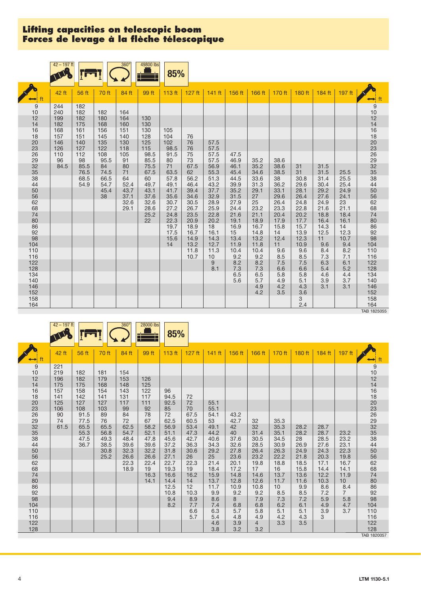|            | $42 - 197$ ft |              |              | $360^\circ$  | 49800 lbs    | 85%          |              |              |              |              |              |              |              |              |                                                    |
|------------|---------------|--------------|--------------|--------------|--------------|--------------|--------------|--------------|--------------|--------------|--------------|--------------|--------------|--------------|----------------------------------------------------|
|            | 42 ft         | 56 ft        | 70 ft        | 84 ft        | 99 ft        | 113 ft       | $127$ ft     | $141$ ft     | 156 ft       | 166 ft       | 170 ft       | 180 ft       | $184$ ft     | 197 ft       |                                                    |
| 9          | 244           | 182          |              |              |              |              |              |              |              |              |              |              |              |              | $\begin{array}{c} 9 \\ 10 \\ 12 \\ 14 \end{array}$ |
| 10<br>12   | 240<br>199    | 182<br>182   | 182<br>180   | 164<br>164   | 130          |              |              |              |              |              |              |              |              |              |                                                    |
| 14         | 182           | 175          | 168          | 160          | 130          |              |              |              |              |              |              |              |              |              |                                                    |
| 16         | 168           | 161          | 156          | 151          | 130          | 105          |              |              |              |              |              |              |              |              |                                                    |
| 18<br>20   | 157<br>146    | 151<br>140   | 145<br>135   | 140<br>130   | 128<br>125   | 104<br>102   | 76<br>76     | 57.5         |              |              |              |              |              |              |                                                    |
| 23         | 126           | 127          | 122          | 118          | 115          | 98.5         | 76           | 57.5         |              |              |              |              |              |              |                                                    |
| 26<br>29   | 110<br>96     | 112<br>98    | 108<br>95.5  | 105<br>91    | 98.5<br>85.5 | 91.5<br>80   | 75<br>73     | 57.5<br>57.5 | 47.5<br>46.9 | 35.2         | 38.6         |              |              |              | 16<br>18<br>20<br>23<br>26<br>32<br>33<br>34<br>4  |
| 32         | 84.5          | 85.5         | 84           | 80           | 75.5         | 71           | 67.5         | 56.9         | 46.1         | 35.2         | 38.6         | 31           | 31.5         |              |                                                    |
| 35         |               | 76.5         | 74.5         | 71           | 67.5         | 63.5         | 62           | 55.3         | 45.4         | 34.6         | 38.5         | 31           | 31.5         | 25.5         |                                                    |
| 38<br>44   |               | 68.5<br>54.9 | 66.5<br>54.7 | 64<br>52.4   | 60<br>49.7   | 57.8<br>49.1 | 56.2<br>46.4 | 51.3<br>43.2 | 44.5<br>39.9 | 33.6<br>31.3 | 38<br>36.2   | 30.8<br>29.6 | 31.4<br>30.4 | 25.5<br>25.4 |                                                    |
| 50         |               |              | 45.4         | 43.7         | 43.1         | 41.7         | 39.4         | 37.7         | 35.2         | 29.1         | 33.1         | 28.1         | 29.2         | 24.9         |                                                    |
| 56         |               |              | 38           | 37.1         | 37.6         | 35.6         | 34.6         | 32.9         | 31.5         | 27           | 29.6         | 26.4         | 27.6         | 24.1         | 50<br>56<br>62                                     |
| 62<br>68   |               |              |              | 32.6<br>29.1 | 32.6<br>28.6 | 30.7<br>27.2 | 30.5<br>26.7 | 28.9<br>25.9 | 27.9<br>24.4 | 25<br>23.2   | 26.4<br>23.3 | 24.8<br>22.8 | 24.9<br>21.6 | 23<br>21.1   | 68                                                 |
| 74         |               |              |              |              | 25.2         | 24.8         | 23.5         | 22.8         | 21.6         | 21.1         | 20.4         | 20.2         | 18.8         | 18.4         | 74                                                 |
| 80         |               |              |              |              | 22           | 22.3         | 20.9         | 20.2         | 19.1         | 18.9         | 17.9         | 17.7         | 16.4         | 16.1         |                                                    |
| 86         |               |              |              |              |              | 19.7         | 18.9         | 18           | 16.9         | 16.7         | 15.8         | 15.7         | 14.3         | 14           | $80$<br>$86$<br>$92$<br>$98$                       |
| 92         |               |              |              |              |              | 17.5         | 16.7         | 16.1         | 15           | 14.8         | 14           | 13.9         | 12.5         | 12.3         |                                                    |
| 98<br>104  |               |              |              |              |              | 15.6<br>14   | 14.9<br>13.2 | 14.3<br>12.7 | 13.4<br>11.9 | 13.2<br>11.8 | 12.4<br>11   | 12.3<br>10.9 | 11<br>9.6    | 10.7<br>9.4  | 104                                                |
| 110        |               |              |              |              |              |              | 11.8         | 11.3         | 10.4         | 10.4         | 9.6          | 9.6          | 8.4          | 8.2          | 110                                                |
| 116        |               |              |              |              |              |              | 10.7         | 10           | 9.2          | 9.2          | 8.5          | 8.5          | 7.3          | 7.1          | 116                                                |
| 122        |               |              |              |              |              |              |              | $9$          | 8.2          | 8.2          | 7.5          | 7.5          | 6.3          | 6.1          | 122                                                |
| 128        |               |              |              |              |              |              |              | 8.1          | 7.3          | 7.3          | 6.6          | 6.6          | 5.4          | 5.2          | 128                                                |
| 134<br>140 |               |              |              |              |              |              |              |              | 6.5<br>5.6   | 6.5<br>5.7   | 5.8<br>4.9   | 5.8<br>5.1   | 4.6<br>3.9   | 4.4<br>3.7   | 134<br>140                                         |
| 146        |               |              |              |              |              |              |              |              |              | 4.9          | 4.2          | 4.3          | 3.1          | 3.1          | 146                                                |
| 152        |               |              |              |              |              |              |              |              |              | 4.2          | 3.5          | 3.6          |              |              | 152                                                |
| 158        |               |              |              |              |              |              |              |              |              |              |              | 3            |              |              | 158                                                |
| 164        |               |              |              |              |              |              |              |              |              |              |              | 2.4          |              |              | 164                                                |

TAB 1825055

|                | $42 - 197$ ft |            |            | $360^\circ$  | $28000$ lbs  | 85%          |            |            |              |                |                 |              |              |                |                                                    |
|----------------|---------------|------------|------------|--------------|--------------|--------------|------------|------------|--------------|----------------|-----------------|--------------|--------------|----------------|----------------------------------------------------|
|                |               |            |            |              |              |              |            |            |              |                |                 |              |              |                |                                                    |
|                | 42 ft         | 56 ft      | 70 ft      | 84 ft        | 99 ft        | 113 ft       | $127$ ft   |            |              |                |                 | 180 ft       | 184 ft       |                |                                                    |
|                |               |            |            |              |              |              |            | $141$ ft   | 156 ft       | 166 ft         | 170 ft          |              |              | 197 ft         | $\rightarrow$                                      |
| 9              | 221           |            |            |              |              |              |            |            |              |                |                 |              |              |                |                                                    |
| 10             | 219           | 182        | 181        | 154          |              |              |            |            |              |                |                 |              |              |                | $\begin{array}{c} 9 \\ 10 \\ 12 \\ 14 \end{array}$ |
| 12             | 196           | 182        | 179        | 153          | 126          |              |            |            |              |                |                 |              |              |                |                                                    |
| 14             | 175           | 175        | 168        | 148          | 125          |              |            |            |              |                |                 |              |              |                |                                                    |
| 16<br>18       | 157<br>141    | 158<br>142 | 154<br>141 | 143<br>131   | 122<br>117   | 96<br>94.5   | 72         |            |              |                |                 |              |              |                | 16<br>18<br>20<br>23<br>26<br>32<br>33<br>33       |
| 20             | 125           | 127        | 127        | 117          | 111          | 92.5         | 72         | 55.1       |              |                |                 |              |              |                |                                                    |
| 23             | 106           | 108        | 103        | 99           | 92           | 85           | 70         | 55.1       |              |                |                 |              |              |                |                                                    |
| 26             | 90            | 91.5       | 89         | 84           | 78           | 72           | 67.5       | 54.1       | 43.2         |                |                 |              |              |                |                                                    |
| 29             | 74            | 77.5       | 76         | 72           | 67           | 62.5         | 60.5       | 53         | 42.7         | 32             | 35.3            |              |              |                |                                                    |
| $\frac{1}{32}$ | 61.5          | 65.5       | 65.5       | 62.5         | 58.2         | 56.9         | 53.4       | 49.1       | 42           | 32             | 35.3            | 28.2         | 28.7         |                |                                                    |
|                |               | 55.3       | 56.8       | 54.7         | 52.1         | 51.1         | 47.3       | 44.2       | 40           | 31.4           | 35.1            | 28.2         | 28.7         | 23.2           |                                                    |
| 38             |               | 47.5       | 49.3       | 48.4         | 47.8         | 45.6         | 42.7       | 40.6       | 37.6         | 30.5           | 34.5            | 28           | 28.5         | 23.2           |                                                    |
| 44             |               | 36.7       | 38.5       | 39.6         | 39.6         | 37.2         | 36.3       | 34.3       | 32.6         | 28.5           | 30.9            | 26.9         | 27.6         | 23.1           | 44                                                 |
| 50             |               |            | 30.8       | 32.3         | 32.2         | 31.8         | 30.6       | 29.2       | 27.8         | 26.4           | 26.3            | 24.9         | 24.3         | 22.3           | 50<br>56                                           |
| 56<br>62       |               |            | 25.2       | 26.6<br>22.3 | 26.6<br>22.4 | 27.1<br>22.7 | 26<br>22.3 | 25<br>21.4 | 23.6<br>20.1 | 23.2<br>19.8   | 22.2<br>18.8    | 21.8<br>18.5 | 20.3<br>17.1 | 19.8<br>16.7   |                                                    |
| 68             |               |            |            | 18.9         | 19           | 19.3         | 19         | 18.4       | 17.2         | 17             | 16              | 15.8         | 14.4         | 14.1           | 62<br>68                                           |
| 74             |               |            |            |              | 16.3         | 16.6         | 16.2       | 15.9       | 14.8         | 14.6           | 13.7            | 13.6         | 12.2         | 11.9           | 74                                                 |
| 80             |               |            |            |              | 14.1         | 14.4         | 14         | 13.7       | 12.8         | 12.6           | 11.7            | 11.6         | 10.3         | 10             |                                                    |
| 86             |               |            |            |              |              | 12.5         | 12         | 11.7       | 10.9         | 10.8           | 10 <sup>1</sup> | 9.9          | 8.6          | 8.4            | 80<br>86<br>92<br>98                               |
| 92             |               |            |            |              |              | 10.8         | 10.3       | 9.9        | 9.2          | 9.2            | 8.5             | 8.5          | 7.2          | $\overline{7}$ |                                                    |
| 98             |               |            |            |              |              | 9.4          | 8.9        | 8.6        | 8            | 7.9            | 7.3             | 7.2          | 5.9          | 5.8            |                                                    |
| 104            |               |            |            |              |              | 8.2          | 7.7        | 7.4        | 6.8          | 6.8            | 6.2             | 6.1          | 4.9          | 4.7            | 104                                                |
| 110            |               |            |            |              |              |              | 6.6        | 6.3        | 5.7          | 5.8            | 5.1             | 5.1          | 3.9          | 3.7            | 110                                                |
| 116            |               |            |            |              |              |              | 5.7        | 5.4        | 4.8          | 4.9            | 4.2             | 4.3          | 3            |                | 116                                                |
| 122            |               |            |            |              |              |              |            | 4.6        | 3.9          | $\overline{4}$ | 3.3             | 3.5          |              |                | 122                                                |
| 128            |               |            |            |              |              |              |            | 3.8        | 3.2          | 3.2            |                 |              |              |                | 128                                                |
|                |               |            |            |              |              |              |            |            |              |                |                 |              |              |                | TAB 1820057                                        |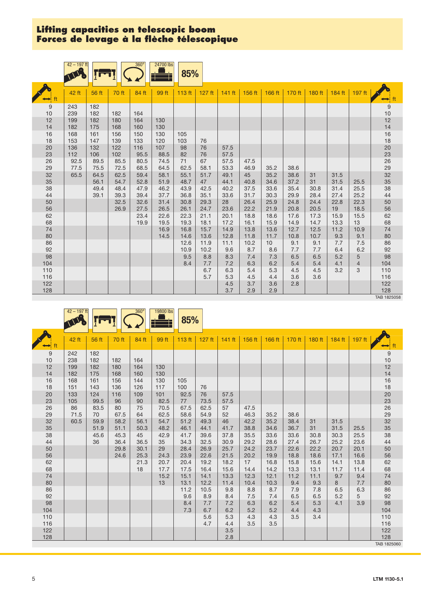|          | $42 - 197$ ft |       |       | $360^\circ$ | 24700 lbs | 85%         |             |            |            |            |            |            |            |          |                                  |
|----------|---------------|-------|-------|-------------|-----------|-------------|-------------|------------|------------|------------|------------|------------|------------|----------|----------------------------------|
|          | 42 ft         | 56 ft | 70 ft | 84 ft       | 99 ft     | 113 ft      | $127$ ft    | $141$ ft   | 156 ft     | 166 ft     | 170 ft     | 180 ft     | 184 ft     | $197$ ft | ⊷                                |
| $9\,$    | 243           | 182   |       |             |           |             |             |            |            |            |            |            |            |          | $\boldsymbol{9}$                 |
| 10       | 239           | 182   | 182   | 164         |           |             |             |            |            |            |            |            |            |          | 10                               |
| 12       | 199           | 182   | 180   | 164         | 130       |             |             |            |            |            |            |            |            |          | 12                               |
| 14       | 182           | 175   | 168   | 160         | 130       |             |             |            |            |            |            |            |            |          | 14                               |
| 16       | 168           | 161   | 156   | 150         | 130       | 105         |             |            |            |            |            |            |            |          | 16                               |
| 18       | 153           | 147   | 139   | 133         | 120       | 103         | 76          |            |            |            |            |            |            |          | 18                               |
| 20       | 136           | 132   | 122   | 116         | 107       | 98          | 76          | 57.5       |            |            |            |            |            |          | 20<br>23<br>26<br>29<br>29<br>32 |
| 23       | 112           | 106   | 102   | 95.5        | 88.5      | 82          | 76          | 57.5       |            |            |            |            |            |          |                                  |
| 26       | 92.5          | 89.5  | 85.5  | 80.5        | 74.5      | 71          | 67          | 57.5       | 47.5       |            |            |            |            |          |                                  |
| 29       | 77.5          | 75.5  | 72.5  | 68.5        | 64.5      | 62.5        | 58.1        | 53.3       | 46.9       | 35.2       | 38.6       |            |            |          |                                  |
| 32       | 65.5          | 64.5  | 62.5  | 59.4        | 58.1      | 55.1        | 51.7        | 49.1       | 45         | 35.2       | 38.6       | 31         | 31.5       |          |                                  |
| 35       |               | 56.1  | 54.7  | 52.8        | 51.9      | 48.7        | 47          | 44.1       | 40.8       | 34.6       | 37.2       | 31         | 31.5       | 25.5     | 35                               |
| 38       |               | 49.4  | 48.4  | 47.9        | 46.2      | 43.9        | 42.5        | 40.2       | 37.5       | 33.6       | 35.4       | 30.8       | 31.4       | 25.5     | 38                               |
| 44       |               | 39.1  | 39.3  | 39.4        | 37.7      | 36.8        | 35.1        | 33.6       | 31.7       | 30.3       | 29.9       | 28.4       | 27.4       | 25.2     | 44                               |
| 50       |               |       | 32.5  | 32.6        | 31.4      | 30.8        | 29.3        | 28         | 26.4       | 25.9       | 24.8       | 24.4       | 22.8       | 22.3     | 50                               |
| 56       |               |       | 26.9  | 27.5        | 26.5      | 26.1        | 24.7        | 23.6       | 22.2       | 21.9       | 20.8       | 20.5       | 19         | 18.5     | 56                               |
| 62       |               |       |       | 23.4        | 22.6      | 22.3        | 21.1        | 20.1       | 18.8       | 18.6       | 17.6       | 17.3       | 15.9       | 15.5     | 62                               |
| 68       |               |       |       | 19.9        | 19.5      | 19.3        | 18.1        | 17.2       | 16.1       | 15.9       | 14.9       | 14.7       | 13.3       | 13       | 68                               |
| 74       |               |       |       |             | 16.9      | 16.8        | 15.7        | 14.9       | 13.8       | 13.6       | 12.7       | 12.5       | 11.2       | 10.9     | 74                               |
| 80       |               |       |       |             | 14.5      | 14.6        | 13.6        | 12.8       | 11.8       | 11.7       | 10.8       | 10.7       | 9.3        | 9.1      | 80                               |
| 86       |               |       |       |             |           | 12.6        | 11.9        | 11.1       | 10.2       | 10         | 9.1        | 9.1        | 7.7        | 7.5      | 86                               |
| 92<br>98 |               |       |       |             |           | 10.9<br>9.5 | 10.2<br>8.8 | 9.6        | 8.7        | 8.6<br>7.3 | 7.7<br>6.5 | 7.7<br>6.5 | 6.4<br>5.2 | 6.2      | 92<br>98                         |
| 104      |               |       |       |             |           |             |             | 8.3        | 7.4        |            | 5.4        |            |            | 5        | 104                              |
| 110      |               |       |       |             |           | 8.4         | 7.7<br>6.7  | 7.2<br>6.3 | 6.3<br>5.4 | 6.2<br>5.3 | 4.5        | 5.4<br>4.5 | 4.1<br>3.2 | 4<br>3   |                                  |
| 116      |               |       |       |             |           |             | 5.7         | 5.3        | 4.5        | 4.4        | 3.6        | 3.6        |            |          | 110                              |
| 122      |               |       |       |             |           |             |             | 4.5        | 3.7        | 3.6        | 2.8        |            |            |          | 116<br>122                       |
| 128      |               |       |       |             |           |             |             | 3.7        | 2.9        | 2.9        |            |            |            |          | 128                              |
|          |               |       |       |             |           |             |             |            |            |            |            |            |            |          | TAB 1825058                      |

|           | $42 - 197$ ft |            |            | $360^\circ$ | 19800 lbs  | 85%        |            |            |            |            |            |            |        |          |                      |
|-----------|---------------|------------|------------|-------------|------------|------------|------------|------------|------------|------------|------------|------------|--------|----------|----------------------|
|           | 42 ft         | 56 ft      | 70 ft      | 84 ft       | 99 ft      | 113 ft     | $127$ ft   | $141$ ft   | 156 ft     | 166 ft     | 170 ft     | $180$ ft   | 184 ft | $197$ ft | ft<br>⇔              |
| 9         | 242           | 182        |            |             |            |            |            |            |            |            |            |            |        |          | 9                    |
| 10        | 238           | 182        | 182        | 164         |            |            |            |            |            |            |            |            |        |          | 10                   |
| 12        | 199           | 182        | 180        | 164         | 130        |            |            |            |            |            |            |            |        |          | 12                   |
| 14        | 182           | 175        | 168        | 160         | 130        |            |            |            |            |            |            |            |        |          | 14                   |
| 16<br>18  | 168<br>151    | 161<br>143 | 156<br>136 | 144<br>126  | 130<br>117 | 105<br>100 | 76         |            |            |            |            |            |        |          | 16<br>18             |
| 20        | 133           | 124        | 116        | 109         | 101        | 92.5       | 76         | 57.5       |            |            |            |            |        |          |                      |
| 23        | 105           | 99.5       | 96         | 90          | 82.5       | 77         | 73.5       | 57.5       |            |            |            |            |        |          | 20<br>23<br>26       |
| 26        | 86            | 83.5       | 80         | 75          | 70.5       | 67.5       | 62.5       | 57         | 47.5       |            |            |            |        |          |                      |
| 29        | 71.5          | 70         | 67.5       | 64          | 62.5       | 58.6       | 54.9       | 52         | 46.3       | 35.2       | 38.6       |            |        |          |                      |
| 32        | 60.5          | 59.9       | 58.2       | 56.1        | 54.7       | 51.2       | 49.3       | 46         | 42.2       | 35.2       | 38.4       | 31         | 31.5   |          | 29<br>32<br>35<br>38 |
| 35        |               | 51.9       | 51.1       | 50.3        | 48.2       | 46.1       | 44.1       | 41.7       | 38.8       | 34.6       | 36.7       | 31         | 31.5   | 25.5     |                      |
| 38        |               | 45.6       | 45.3       | 45          | 42.9       | 41.7       | 39.6       | 37.8       | 35.5       | 33.6       | 33.6       | 30.8       | 30.3   | 25.5     |                      |
| 44        |               | 36         | 36.4       | 36.5        | 35         | 34.3       | 32.5       | 30.9       | 29.2       | 28.6       | 27.4       | 26.7       | 25.2   | 23.6     | 44                   |
| 50        |               |            | 29.8       | 30.1        | 29         | 28.4       | 26.9       | 25.7       | 24.2       | 23.7       | 22.6       | 22.2       | 20.7   | 20.1     | 50                   |
| 56        |               |            | 24.6       | 25.3        | 24.3       | 23.9       | 22.6       | 21.5       | 20.2       | 19.9       | 18.8       | 18.6       | 17.1   | 16.6     | 56                   |
| 62        |               |            |            | 21.3        | 20.7       | 20.4       | 19.2       | 18.2       | 17         | 16.8       | 15.8       | 15.6       | 14.1   | 13.8     | 62                   |
| 68        |               |            |            | 18          | 17.7       | 17.5       | 16.4       | 15.6       | 14.4       | 14.2       | 13.3       | 13.1       | 11.7   | 11.4     | 68                   |
| 74        |               |            |            |             | 15.2       | 15.1       | 14.1       | 13.3       | 12.3       | 12.1       | 11.2       | 11.1       | 9.7    | 9.4      | 74                   |
| 80        |               |            |            |             | 13         | 13.1       | 12.2       | 11.4       | 10.4       | 10.3       | 9.4        | 9.3        | 8      | 7.7      | $80\,$               |
| 86        |               |            |            |             |            | 11.2       | 10.5       | 9.8        | 8.8        | 8.7        | 7.9        | 7.8        | 6.5    | 6.3      | 86                   |
| 92        |               |            |            |             |            | 9.6        | 8.9        | 8.4        | 7.5        | 7.4        | 6.5        | 6.5        | 5.2    | 5        | 92<br>98             |
| 98<br>104 |               |            |            |             |            | 8.4<br>7.3 | 7.7<br>6.7 | 7.2        | 6.3        | 6.2<br>5.2 | 5.4<br>4.4 | 5.3        | 4.1    | 3.9      | 104                  |
| 110       |               |            |            |             |            |            | 5.6        | 6.2<br>5.3 | 5.2<br>4.3 | 4.3        | 3.5        | 4.3<br>3.4 |        |          | 110                  |
| 116       |               |            |            |             |            |            | 4.7        | 4.4        | 3.5        | 3.5        |            |            |        |          |                      |
| 122       |               |            |            |             |            |            |            | 3.5        |            |            |            |            |        |          | 116<br>122           |
| 128       |               |            |            |             |            |            |            | 2.8        |            |            |            |            |        |          | 128                  |
|           |               |            |            |             |            |            |            |            |            |            |            |            |        |          | TAB 1825060          |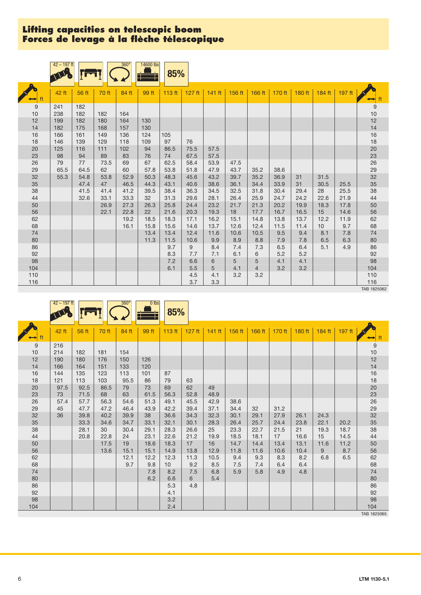|          | $42 - 197$ ft |            |            | $360^\circ$ | 14600 lbs  | 85%          |              |              |              |        |        |          |        |        |                                        |
|----------|---------------|------------|------------|-------------|------------|--------------|--------------|--------------|--------------|--------|--------|----------|--------|--------|----------------------------------------|
|          | 42 ft         | 56 ft      | 70 ft      | 84 ft       | 99 ft      | 113 $ft$     | $127$ ft     | $141$ ft     | 156 ft       | 166 ft | 170 ft | $180$ ft | 184 ft | 197 ft |                                        |
| 9        | 241           | 182        |            |             |            |              |              |              |              |        |        |          |        |        | $\begin{array}{c} 9 \\ 10 \end{array}$ |
| 10       | 238           | 182        | 182        | 164         |            |              |              |              |              |        |        |          |        |        |                                        |
| 12       | 199           | 182        | 180        | 164         | 130        |              |              |              |              |        |        |          |        |        | 12                                     |
| 14       | 182           | 175        | 168        | 157         | 130        |              |              |              |              |        |        |          |        |        | 14                                     |
| 16       | 166           | 161        | 149        | 136         | 124        | 105          |              |              |              |        |        |          |        |        | 16<br>18                               |
| 18       | 146           | 139        | 129        | 118         | 109        | 97           | 76           |              |              |        |        |          |        |        |                                        |
| 20       | 125           | 116        | 111        | 102         | 94         | 86.5         | 75.5         | 57.5         |              |        |        |          |        |        | 20                                     |
| 23       | 98            | 94         | 89         | 83          | 76         | 74           | 67.5         | 57.5         |              |        |        |          |        |        | 23                                     |
| 26<br>29 | 79<br>65.5    | 77<br>64.5 | 73.5<br>62 | 69<br>60    | 67<br>57.8 | 62.5<br>53.8 | 58.4<br>51.8 | 53.9<br>47.9 | 47.5<br>43.7 | 35.2   | 38.6   |          |        |        | 26<br>29                               |
| 32       | 55.3          | 54.8       | 53.8       | 52.9        | 50.3       | 48.3         | 45.6         | 43.2         | 39.7         | 35.2   | 36.9   | 31       | 31.5   |        | 32                                     |
| 35       |               | 47.4       | 47         | 46.5        | 44.3       | 43.1         | 40.6         | 38.6         | 36.1         | 34.4   | 33.9   | 31       | 30.5   | 25.5   | 35                                     |
| 38       |               | 41.5       | 41.4       | 41.2        | 39.5       | 38.4         | 36.3         | 34.5         | 32.5         | 31.8   | 30.4   | 29.4     | 28     | 25.5   | 38                                     |
| 44       |               | 32.6       | 33.1       | 33.3        | 32         | 31.3         | 29.6         | 28.1         | 26.4         | 25.9   | 24.7   | 24.2     | 22.6   | 21.9   | 44                                     |
| 50       |               |            | 26.9       | 27.3        | 26.3       | 25.8         | 24.4         | 23.2         | 21.7         | 21.3   | 20.2   | 19.9     | 18.3   | 17.8   | 50                                     |
| 56       |               |            | 22.1       | 22.8        | 22         | 21.6         | 20.3         | 19.3         | 18           | 17.7   | 16.7   | 16.5     | 15     | 14.6   | 56                                     |
| 62       |               |            |            | 19.2        | 18.5       | 18.3         | 17.1         | 16.2         | 15.1         | 14.8   | 13.8   | 13.7     | 12.2   | 11.9   | 62                                     |
| 68       |               |            |            | 16.1        | 15.8       | 15.6         | 14.6         | 13.7         | 12.6         | 12.4   | 11.5   | 11.4     | 10     | 9.7    | 68                                     |
| 74       |               |            |            |             | 13.4       | 13.4         | 12.4         | 11.6         | 10.6         | 10.5   | 9.5    | 9.4      | 8.1    | 7.8    | 74                                     |
| 80       |               |            |            |             | 11.3       | 11.5         | 10.6         | 9.9          | 8.9          | 8.8    | 7.9    | 7.8      | 6.5    | 6.3    | $80\,$                                 |
| 86       |               |            |            |             |            | 9.7          | 9            | 8.4          | 7.4          | 7.3    | 6.5    | 6.4      | 5.1    | 4.9    | 86                                     |
| 92       |               |            |            |             |            | 8.3          | 7.7          | 7.1          | 6.1          | 6      | 5.2    | 5.2      |        |        | 92                                     |
| 98       |               |            |            |             |            | 7.2          | 6.6          | 6            | 5            | 5      | 4.1    | 4.1      |        |        | 98                                     |
| 104      |               |            |            |             |            | 6.1          | 5.5          | 5            | 4.1          | 4      | 3.2    | 3.2      |        |        | 104                                    |
| 110      |               |            |            |             |            |              | 4.5          | 4.1          | 3.2          | 3.2    |        |          |        |        | $110$                                  |
| 116      |               |            |            |             |            |              | 3.7          | 3.3          |              |        |        |          |        |        | 116                                    |
|          |               |            |            |             |            |              |              |              |              |        |        |          |        |        | TAB 1825062                            |

| 180 ft<br>184 ft<br>197 ft<br>170 ft<br>42 ft<br>70 ft<br>84 ft<br>99 ft<br>113 ft<br>$127$ ft<br>156 ft<br>166 ft<br>56 ft<br>$141$ ft                                                                              | $\leftrightarrow$ ft<br>9 |
|----------------------------------------------------------------------------------------------------------------------------------------------------------------------------------------------------------------------|---------------------------|
| $\leftrightarrow$ ft                                                                                                                                                                                                 |                           |
| 216<br>9<br>10<br>214<br>182<br>154<br>181                                                                                                                                                                           | 10                        |
| 12<br>190<br>180<br>176<br>150<br>126<br>14<br>166<br>164<br>151<br>133<br>120                                                                                                                                       | 12<br>14                  |
| 144<br>16<br>123<br>113<br>101<br>87<br>135<br>18<br>95.5<br>121<br>113<br>103<br>86<br>79<br>63                                                                                                                     | 16<br>18                  |
| 62<br>20<br>97.5<br>92.5<br>86.5<br>79<br>73<br>69<br>49<br>23<br>73<br>71.5<br>68<br>63<br>61.5<br>48.9<br>56.3<br>52.8                                                                                             | 20<br>23                  |
| 26<br>42.9<br>57.7<br>56.3<br>54.6<br>51.3<br>45.5<br>38.6<br>57.4<br>49.1<br>29<br>37.1<br>47.7<br>47.2<br>46.4<br>39.4<br>34.4<br>32<br>31.2<br>45<br>43.9<br>42.2                                                 | 26<br>29<br>32            |
| 32<br>36<br>39.8<br>40.2<br>39.9<br>38<br>34.3<br>32.3<br>30.1<br>24.3<br>36.6<br>29.1<br>27.9<br>26.1<br>35<br>33.3<br>34.7<br>25.7<br>23.8<br>22.1<br>34.6<br>33.1<br>32.1<br>30.1<br>28.3<br>26.4<br>20.2<br>24.4 | 35                        |
| 38<br>28.1<br>30<br>30.4<br>26.6<br>25<br>22.7<br>21<br>19.3<br>18.7<br>29.1<br>28.3<br>23.3<br>21.5<br>21.2<br>15<br>20.8<br>22.8<br>23.1<br>19.9<br>18.5<br>18.1<br>16.6<br>14.5<br>44<br>24<br>22.6<br>17         | 38<br>44                  |
| 50<br>17.5<br>19<br>17<br>16<br>14.7<br>13.1<br>11.6<br>11.2<br>18.6<br>18.3<br>14.4<br>13.4<br>56<br>13.6<br>15.1<br>13.8<br>12.9<br>11.8<br>9<br>8.7<br>15.1<br>14.9<br>11.6<br>10.4<br>10.6                       | 50<br>56                  |
| 62<br>12.1<br>11.3<br>8.2<br>12.2<br>12.3<br>10.5<br>9.4<br>9.3<br>8.3<br>6.8<br>6.5<br>68<br>9.7<br>9.2<br>9.8<br>8.5<br>7.5<br>10 <sup>°</sup><br>7.4<br>6.4<br>6.4                                                | 62<br>68                  |
| 74<br>4.8<br>8.2<br>7.5<br>6.8<br>5.9<br>5.8<br>7.8<br>4.9<br>80<br>6.2<br>6.6<br>6<br>5.4                                                                                                                           | 74<br>80                  |
| 86<br>4.8<br>5.3<br>92<br>4.1                                                                                                                                                                                        | 86<br>92                  |
| 98<br>3.2<br>104<br>2.4                                                                                                                                                                                              | 98<br>104                 |

TAB 1825065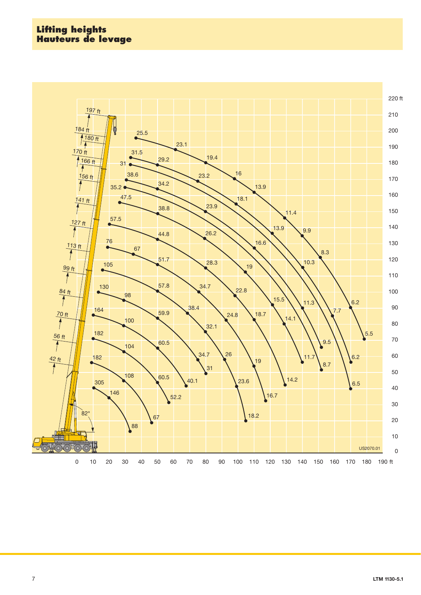## **Lifting heights Hauteurs de levage**

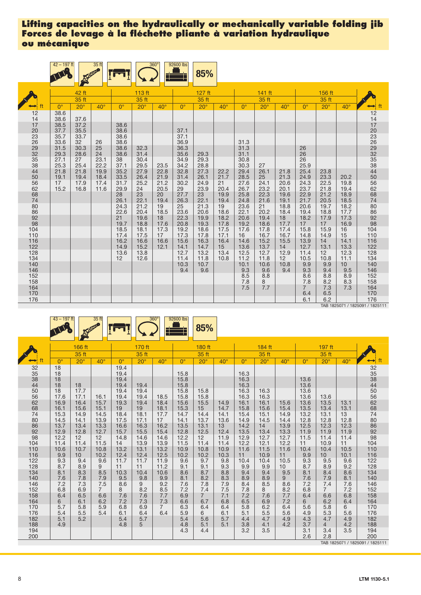|                | $42 - 197$ ft |              | 35 ft        |              |              | $360^\circ$  | 92600 lbs    | 85%          |              |              |              |              |                       |              |              |                       |
|----------------|---------------|--------------|--------------|--------------|--------------|--------------|--------------|--------------|--------------|--------------|--------------|--------------|-----------------------|--------------|--------------|-----------------------|
|                |               | 42 ft        |              |              | 113 ft       |              |              | 127 ft       |              |              | 141 ft       |              |                       | 156 ft       |              |                       |
|                |               | 35 ft        |              |              | 35 ft        |              |              | 35 ft        |              |              | 35 ft        |              |                       | 35 ft        |              |                       |
|                | $0^{\circ}$   | $20^\circ$   | $40^\circ$   | $0^{\circ}$  | $20^\circ$   | $40^\circ$   | $0^{\circ}$  | $20^\circ$   | $40^\circ$   | $0^{\circ}$  | $20^\circ$   | $40^\circ$   | $0^{\circ}$           | $20^\circ$   | $40^\circ$   | ft                    |
| 12<br>14       | 38.6<br>38.6  | 37.6         |              |              |              |              |              |              |              |              |              |              |                       |              |              | 12                    |
| 17<br>20       | 38.5<br>37.7  | 37.2<br>35.5 |              | 38.6<br>38.6 |              |              | 37.1         |              |              |              |              |              |                       |              |              |                       |
| 23<br>26       | 35.7<br>33.6  | 33.7<br>32   | 26           | 38.6<br>38.6 |              |              | 37.1<br>36.9 |              |              | 31.3         |              |              |                       |              |              |                       |
| 29<br>32<br>35 | 31.5<br>29.3  | 30.3<br>28.6 | 25<br>24     | 38.6<br>38.6 | 32.3<br>31.4 |              | 36.3<br>35.6 | 29.3         |              | 31.3<br>31.1 |              |              | 26<br>26              |              |              |                       |
| 38             | 27.1<br>25.3  | 27<br>25.4   | 23.1<br>22.2 | 38<br>37.1   | 30.4<br>29.5 | 23.5         | 34.9<br>34.2 | 29.3<br>28.8 |              | 30.8<br>30.3 | 27           |              | 26<br>25.9            |              |              | 147033693258445066274 |
| 44<br>50       | 21.8<br>19.1  | 21.8<br>19.4 | 19.9<br>18.4 | 35.2<br>33.5 | 27.9<br>26.4 | 22.8<br>21.9 | 32.8<br>31.4 | 27.3<br>26.1 | 22.2<br>21.7 | 29.4<br>28.5 | 26.1<br>25   | 21.8<br>21.3 | 25.4<br>24.9          | 23.8<br>23.3 | 20.2         |                       |
| 56<br>62       | 17<br>15.2    | 17.9<br>16.8 | 17.4<br>11.6 | 31.7<br>29.9 | 25.2<br>24   | 21.2<br>20.5 | 30.2<br>29   | 24.9<br>23.9 | 21<br>20.4   | 27.6<br>26.7 | 24.1<br>23.2 | 20.6<br>20.1 | 24.3<br>23.7          | 22.5<br>21.8 | 19.8<br>19.4 |                       |
| 68<br>74       |               |              |              | 28<br>26.1   | 23<br>22.1   | 20<br>19.4   | 27.7<br>26.3 | 23<br>22.1   | 19.9<br>19.4 | 25.8<br>24.8 | 22.3<br>21.6 | 19.6<br>19.1 | 22.9<br>21.7          | 21.2<br>20.5 | 18.9<br>18.5 |                       |
| 80<br>86       |               |              |              | 24.3<br>22.6 | 21.2<br>20.4 | 19<br>18.5   | 25<br>23.6   | 21.3<br>20.6 | 19<br>18.6   | 23.6<br>22.1 | 21<br>20.2   | 18.8<br>18.4 | 20.6<br>19.4          | 19.7<br>18.8 | 18.2<br>17.7 | 80<br>86<br>92<br>98  |
| 92<br>98       |               |              |              | 21<br>19.7   | 19.6<br>18.8 | 18<br>17.6   | 22.3<br>20.8 | 19.9<br>19.3 | 18.2<br>17.8 | 20.6<br>19.2 | 19.4<br>18.6 | 18<br>17.7   | 18.2<br>17            | 17.9<br>17   | 17.3<br>16.9 |                       |
| 104<br>110     |               |              |              | 18.5<br>17.4 | 18.1<br>17.5 | 17.3<br>17   | 19.2<br>17.3 | 18.6<br>17.8 | 17.5<br>17.1 | 17.6<br>16   | 17.8<br>16.7 | 17.4<br>16.7 | 15.8<br>14.8          | 15.9<br>14.9 | 16<br>15     | $104$<br>$110$        |
| 116<br>122     |               |              |              | 16.2<br>14.9 | 16.6<br>15.2 | 16.6<br>12.1 | 15.6<br>14.1 | 16.3<br>14.7 | 16.4<br>15   | 14.6<br>13.6 | 15.2<br>13.7 | 15.5<br>14   | 13.9<br>12.7          | 14<br>13.1   | 14.1<br>13.3 | 116<br>122            |
| 128<br>134     |               |              |              | 13.6<br>12   | 13.8<br>12.6 |              | 12.7<br>11.4 | 13.2<br>11.8 | 13.4<br>10.8 | 12.5<br>11.2 | 12.7<br>11.8 | 12.9<br>12   | 11.4<br>10.5          | 12<br>10.8   | 12.3<br>11.1 | 128<br>134            |
| 140<br>146     |               |              |              |              |              |              | 10.3<br>9.4  | 10.7<br>9.6  |              | 10.1<br>9.3  | 10.6<br>9.6  | 10.8<br>9.4  | 9.9<br>9.3            | 9.9<br>9.4   | 10<br>9.5    | 140<br>146            |
| 152<br>158     |               |              |              |              |              |              |              |              |              | 8.5<br>7.8   | 8.8<br>8     |              | 8.6<br>7.8            | 8.8<br>8.2   | 8.9<br>8.3   | 152<br>158            |
| 164<br>170     |               |              |              |              |              |              |              |              |              | 7.5          | 7.7          |              | $\overline{7}$<br>6.4 | 7.3<br>6.5   | 7.3          | 164<br>170            |
| 176            |               |              |              |              |              |              |              |              |              |              |              |              | 6.1                   | 6.2          |              | 176                   |

TAB 1825071 / 1825091 / 1825111

|                 | $43 - 197$ ft |                        | 35 ft          |              |              | $360^\circ$           | 92600 lbs    | 85%            |              |              |              |              |              |                |              |                                 |
|-----------------|---------------|------------------------|----------------|--------------|--------------|-----------------------|--------------|----------------|--------------|--------------|--------------|--------------|--------------|----------------|--------------|---------------------------------|
|                 |               | 166 ft                 |                |              | 170 ft       |                       |              | 180 ft         |              |              | 184 ft       |              |              | 197 ft         |              |                                 |
|                 |               | 35 ft                  |                |              | 35 ft        |                       |              | 35 ft          |              |              | 35 ft        |              |              | 35ft           |              |                                 |
|                 | $0^{\circ}$   | $20^\circ$             | $40^{\circ}$   | $0^{\circ}$  | $20^\circ$   | $40^\circ$            | $0^{\circ}$  | $20^\circ$     | $40^\circ$   | $0^{\circ}$  | $20^\circ$   | $40^{\circ}$ | $0^{\circ}$  | $20^{\circ}$   | $40^{\circ}$ | ft<br>$\rightarrow$             |
| 32              | 18            |                        |                | 19.4         |              |                       |              |                |              |              |              |              |              |                |              | 32<br>35<br>38<br>44            |
| $\frac{35}{38}$ | 18<br>18      |                        |                | 19.4<br>19.4 |              |                       | 15.8<br>15.8 |                |              | 16.3<br>16.3 |              |              | 13.6         |                |              |                                 |
| 44              | 18            | 18                     |                | 19.4         | 19.4         |                       | 15.8         |                |              | 16.3         |              |              | 13.6         |                |              |                                 |
| 50              | 18            | 17.7                   |                | 19.4         | 19.4         |                       | 15.8         | 15.8           |              | 16.3         | 16.3         |              | 13.6         |                |              | 50                              |
| 56              | 17.6          | 17.1                   | 16.1           | 19.4         | 19.4         | 18.5                  | 15.8         | 15.8           |              | 16.3         | 16.3         |              | 13.6         | 13.6           |              |                                 |
| 62              | 16.9          | 16.4                   | 15.7           | 19.3         | 19.4         | 18.4                  | 15.6         | 15.5           | 14.9         | 16.1         | 16.1         | 15.6         | 13.6         | 13.5           | 13.1         | 56<br>62<br>68                  |
| 68              | 16.1          | 15.6                   | 15.1           | 19           | 19           | 18.1                  | 15.3         | 15             | 14.7         | 15.8         | 15.6         | 15.4         | 13.5         | 13.4           | 13.1         |                                 |
| 74<br>80        | 15.3<br>14.5  | 14.9<br>14.1           | 14.5<br>13.9   | 18.4<br>17.5 | 18.1<br>17.1 | 17.7<br>17            | 14.7<br>14.1 | 14.4<br>13.7   | 14.1<br>13.6 | 15.4<br>14.9 | 15.1<br>14.5 | 14.9<br>14.4 | 13.2<br>12.8 | 13.1<br>12.8   | 13<br>12.8   | 74<br>80                        |
| 86              | 13.7          | 13.4                   | 13.3           | 16.6         | 16.3         | 16.2                  | 13.5         | 13.1           | 13           | 14.2         | 14           | 13.9         | 12.5         | 12.3           | 12.3         | 86                              |
| 92              | 12.9          | 12.8                   | 12.7           | 15.7         | 15.5         | 15.4                  | 12.8         | 12.5           | 12.4         | 13.5         | 13.4         | 13.3         | 11.9         | 11.9           | 11.9         | 92                              |
| 98              | 12.2          | 12 <sup>2</sup>        | 12             | 14.8         | 14.6         | 14.6                  | 12.2         | 12             | 11.9         | 12.9         | 12.7         | 12.7         | 11.5         | 11.4           | 11.4         | 98                              |
| 104             | 11.4          | 11.4                   | 11.5           | 14           | 13.9         | 13.9                  | 11.5         | 11.4           | 11.4         | 12.2         | 12.1         | 12.2         | 11           | 10.9           | 11           | 104                             |
| 110             | 10.6          | 10.7                   | 10.8           | 13.2         | 13.1         | 13.2                  | 10.9         | 10.8           | 10.9         | 11.6         | 11.5         | 11.6         | 10.4         | 10.4           | 10.5         | 110                             |
| 116             | 9.9           | 10 <sup>°</sup><br>9.4 | 10.2           | 12.4         | 12.4         | 12.5                  | 10.2         | 10.2<br>9.7    | 10.3         | 11<br>10.4   | 10.9         | 11           | 9.9          | 10             | 10.1         | 116                             |
| 122<br>128      | 9.3<br>8.7    | 8.9                    | 9.6<br>9       | 11.7<br>11   | 11.7<br>11   | 11.9<br>11.2          | 9.6<br>9.1   | 9.1            | 9.8<br>9.3   | 9.9          | 10.4<br>9.9  | 10.5<br>10   | 9.3<br>8.7   | 9.5<br>8.9     | 9.6<br>9.2   | 122<br>128                      |
| 134             | 8.1           | 8.3                    | 8.5            | 10.3         | 10.4         | 10.6                  | 8.6          | 8.7            | 8.8          | 9.4          | 9.4          | 9.5          | 8.1          | 8.4            | 8.6          | 134                             |
| 140             | 7.6           | 7.8                    | 7.9            | 9.5          | 9.8          | 9.9                   | 8.1          | 8.2            | 8.3          | 8.9          | 8.9          | 9            | 7.6          | 7.9            | 8.1          | 140                             |
| 146             | 7.2           | 7.3                    | 7.5            | 8.6          | 9            | 9.2                   | 7.6          | 7.8            | 7.9          | 8.4          | 8.5          | 8.6          | 7.2          | 7.4            | 7.6          | 146                             |
| 152             | 6.8           | 6.9                    | $\overline{7}$ | 8            | 8.2          | 8.5                   | 7.2          | 7.4            | 7.5          | 7.8          | 8            | 8.2          | 6.8          | $\overline{7}$ | 7.2          | 152                             |
| 158             | 6.4           | 6.5                    | 6.6            | 7.6          | 7.6          | 7.7                   | 6.9          | $\overline{7}$ | 7.1          | 7.2          | 7.6          | 7.7          | 6.4          | 6.6            | 6.8          | 158                             |
| 164<br>170      | 6<br>5.7      | 6.1<br>5.8             | 6.2<br>5.9     | 7.2<br>6.8   | 7.3<br>6.9   | 7.3<br>$\overline{7}$ | 6.6<br>6.3   | 6.7<br>6.4     | 6.8<br>6.4   | 6.5<br>5.8   | 6.9<br>6.2   | 7.2<br>6.4   | 6<br>5.6     | 6.2<br>5.8     | 6.4<br>6     | 164<br>170                      |
| 176             | 5.4           | 5.5                    | 5.4            | 6.1          | 6.4          | 6.4                   | 5.9          | 6              | 6.1          | 5.1          | 5.5          | 5.6          | 4.9          | 5.3            | 5.6          | 176                             |
| 182             | 5.1           | 5.2                    |                | 5.4          | 5.7          |                       | 5.4          | 5.6            | 5.7          | 4.4          | 4.7          | 4.9          | 4.3          | 4.7            | 4.9          | 182                             |
| 188             | 4.9           |                        |                | 4.8          | 5            |                       | 4.8          | 5.1            | 5.1          | 3.8          | 4.1          | 4.2          | 3.7          | $\overline{4}$ | 4.2          | 188                             |
| 194             |               |                        |                |              |              |                       | 4.3          | 4.4            |              | 3.2          | 3.5          |              | 3.1          | 3.4            | 3.5          | 194                             |
| 200             |               |                        |                |              |              |                       |              |                |              |              |              |              | 2.6          | 2.8            |              | 200                             |
|                 |               |                        |                |              |              |                       |              |                |              |              |              |              |              |                |              | TAB 1825071 / 1825091 / 1825111 |

LTM 1130-5.1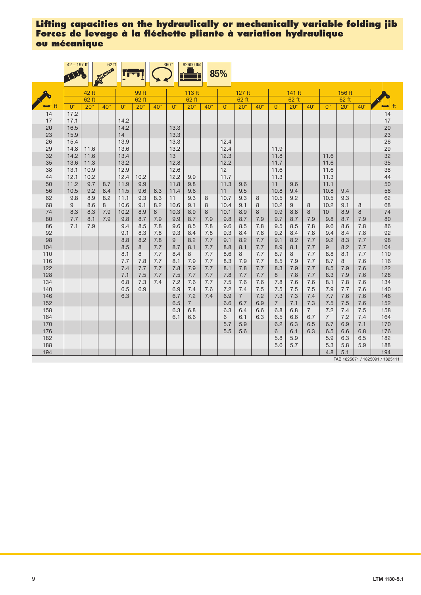|            | $42 - 197$ ft |              | 62 ft        |              |              |              | 360 <sup>°</sup> | 92600 lbs      |            | 85%         |                |              |                |            |                |                 |              |            |                                        |
|------------|---------------|--------------|--------------|--------------|--------------|--------------|------------------|----------------|------------|-------------|----------------|--------------|----------------|------------|----------------|-----------------|--------------|------------|----------------------------------------|
|            |               | 42 ft        |              |              | 99 ft        |              |                  | 113 ft         |            |             | 127 ft         |              |                | 141 ft     |                |                 | 156 ft       |            |                                        |
|            |               | $62$ ft      |              |              | 62 ft        |              |                  | 62 ft          |            |             | 62 ft          |              |                | 62 ft      |                |                 | 62 ft        |            |                                        |
|            | $0^{\circ}$   | $20^\circ$   | $40^{\circ}$ | $0^{\circ}$  | $20^{\circ}$ | $40^{\circ}$ | $0^{\circ}$      | $20^\circ$     | $40^\circ$ | $0^{\circ}$ | $20^{\circ}$   | $40^{\circ}$ | $0^{\circ}$    | $20^\circ$ | $40^\circ$     | $0^{\circ}$     | $20^{\circ}$ | $40^\circ$ | ft                                     |
| 14         | 17.2          |              |              |              |              |              |                  |                |            |             |                |              |                |            |                |                 |              |            | 14                                     |
| 17         | 17.1          |              |              | 14.2         |              |              |                  |                |            |             |                |              |                |            |                |                 |              |            | 17                                     |
| 20         | 16.5          |              |              | 14.2         |              |              | 13.3             |                |            |             |                |              |                |            |                |                 |              |            | 20                                     |
| 23         | 15.9          |              |              | 14           |              |              | 13.3             |                |            |             |                |              |                |            |                |                 |              |            | 23                                     |
| 26         | 15.4          |              |              | 13.9         |              |              | 13.3             |                |            | 12.4        |                |              |                |            |                |                 |              |            | 26                                     |
| 29         | 14.8          | 11.6         |              | 13.6         |              |              | 13.2             |                |            | 12.4        |                |              | 11.9           |            |                |                 |              |            | 29                                     |
| 32         | 14.2          | 11.6         |              | 13.4         |              |              | 13               |                |            | 12.3        |                |              | 11.8           |            |                | 11.6            |              |            | 32                                     |
| 35<br>38   | 13.6<br>13.1  | 11.3<br>10.9 |              | 13.2<br>12.9 |              |              | 12.8<br>12.6     |                |            | 12.2<br>12  |                |              | 11.7<br>11.6   |            |                | 11.6<br>11.6    |              |            | 35                                     |
| 44         | 12.1          | 10.2         |              | 12.4         | 10.2         |              | 12.2             | 9.9            |            | 11.7        |                |              | 11.3           |            |                | 11.3            |              |            | 38<br>44                               |
| 50         | 11.2          | 9.7          | 8.7          | 11.9         | 9.9          |              | 11.8             | 9.8            |            | 11.3        | 9.6            |              | 11             | 9.6        |                | 11.1            |              |            | 50                                     |
| 56         | 10.5          | 9.2          | 8.4          | 11.5         | 9.6          | 8.3          | 11.4             | 9.6            |            | 11          | 9.5            |              | 10.8           | 9.4        |                | 10.8            | 9.4          |            | 56                                     |
| 62         | 9.8           | 8.9          | 8.2          | 11.1         | 9.3          | 8.3          | 11               | 9.3            | 8          | 10.7        | 9.3            | 8            | 10.5           | 9.2        |                | 10.5            | 9.3          |            | 62                                     |
| 68         | 9             | 8.6          | 8            | 10.6         | 9.1          | 8.2          | 10.6             | 9.1            | 8          | 10.4        | 9.1            | 8            | 10.2           | 9          | 8              | 10.2            | 9.1          | 8          | 68                                     |
| 74         | 8.3           | 8.3          | 7.9          | 10.2         | 8.9          | 8            | 10.3             | 8.9            | 8          | 10.1        | 8.9            | 8            | 9.9            | 8.8        | 8              | 10 <sup>1</sup> | 8.9          | 8          | 74                                     |
| 80         | 7.7           | 8.1          | 7.9          | 9.8          | 8.7          | 7.9          | 9.9              | 8.7            | 7.9        | 9.8         | 8.7            | 7.9          | 9.7            | 8.7        | 7.9            | 9.8             | 8.7          | 7.9        | 80                                     |
| 86         | 7.1           | 7.9          |              | 9.4          | 8.5          | 7.8          | 9.6              | 8.5            | 7.8        | 9.6         | 8.5            | 7.8          | 9.5            | 8.5        | 7.8            | 9.6             | 8.6          | 7.8        | 86                                     |
| 92         |               |              |              | 9.1          | 8.3          | 7.8          | 9.3              | 8.4            | 7.8        | 9.3         | 8.4            | 7.8          | 9.2            | 8.4        | 7.8            | 9.4             | 8.4          | 7.8        | 92                                     |
| 98         |               |              |              | 8.8          | 8.2          | 7.8          | 9                | 8.2            | 7.7        | 9.1         | 8.2            | 7.7          | 9.1            | 8.2        | 7.7            | 9.2             | 8.3          | 7.7        | 98                                     |
| 104        |               |              |              | 8.5          | 8            | 7.7          | 8.7              | 8.1            | 7.7        | 8.8         | 8.1            | 7.7          | 8.9            | 8.1        | 7.7            | 9               | 8.2          | 7.7        | 104                                    |
| 110        |               |              |              | 8.1          | 8            | 7.7          | 8.4              | 8              | 7.7        | 8.6         | 8              | 7.7          | 8.7            | 8          | 7.7            | 8.8             | 8.1          | 7.7        | 110                                    |
| 116        |               |              |              | 7.7<br>7.4   | 7.8          | 7.7          | 8.1              | 7.9<br>7.9     | 7.7        | 8.3         | 7.9            | 7.7<br>7.7   | 8.5<br>8.3     | 7.9        | 7.7<br>7.7     | 8.7<br>8.5      | 8<br>7.9     | 7.6        | 116                                    |
| 122<br>128 |               |              |              | 7.1          | 7.7<br>7.5   | 7.7<br>7.7   | 7.8<br>7.5       | 7.7            | 7.7<br>7.7 | 8.1<br>7.8  | 7.8<br>7.7     | 7.7          | 8              | 7.9<br>7.8 | 7.7            | 8.3             | 7.9          | 7.6<br>7.6 | 122<br>128                             |
| 134        |               |              |              | 6.8          | 7.3          | 7.4          | 7.2              | 7.6            | 7.7        | 7.5         | 7.6            | 7.6          | 7.8            | 7.6        | 7.6            | 8.1             | 7.8          | 7.6        | 134                                    |
| 140        |               |              |              | 6.5          | 6.9          |              | 6.9              | 7.4            | 7.6        | 7.2         | 7.4            | 7.5          | 7.5            | 7.5        | 7.5            | 7.9             | 7.7          | 7.6        | 140                                    |
| 146        |               |              |              | 6.3          |              |              | 6.7              | 7.2            | 7.4        | 6.9         | $\overline{7}$ | 7.2          | 7.3            | 7.3        | 7.4            | 7.7             | 7.6          | 7.6        | 146                                    |
| 152        |               |              |              |              |              |              | 6.5              | $\overline{7}$ |            | 6.6         | 6.7            | 6.9          | $\overline{7}$ | 7.1        | 7.3            | 7.5             | 7.5          | 7.6        | 152                                    |
| 158        |               |              |              |              |              |              | 6.3              | 6.8            |            | 6.3         | 6.4            | 6.6          | 6.8            | 6.8        | $\overline{7}$ | 7.2             | 7.4          | 7.5        | 158                                    |
| 164        |               |              |              |              |              |              | 6.1              | 6.6            |            | 6           | 6.1            | 6.3          | 6.5            | 6.6        | 6.7            | $\overline{7}$  | 7.2          | 7.4        | 164                                    |
| 170        |               |              |              |              |              |              |                  |                |            | 5.7         | 5.9            |              | 6.2            | 6.3        | 6.5            | 6.7             | 6.9          | 7.1        | 170                                    |
| 176        |               |              |              |              |              |              |                  |                |            | 5.5         | 5.6            |              | 6              | 6.1        | 6.3            | 6.5             | 6.6          | 6.8        | 176                                    |
| 182        |               |              |              |              |              |              |                  |                |            |             |                |              | 5.8            | 5.9        |                | 5.9             | 6.3          | 6.5        | 182                                    |
| 188        |               |              |              |              |              |              |                  |                |            |             |                |              | 5.6            | 5.7        |                | 5.3             | 5.8          | 5.9        | 188                                    |
| 194        |               |              |              |              |              |              |                  |                |            |             |                |              |                |            |                | 4.8             | 5.1          |            | 194<br>TAB 1825071 / 1825091 / 1825111 |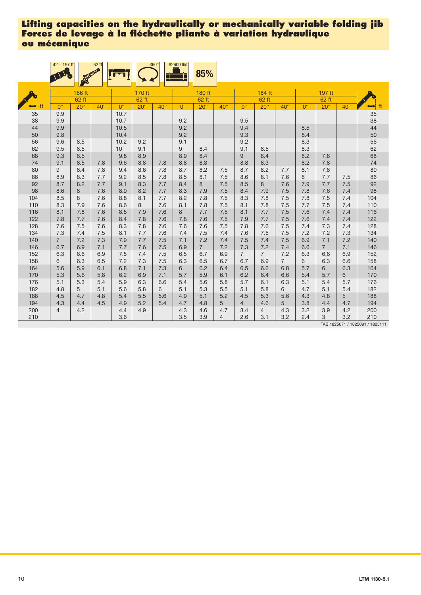|            | $42 - 197$ ft  |                 | $62$ ft      |              |                 | $360^\circ$  | 92600 lbs   | 85%             |                       |                |                       |                |             |                 |              |            |
|------------|----------------|-----------------|--------------|--------------|-----------------|--------------|-------------|-----------------|-----------------------|----------------|-----------------------|----------------|-------------|-----------------|--------------|------------|
|            |                | 166 ft<br>62 ft |              |              | 170 ft<br>62 ft |              |             | 180 ft<br>62 ft |                       |                | 184 ft<br>62 ft       |                |             | 197 ft<br>62 ft |              |            |
|            | $0^{\circ}$    | $20^{\circ}$    | $40^{\circ}$ | $0^{\circ}$  | $20^\circ$      | $40^{\circ}$ | $0^{\circ}$ | $20^{\circ}$    | $40^{\circ}$          | $0^{\circ}$    | $20^\circ$            | $40^{\circ}$   | $0^{\circ}$ | $20^\circ$      | $40^{\circ}$ | ft<br>⇔    |
| 35<br>38   | 9.9<br>9.9     |                 |              | 10.7<br>10.7 |                 |              | 9.2         |                 |                       | 9.5            |                       |                |             |                 |              | 35<br>38   |
| 44<br>50   | 9.9<br>9.8     |                 |              | 10.5<br>10.4 |                 |              | 9.2<br>9.2  |                 |                       | 9.4<br>9.3     |                       |                | 8.5<br>8.4  |                 |              | 44<br>50   |
| 56<br>62   | 9.6<br>9.5     | 8.5<br>8.5      |              | 10.2<br>10   | 9.2<br>9.1      |              | 9.1<br>9    | 8.4             |                       | 9.2<br>9.1     | 8.5                   |                | 8.3<br>8.3  |                 |              | 56<br>62   |
| 68<br>74   | 9.3<br>9.1     | 8.5<br>8.5      | 7.8          | 9.8<br>9.6   | 8.9<br>8.8      | 7.8          | 8.9<br>8.8  | 8.4<br>8.3      |                       | 9<br>8.8       | 8.4<br>8.3            |                | 8.2<br>8.2  | 7.8<br>7.8      |              | 68<br>74   |
| 80         | 9              | 8.4             | 7.8          | 9.4          | 8.6             | 7.8          | 8.7         | 8.2             | 7.5                   | 8.7            | 8.2                   | 7.7            | 8.1         | 7.8             | 7.5          | 80         |
| 86         | 8.9            | 8.3             | 7.7          | 9.2          | 8.5             | 7.8          | 8.5         | 8.1             | 7.5                   | 8.6            | 8.1                   | 7.6            | 8           | 7.7             |              | 86         |
| 92         | 8.7            | 8.2             | 7.7          | 9.1          | 8.3             | 7.7          | 8.4         | 8               | 7.5                   | 8.5            | 8                     | 7.6            | 7.9         | 7.7             | 7.5          | 92         |
| 98         | 8.6            | 8               | 7.6          | 8.9          | 8.2             | 7.7          | 8.3         | 7.9             | 7.5                   | 8.4            | 7.9                   | 7.5            | 7.8         | 7.6             | 7.4          | 98         |
| 104        | 8.5            | 8               | 7.6          | 8.8          | 8.1             | 7.7          | 8.2         | 7.8             | 7.5                   | 8.3            | 7.8                   | 7.5            | 7.8         | 7.5             | 7.4          | 104        |
| 110        | 8.3            | 7.9             | 7.6          | 8.6          | 8               | 7.6          | 8.1         | 7.8             | 7.5                   | 8.1            | 7.8                   | 7.5            | 7.7         | 7.5             | 7.4          | 110        |
| 116        | 8.1            | 7.8             | 7.6          | 8.5          | 7.9             | 7.6          | 8           | 7.7             | 7.5                   | 8.1            | 7.7                   | 7.5            | 7.6         | 7.4             | 7.4          | 116        |
| 122        | 7.8            | 7.7             | 7.6          | 8.4          | 7.8             | 7.6          | 7.8         | 7.6             | 7.5                   | 7.9            | 7.7                   | 7.5            | 7.6         | 7.4             | 7.4          | 122        |
| 128        | 7.6            | 7.5             | 7.6          | 8.3          | 7.8             | 7.6          | 7.6         | 7.6             | 7.5                   | 7.8            | 7.6                   | 7.5            | 7.4         | 7.3             | 7.4          | 128        |
| 134        | 7.3            | 7.4             | 7.5          | 8.1          | 7.7             | 7.6          | 7.4         | 7.5             | 7.4                   | 7.6            | 7.5                   | 7.5            | 7.2         | 7.2             | 7.3          | 134        |
| 140        | $\overline{7}$ | 7.2             | 7.3          | 7.9          | 7.7             | 7.5          | 7.1         | 7.2             | 7.4                   | 7.5            | 7.4                   | 7.5            | 6.9         | 7.1             | 7.2          | 140        |
| 146        | 6.7            | 6.9             | 7.1          | 7.7          | 7.6             | 7.5          | 6.9         | $\overline{7}$  | 7.2                   | 7.3            | 7.2                   | 7.4            | 6.6         | $\overline{7}$  | 7.1          | 146        |
| 152        | 6.3            | 6.6             | 6.9          | 7.5          | 7.4             | 7.5          | 6.5         | 6.7             | 6.9                   | $\overline{7}$ | $\overline{7}$        | 7.2            | 6.3         | 6.6             | 6.9          | 152        |
| 158        | 6              | 6.3             | 6.5          | 7.2          | 7.3             | 7.5          | 6.3         | 6.5             | 6.7                   | 6.7            | 6.9                   | $\overline{7}$ | 6           | 6.3             | 6.6          | 158        |
| 164        | 5.6            | 5.9             | 6.1          | 6.8          | 7.1             | 7.3          | 6           | 6.2             | 6.4                   | 6.5            | 6.6                   | 6.8            | 5.7         | 6               | 6.3          | 164        |
| 170        | 5.3            | 5.6             | 5.8          | 6.2          | 6.9             | 7.1          | 5.7         | 5.9             | 6.1                   | 6.2            | 6.4                   | 6.6            | 5.4         | 5.7             | 6            | 170        |
| 176        | 5.1            | 5.3             | 5.4          | 5.9          | 6.3             | 6.6          | 5.4         | 5.6             | 5.8                   | 5.7            | 6.1                   | 6.3            | 5.1         | 5.4             | 5.7          | 176        |
| 182        | 4.8            | 5               | 5.1          | 5.6          | 5.8             | 6            | 5.1         | 5.3             | 5.5                   | 5.1            | 5.8                   | 6              | 4.7         | 5.1             | 5.4          | 182        |
| 188        | 4.5            | 4.7             | 4.8          | 5.4          | 5.5             | 5.6          | 4.9         | 5.1             | 5.2                   | 4.5            | 5.3                   | 5.6            | 4.3         | 4.8             | 5            | 188        |
| 194        | 4.3            | 4.4             | 4.5          | 4.9          | 5.2             | 5.4          | 4.7         | 4.8             | 5                     | $\overline{4}$ | 4.6                   | 5              | 3.8         | 4.4             | 4.7          | 194        |
| 200<br>210 | 4              | 4.2             |              | 4.4<br>3.6   | 4.9             |              | 4.3<br>3.5  | 4.6<br>3.9      | 4.7<br>$\overline{4}$ | 3.4<br>2.6     | $\overline{4}$<br>3.1 | 4.3<br>3.2     | 3.2<br>2.4  | 3.9<br>3        | 4.2<br>3.2   | 200<br>210 |

TAB 1825071 / 1825091 / 1825111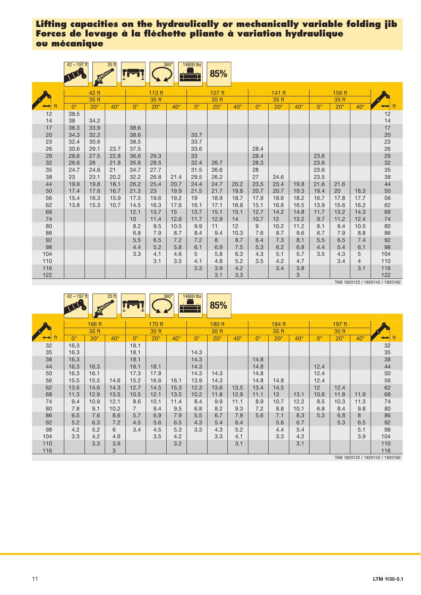|          | $42 - 197$ ft |              | 35 ft      |              |              | $360^\circ$  | 14600 lbs    | 85%          |              |              |              |              |              |               |                |                     |
|----------|---------------|--------------|------------|--------------|--------------|--------------|--------------|--------------|--------------|--------------|--------------|--------------|--------------|---------------|----------------|---------------------|
|          |               | 42 ft        |            |              | 113 ft       |              |              | $127$ ft     |              |              | $141$ ft     |              |              | 156 ft        |                |                     |
|          |               | 35 ft        |            |              | 35 ft        |              |              | 35 ft        |              |              | 35 ft        |              |              | 35 ft         |                |                     |
| ft       | $0^{\circ}$   | $20^{\circ}$ | $40^\circ$ | $0^{\circ}$  | $20^\circ$   | $40^{\circ}$ | $0^{\circ}$  | $20^{\circ}$ | $40^\circ$   | $0^{\circ}$  | $20^{\circ}$ | $40^{\circ}$ | $0^{\circ}$  | $20^\circ$    | $40^{\circ}$   | ft<br>$\rightarrow$ |
| 12       | 38.5          |              |            |              |              |              |              |              |              |              |              |              |              |               |                | 12                  |
| 14       | 38            | 34.2         |            |              |              |              |              |              |              |              |              |              |              |               |                | 14                  |
| 17       | 36.3          | 33.9         |            | 38.6         |              |              |              |              |              |              |              |              |              |               |                | 17                  |
| 20       | 34.3          | 32.2         |            | 38.6         |              |              | 33.7         |              |              |              |              |              |              |               |                | 20                  |
| 23       | 32.4          | 30.6         |            | 38.5         |              |              | 33.7         |              |              |              |              |              |              |               |                | 23                  |
| 26       | 30.6          | 29.1         | 23.7       | 37.5         |              |              | 33.6         |              |              | 28.4         |              |              |              |               |                | 26                  |
| 29       | 28.6          | 27.5         | 22.8       | 36.6         | 29.3         |              | 33           |              |              | 28.4         |              |              | 23.6         |               |                | 29                  |
| 32       | 26.6          | 26           | 21.8       | 35.6         | 28.5         |              | 32.4         | 26.7         |              | 28.3         |              |              | 23.6         |               |                | 32                  |
| 35       | 24.7          | 24.6         | 21         | 34.7         | 27.7         |              | 31.5         | 26.6         |              | 28           |              |              | 23.6         |               |                | 35                  |
| 38       | 23            | 23.1         | 20.2       | 32.2         | 26.8         | 21.4         | 29.5         | 26.2         |              | 27           | 24.6         |              | 23.5         |               |                | 38                  |
| 44       | 19.9          | 19.8         | 18.1       | 26.2         | 25.4         | 20.7         | 24.4         | 24.7         | 20.2         | 23.5         | 23.4         | 19.8         | 21.6         | 21.6          |                | 44                  |
| 50       | 17.4          | 17.6         | 16.7       | 21.3         | 23           | 19.9         | 21.5         | 21.7         | 19.8         | 20.7         | 20.7         | 19.3         | 19.4         | 20            | 18.3           | 50                  |
| 56       | 15.4          | 16.3         | 15.9       | 17.5         | 19.6         | 19.2         | 19           | 18.9         | 18.7<br>16.8 | 17.9         | 18.6         | 18.2         | 16.7         | 17.8          | 17.7           | 56                  |
| 62<br>68 | 13.8          | 15.3         | 10.7       | 14.5<br>12.1 | 16.3<br>13.7 | 17.6<br>15   | 16.1<br>13.7 | 17.1<br>15.1 | 15.1         | 15.1<br>12.7 | 16.6<br>14.2 | 16.5<br>14.8 | 13.9<br>11.7 | 15.6<br>13.2  | 16.2<br>14.3   | 62<br>68            |
| 74       |               |              |            | 10           | 11.4         | 12.6         | 11.7         | 12.9         | 14           | 10.7         | 12           | 13.2         | 9.7          | 11.2          | 12.4           | 74                  |
| 80       |               |              |            | 8.2          | 9.5          | 10.5         | 9.9          | 11           | 12           | 9            | 10.2         | 11.2         | 8.1          | 9.4           | 10.5           | 80                  |
| 86       |               |              |            | 6.8          | 7.9          | 8.7          | 8.4          | 9.4          | 10.3         | 7.6          | 8.7          | 9.6          | 6.7          | 7.9           | 8.8            | 86                  |
| 92       |               |              |            | 5.5          | 6.5          | 7.2          | 7.2          | 8            | 8.7          | 6.4          | 7.3          | 8.1          | 5.5          | 6.5           | 7.4            | 92                  |
| 98       |               |              |            | 4.4          | 5.2          | 5.8          | 6.1          | 6.9          | 7.5          | 5.3          | 6.2          | 6.8          | 4.4          | 5.4           | 6.1            | 98                  |
| 104      |               |              |            | 3.3          | 4.1          | 4.6          | 5            | 5.8          | 6.3          | 4.3          | 5.1          | 5.7          | 3.5          | 4.3           | 5              | 104                 |
| 110      |               |              |            |              | 3.1          | 3.5          | 4.1          | 4.8          | 5.2          | 3.5          | 4.2          | 4.7          |              | 3.4           | $\overline{4}$ | 110                 |
| 116      |               |              |            |              |              |              | 3.3          | 3.9          | 4.2          |              | 3.4          | 3.8          |              |               | 3.1            | 116                 |
| 122      |               |              |            |              |              |              |              | 3.1          | 3.3          |              |              | 3            |              |               |                | 122                 |
|          |               |              |            |              |              |              |              |              |              |              |              |              |              | $TAD$ 4000400 |                |                     |

TAB 1820122 / 1820142 / 1820162

|          | $42 - 197$ ft | <b>RECORD</b>   | 35 ft      |                |                 | $360^\circ$<br>__ | 14600 lbs   | 85%             |            |             |                 |            |             |                 |            |          |
|----------|---------------|-----------------|------------|----------------|-----------------|-------------------|-------------|-----------------|------------|-------------|-----------------|------------|-------------|-----------------|------------|----------|
|          |               | 166 ft<br>35 ft |            |                | 170 ft<br>35 ft |                   |             | 180 ft<br>35 ft |            |             | 184 ft<br>35 ft |            |             | 197 ft<br>35 ft |            |          |
| ft       | $0^{\circ}$   | $20^\circ$      | $40^\circ$ | $0^{\circ}$    | $20^\circ$      | $40^\circ$        | $0^{\circ}$ | $20^\circ$      | $40^\circ$ | $0^{\circ}$ | $20^\circ$      | $40^\circ$ | $0^{\circ}$ | $20^{\circ}$    | $40^\circ$ |          |
| 32<br>35 | 16.3<br>16.3  |                 |            | 18.1<br>18.1   |                 |                   | 14.3        |                 |            |             |                 |            |             |                 |            | 32<br>35 |
| 38       | 16.3          |                 |            | 18.1           |                 |                   | 14.3        |                 |            | 14.8        |                 |            |             |                 |            | 38       |
| 44       | 16.3          | 16.3            |            | 18.1           | 18.1            |                   | 14.3        |                 |            | 14.8        |                 |            | 12.4        |                 |            | 44       |
| 50       | 16.3          | 16.1            |            | 17.3           | 17.8            |                   | 14.3        | 14.3            |            | 14.8        |                 |            | 12.4        |                 |            | 50       |
| 56       | 15.5          | 15.5            | 14.6       | 15.2           | 16.6            | 16.1              | 13.9        | 14.3            |            | 14.8        | 14.8            |            | 12.4        |                 |            | 56       |
| 62       | 13.6          | 14.6            | 14.3       | 12.7           | 14.5            | 15.3              | 12.3        | 13.6            | 13.5       | 13.4        | 14.5            |            | 12          | 12.4            |            | 62       |
| 68       | 11.3          | 12.9            | 13.5       | 10.5           | 12.1            | 13.5              | 10.2        | 11.8            | 12.9       | 11.1        | 13              | 13.1       | 10.6        | 11.8            | 11.9       | 68       |
| 74       | 9.4           | 10.9            | 12.1       | 8.6            | 10.1            | 11.4              | 8.4         | 9.9             | 11.1       | 8.9         | 10.7            | 12.2       | 8.5         | 10.3            | 11.3       | 74       |
| 80       | 7.8           | 9.1             | 10.2       | $\overline{7}$ | 8.4             | 9.5               | 6.8         | 8.2             | 9.3        | 7.2         | 8.8             | 10.1       | 6.8         | 8.4             | 9.8        | 80       |
| 86       | 6.5           | 7.6             | 8.6        | 5.7            | 6.9             | 7.9               | 5.5         | 6.7             | 7.8        | 5.6         | 7.1             | 8.3        | 5.3         | 6.8             | 8          | 86       |
| 92       | 5.2           | 6.3             | 7.2        | 4.5            | 5.6             | 6.5               | 4.3         | 5.4             | 6.4        |             | 5.6             | 6.7        |             | 5.3             | 6.5        | 92       |
| 98       | 4.2           | 5.2             | 6          | 3.4            | 4.5             | 5.3               | 3.3         | 4.3             | 5.2        |             | 4.4             | 5.4        |             |                 | 5.1        | 98       |
| 104      | 3.3           | 4.2             | 4.9        |                | 3.5             | 4.2               |             | 3.3             | 4.1        |             | 3.3             | 4.2        |             |                 | 3.9        | 104      |
| 110      |               | 3.3             | 3.9        |                |                 | 3.2               |             |                 | 3.1        |             |                 | 3.1        |             |                 |            | 110      |
| 116      |               |                 | 3          |                |                 |                   |             |                 |            |             |                 |            |             |                 |            | 116      |

TAB 1820122 / 1820142 / 1820162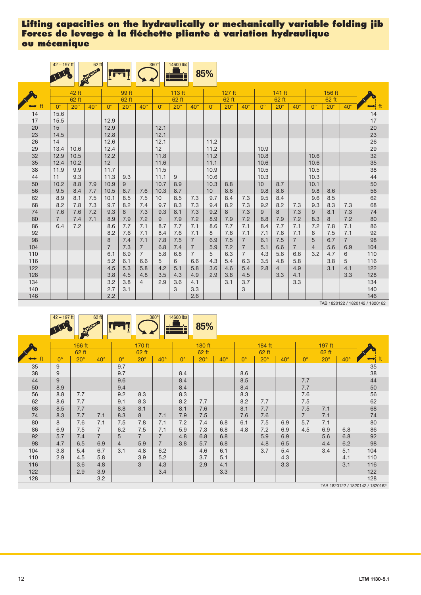|            | $42 - 197$ ft         |              | $62$ ft<br>P |                     |            |                       | $360^\circ$            | 14600 lbs  |                                  | 85%          |            |                                  |              |                       |                                  |                     |            |                       |                |
|------------|-----------------------|--------------|--------------|---------------------|------------|-----------------------|------------------------|------------|----------------------------------|--------------|------------|----------------------------------|--------------|-----------------------|----------------------------------|---------------------|------------|-----------------------|----------------|
|            |                       | 42 ft        |              |                     | 99 ft      |                       |                        | 113 ft     |                                  |              | 127 ft     |                                  |              | 141 ft                |                                  |                     | 156 ft     |                       |                |
|            |                       | 62 ft        |              |                     | 62 ft      |                       |                        | 62 ft      |                                  |              | 62 ft      |                                  |              | 62 ft                 |                                  |                     | 62 ft      |                       |                |
|            | $0^{\circ}$           | $20^\circ$   | $40^\circ$   | $0^{\circ}$         | $20^\circ$ | $40^{\circ}$          | $0^{\circ}$            | $20^\circ$ | $40^\circ$                       | $0^{\circ}$  | $20^\circ$ | $40^{\circ}$                     | $0^{\circ}$  | $20^{\circ}$          | $40^{\circ}$                     | $0^{\circ}$         | $20^\circ$ | $40^\circ$            | ft<br>⊷        |
| 14<br>17   | 15.6<br>15.5          |              |              | 12.9                |            |                       |                        |            |                                  |              |            |                                  |              |                       |                                  |                     |            |                       | 14<br>17       |
| 20<br>23   | 15<br>14.5            |              |              | 12.9<br>12.8        |            |                       | 12.1<br>12.1           |            |                                  |              |            |                                  |              |                       |                                  |                     |            |                       | 20<br>23       |
| 26<br>29   | 14<br>13.4            | 10.6         |              | 12.6<br>12.4        |            |                       | 12.1<br>12             |            |                                  | 11.2<br>11.2 |            |                                  | 10.9         |                       |                                  |                     |            |                       | 26             |
| 32<br>35   | 12.9<br>12.4          | 10.5<br>10.2 |              | 12.2<br>12          |            |                       | 11.8<br>11.6           |            |                                  | 11.2<br>11.1 |            |                                  | 10.8<br>10.6 |                       |                                  | 10.6<br>10.6        |            |                       | 29<br>32<br>35 |
| 38<br>44   | 11.9<br>11            | 9.9<br>9.3   |              | 11.7<br>11.3        | 9.3        |                       | 11.5<br>11.1           | 9          |                                  | 10.9<br>10.6 |            |                                  | 10.5<br>10.3 |                       |                                  | 10.5<br>10.3        |            |                       | 38<br>44       |
| 50<br>56   | 10.2<br>9.5           | 8.8<br>8.4   | 7.9<br>7.7   | 10.9<br>10.5        | 9<br>8.7   | 7.6                   | 10.7<br>10.3           | 8.9<br>8.7 |                                  | 10.3<br>10   | 8.8<br>8.6 |                                  | 10<br>9.8    | 8.7<br>8.6            |                                  | 10.1<br>9.8         | 8.6        |                       | 50<br>56       |
| 62<br>68   | 8.9<br>8.2            | 8.1<br>7.8   | 7.5<br>7.3   | 10.1<br>9.7         | 8.5<br>8.2 | 7.5<br>7.4            | 10 <sup>1</sup><br>9.7 | 8.5<br>8.3 | 7.3<br>7.3                       | 9.7<br>9.4   | 8.4<br>8.2 | 7.3<br>7.3                       | 9.5<br>9.2   | 8.4<br>8.2            | 7.3                              | 9.6<br>9.3          | 8.5<br>8.3 | 7.3                   | 62<br>68       |
| 74<br>80   | 7.6<br>$\overline{7}$ | 7.6<br>7.4   | 7.2<br>7.1   | 9.3<br>8.9          | 8<br>7.9   | 7.3<br>7.2            | 9.3<br>9               | 8.1<br>7.9 | 7.3<br>7.2                       | 9.2<br>8.9   | 8<br>7.9   | 7.3<br>7.2                       | 9<br>8.8     | 8<br>7.9              | 7.3<br>7.2                       | 9<br>8.3            | 8.1<br>8   | 7.3<br>7.2            | 74<br>80       |
| 86<br>92   | 6.4                   | 7.2          |              | 8.6<br>8.2          | 7.7<br>7.6 | 7.1<br>7.1            | 8.7<br>8.4             | 7.7<br>7.6 | 7.1<br>7.1                       | 8.6<br>8     | 7.7<br>7.6 | 7.1<br>7.1                       | 8.4<br>7.1   | 7.7<br>7.6            | 7.1<br>7.1                       | 7.2<br>6            | 7.8<br>7.5 | 7.1<br>7.1            | 86<br>92       |
| 98<br>104  |                       |              |              | 8<br>$\overline{7}$ | 7.4<br>7.3 | 7.1<br>$\overline{7}$ | 7.8<br>6.8             | 7.5<br>7.4 | $\overline{7}$<br>$\overline{7}$ | 6.9<br>5.9   | 7.5<br>7.2 | $\overline{7}$<br>$\overline{7}$ | 6.1<br>5.1   | 7.5<br>6.6            | $\overline{7}$<br>$\overline{7}$ | 5<br>$\overline{4}$ | 6.7<br>5.6 | $\overline{7}$<br>6.9 | 98<br>104      |
| 110<br>116 |                       |              |              | 6.1<br>5.2          | 6.9<br>6.1 | $\overline{7}$<br>6.6 | 5.8<br>5               | 6.8<br>6   | $\overline{7}$<br>6.6            | 5<br>4.3     | 6.3<br>5.4 | $\overline{7}$<br>6.3            | 4.3<br>3.5   | 5.6<br>4.8            | 6.6<br>5.8                       | 3.2                 | 4.7<br>3.8 | 6<br>5                | 110<br>116     |
| 122<br>128 |                       |              |              | 4.5<br>3.8          | 5.3<br>4.5 | 5.8<br>4.8            | 4.2<br>3.5             | 5.1<br>4.3 | 5.8<br>4.9                       | 3.6<br>2.9   | 4.6<br>3.8 | 5.4<br>4.5                       | 2.8          | $\overline{4}$<br>3.3 | 4.9<br>4.1                       |                     | 3.1        | 4.1<br>3.3            | 122<br>128     |
| 134<br>140 |                       |              |              | 3.2<br>2.7          | 3.8<br>3.1 | 4                     | 2.9                    | 3.6<br>3   | 4.1<br>3.3                       |              | 3.1        | 3.7<br>3                         |              |                       | 3.3                              |                     |            |                       | 134<br>140     |
| 146        |                       |              |              | 2.2                 |            |                       |                        |            | 2.6                              |              |            |                                  |              |                       |                                  |                     |            |                       | 146            |

TAB 1820122 / 1820142 / 1820162

|     | $42 - 197$ ft |                 | $62$ ft        |                  |                 | $360^\circ$<br>── | 14600 lbs        | 85%             |            |             |                 |              |                |                 |              |     |
|-----|---------------|-----------------|----------------|------------------|-----------------|-------------------|------------------|-----------------|------------|-------------|-----------------|--------------|----------------|-----------------|--------------|-----|
|     |               | 166 ft<br>62 ft |                |                  | 170 ft<br>62 ft |                   |                  | 180 ft<br>62 ft |            |             | 184 ft<br>62 ft |              |                | 197 ft<br>62 ft |              |     |
|     | $0^{\circ}$   | $20^\circ$      | $40^{\circ}$   | $\Omega^{\circ}$ | $20^\circ$      | $40^{\circ}$      | $\Omega^{\circ}$ | $20^\circ$      | $40^\circ$ | $0^{\circ}$ | $20^\circ$      | $40^{\circ}$ | $0^{\circ}$    | $20^{\circ}$    | $40^{\circ}$ |     |
| 35  | 9             |                 |                | 9.7              |                 |                   |                  |                 |            |             |                 |              |                |                 |              | 35  |
| 38  | 9             |                 |                | 9.7              |                 |                   | 8.4              |                 |            | 8.6         |                 |              |                |                 |              | 38  |
| 44  | 9             |                 |                | 9.6              |                 |                   | 8.4              |                 |            | 8.5         |                 |              | 7.7            |                 |              | 44  |
| 50  | 8.9           |                 |                | 9.4              |                 |                   | 8.4              |                 |            | 8.4         |                 |              | 7.7            |                 |              | 50  |
| 56  | 8.8           | 7.7             |                | 9.2              | 8.3             |                   | 8.3              |                 |            | 8.3         |                 |              | 7.6            |                 |              | 56  |
| 62  | 8.6           | 7.7             |                | 9.1              | 8.3             |                   | 8.2              | 7.7             |            | 8.2         | 7.7             |              | 7.5            |                 |              | 62  |
| 68  | 8.5           | 7.7             |                | 8.8              | 8.1             |                   | 8.1              | 7.6             |            | 8.1         | 7.7             |              | 7.5            | 7.1             |              | 68  |
| 74  | 8.3           | 7.7             | 7.1            | 8.3              | 8               | 7.1               | 7.9              | 7.5             |            | 7.6         | 7.6             |              | $\overline{7}$ | 7.1             |              | 74  |
| 80  | 8             | 7.6             | 7.1            | 7.5              | 7.8             | 7.1               | 7.2              | 7.4             | 6.8        | 6.1         | 7.5             | 6.9          | 5.7            | 7.1             |              | 80  |
| 86  | 6.9           | 7.5             | $\overline{7}$ | 6.2              | 7.5             | 7.1               | 5.9              | 7.3             | 6.8        | 4.8         | 7.2             | 6.9          | 4.5            | 6.9             | 6.8          | 86  |
| 92  | 5.7           | 7.4             | $\overline{7}$ | 5                | $\overline{7}$  | $\overline{7}$    | 4.8              | 6.8             | 6.8        |             | 5.9             | 6.9          |                | 5.6             | 6.8          | 92  |
| 98  | 4.7           | 6.5             | 6.9            | 4                | 5.9             | $\overline{7}$    | 3.8              | 5.7             | 6.8        |             | 4.8             | 6.5          |                | 4.4             | 6.2          | 98  |
| 104 | 3.8           | 5.4             | 6.7            | 3.1              | 4.8             | 6.2               |                  | 4.6             | 6.1        |             | 3.7             | 5.4          |                | 3.4             | 5.1          | 104 |
| 110 | 2.9           | 4.5             | 5.8            |                  | 3.9             | 5.2               |                  | 3.7             | 5.1        |             |                 | 4.3          |                |                 | 4.1          | 110 |
| 116 |               | 3.6             | 4.8            |                  | 3               | 4.3               |                  | 2.9             | 4.1        |             |                 | 3.3          |                |                 | 3.1          | 116 |
| 122 |               | 2.9             | 3.9            |                  |                 | 3.4               |                  |                 | 3.3        |             |                 |              |                |                 |              | 122 |
| 128 |               |                 | 3.2            |                  |                 |                   |                  |                 |            |             |                 |              |                |                 |              | 128 |

TAB 1820122 / 1820142 / 1820162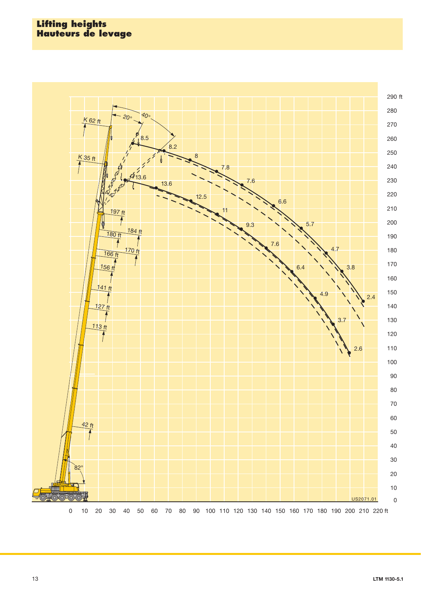## **Lifting heights Hauteurs de levage**

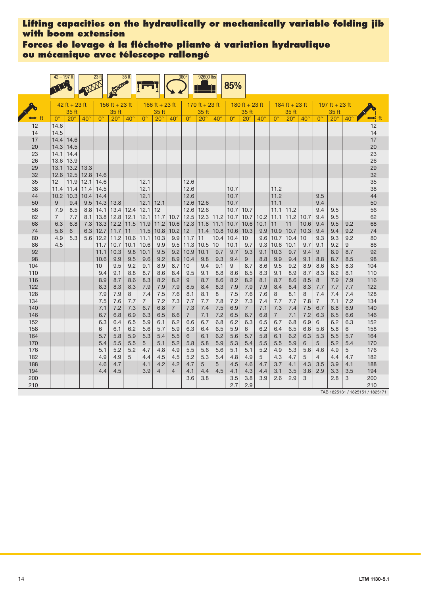**Forces de levage à la fléchette pliante à variation hydraulique ou mécanique avec télescope rallongé**

|            | $42 - 197$ ft  |                 |              | 23 <sub>ft</sub> |                | 35 ft       |                |                |                | 360°            | 92600 lbs      |              | 85%           |                |              |                |                  |              |                |                |              |                                 |
|------------|----------------|-----------------|--------------|------------------|----------------|-------------|----------------|----------------|----------------|-----------------|----------------|--------------|---------------|----------------|--------------|----------------|------------------|--------------|----------------|----------------|--------------|---------------------------------|
|            |                | $42$ ft + 23 ft |              |                  | 156 ft + 23 ft |             |                | 166 ft + 23 ft |                |                 | 170 ft + 23 ft |              |               | 180 ft + 23 ft |              |                | $184$ ft + 23 ft |              |                | 197 ft + 23 ft |              |                                 |
|            |                | 35 ft           |              |                  | 35 ft          |             |                | 35 ft          |                |                 | 35 ft          |              |               | 35 ft          |              |                | 35 ft            |              |                | 35 ft          |              |                                 |
|            | $0^{\circ}$    | $20^{\circ}$    | $40^{\circ}$ | $0^{\circ}$      | $20^{\circ}$   | $40^\circ$  | $0^{\circ}$    | $20^\circ$     | $40^{\circ}$   | $0^{\circ}$     | $20^\circ$     | $40^{\circ}$ | $0^{\circ}$   | $20^{\circ}$   | $40^{\circ}$ | $0^{\circ}$    | $20^\circ$       | $40^{\circ}$ | $0^{\circ}$    | $20^\circ$     | $40^{\circ}$ | ft                              |
| 12         | 14.6           |                 |              |                  |                |             |                |                |                |                 |                |              |               |                |              |                |                  |              |                |                |              | 12                              |
| 14         | 14.5           |                 |              |                  |                |             |                |                |                |                 |                |              |               |                |              |                |                  |              |                |                |              | 14                              |
| 17         | 14.4           | 14.6            |              |                  |                |             |                |                |                |                 |                |              |               |                |              |                |                  |              |                |                |              | 17                              |
| 20         | 14.3<br>14.1   | 14.5            |              |                  |                |             |                |                |                |                 |                |              |               |                |              |                |                  |              |                |                |              | 20<br>23                        |
| 23<br>26   | 13.6           | 14.4<br>13.9    |              |                  |                |             |                |                |                |                 |                |              |               |                |              |                |                  |              |                |                |              | 26                              |
| 29         | 13.1           | 13.2            | 13.3         |                  |                |             |                |                |                |                 |                |              |               |                |              |                |                  |              |                |                |              | 29                              |
| 32         | 12.6           | 12.5            | 12.8         | 14.6             |                |             |                |                |                |                 |                |              |               |                |              |                |                  |              |                |                |              | 32                              |
| 35         | 12             | 11.9            | 12.1         | 14.6             |                |             | 12.1           |                |                | 12.6            |                |              |               |                |              |                |                  |              |                |                |              | 35                              |
| 38         | 11.4           | 11.4            | 11.4         | 14.5             |                |             | 12.1           |                |                | 12.6            |                |              | 10.7          |                |              | 11.2           |                  |              |                |                |              | 38                              |
| 44         | 10.2           | 10.3            | 10.4         | 14.4             |                |             | 12.1           |                |                | 12.6            |                |              | 10.7          |                |              | 11.2           |                  |              | 9.5            |                |              | 44                              |
| 50         | 9              | 9.4             | 9.5          | 14.3             | 13.8           |             | 12.1           | 12.1           |                | 12.6            | 12.6           |              | 10.7          |                |              | 11.1           |                  |              | 9.4            |                |              | 50                              |
| 56         | 7.9            | 8.5             | 8.8          | 14.1             | 13.4           | 12.4        | 12.1           | 12             |                | 12.6            | 12.6           |              | 10.7          | 10.7           |              | 11.1           | 11.2             |              | 9.4            | 9.5            |              | 56                              |
| 62         | $\overline{7}$ | 7.7             | 8.1          | 13.8             | 12.8           | 12.1        | 12.1           | 11.7           | 10.7           | 12.5            | 12.3           | 11.2         | 10.7          | 10.7           | 10.2         | 11.1           | 11.2             | 10.7         | 9.4            | 9.5            |              | 62                              |
| 68         | 6.3            | 6.8             | 7.3          | 13.3             | 12.2           | 11.5        | 11.9           | 11.2           | 10.6           | 12.3            | 11.8           | $11.1$       | 10.7          | 10.6           | 10.1         | 11             | 11               | 10.6         | 9.4            | 9.5            | 9.2          | 68                              |
| 74         | 5.6            | 6               | 6.3          | 12.7             | 11.7           | 11          | 11.5           | 10.8           | 10.2           | 12              | 11.4           | 10.8         | $10.6$   10.3 |                | 9.9          | 10.9           | 10.7             | 10.3         | 9.4            | 9.4            | 9.2          | 74                              |
| 80         | 4.9            | 5.3             | 5.6          | 12.2             | 11.2           | 10.6        | 11.1           | 10.3           | 9.9            | 11.7            | 11             | 10.4         | 10.4          | 10             | 9.6          | 10.7           | 10.4             | 10           | 9.3            | 9.3            | 9.2          | 80                              |
| 86<br>92   | 4.5            |                 |              | 11.7<br>11.1     | 10.7<br>10.3   | 10.1<br>9.8 | 10.6<br>10.1   | 9.9<br>9.5     | 9.5<br>9.2     | 11.3<br>10.9    | 10.5<br>10.1   | 10<br>9.7    | 10.1<br>9.7   | 9.7<br>9.3     | 9.3<br>9.1   | 10.6<br>10.3   | 10.1<br>9.7      | 9.7<br>9.4   | 9.1<br>9       | 9.2<br>8.9     | 9<br>8.7     | 86<br>92                        |
| 98         |                |                 |              | 10.6             | 9.9            | 9.5         | 9.6            | 9.2            | 8.9            | 10.4            | 9.8            | 9.3          | 9.4           | 9              | 8.8          | 9.9            | 9.4              | 9.1          | 8.8            | 8.7            | 8.5          | 98                              |
| 104        |                |                 |              | 10               | 9.5            | 9.2         | 9.1            | 8.9            | 8.7            | 10 <sup>1</sup> | 9.4            | 9.1          | 9             | 8.7            | 8.6          | 9.5            | 9.2              | 8.9          | 8.6            | 8.5            | 8.3          | 104                             |
| 110        |                |                 |              | 9.4              | 9.1            | 8.8         | 8.7            | 8.6            | 8.4            | 9.5             | 9.1            | 8.8          | 8.6           | 8.5            | 8.3          | 9.1            | 8.9              | 8.7          | 8.3            | 8.2            | 8.1          | 110                             |
| 116        |                |                 |              | 8.9              | 8.7            | 8.6         | 8.3            | 8.2            | 8.2            | 9               | 8.7            | 8.6          | 8.2           | 8.2            | 8.1          | 8.7            | 8.6              | 8.5          | 8              | 7.9            | 7.9          | 116                             |
| 122        |                |                 |              | 8.3              | 8.3            | 8.3         | 7.9            | 7.9            | 7.9            | 8.5             | 8.4            | 8.3          | 7.9           | 7.9            | 7.9          | 8.4            | 8.4              | 8.3          | 7.7            | 7.7            | 7.7          | 122                             |
| 128        |                |                 |              | 7.9              | 7.9            | 8           | 7.4            | 7.5            | 7.6            | 8.1             | 8.1            | 8            | 7.5           | 7.6            | 7.6          | 8              | 8.1              | 8            | 7.4            | 7.4            | 7.4          | 128                             |
| 134        |                |                 |              | 7.5              | 7.6            | 7.7         | $\overline{7}$ | 7.2            | 7.3            | 7.7             | 7.7            | 7.8          | 7.2           | 7.3            | 7.4          | 7.7            | 7.7              | 7.8          | $\overline{7}$ | 7.1            | 7.2          | 134                             |
| 140        |                |                 |              | 7.1              | 7.2            | 7.3         | 6.7            | 6.8            | $\overline{7}$ | 7.3             | 7.4            | 7.5          | 6.9           | $7^{\circ}$    | 7.1          | 7.3            | 7.4              | 7.5          | 6.7            | 6.8            | 6.9          | 140                             |
| 146        |                |                 |              | 6.7              | 6.8            | 6.9         | 6.3            | 6.5            | 6.6            | $\overline{7}$  | 7.1            | 7.2          | 6.5           | 6.7            | 6.8          | $\overline{7}$ | 7.1              | 7.2          | 6.3            | 6.5            | 6.6          | 146                             |
| 152<br>158 |                |                 |              | 6.3<br>6         | 6.4<br>6.1     | 6.5<br>6.2  | 5.9            | 6.1<br>5.7     | 6.2<br>5.9     | 6.6<br>6.3      | 6.7<br>6.4     | 6.8<br>6.5   | 6.2<br>5.9    | 6.3<br>6       | 6.5<br>6.2   | 6.7<br>6.4     | 6.8<br>6.5       | 6.9<br>6.6   | 6<br>5.6       | 6.2<br>5.8     | 6.3<br>6     | 152<br>158                      |
| 164        |                |                 |              | 5.7              | 5.8            | 5.9         | 5.6<br>5.3     | 5.4            | 5.5            | 6               | 6.1            | 6.2          | 5.6           | 5.7            | 5.8          | 6.1            | 6.2              | 6.3          | 5.3            | 5.5            | 5.7          | 164                             |
| 170        |                |                 |              | 5.4              | 5.5            | 5.5         | 5              | 5.1            | 5.2            | 5.8             | 5.8            | 5.9          | 5.3           | 5.4            | 5.5          | 5.5            | 5.9              | 6            | 5              | 5.2            | 5.4          | 170                             |
| 176        |                |                 |              | 5.1              | 5.2            | 5.2         | 4.7            | 4.8            | 4.9            | 5.5             | 5.6            | 5.6          | 5.1           | 5.1            | 5.2          | 4.9            | 5.3              | 5.6          | 4.6            | 4.9            | 5            | 176                             |
| 182        |                |                 |              | 4.9              | 4.9            | 5           | 4.4            | 4.5            | 4.5            | 5.2             | 5.3            | 5.4          | 4.8           | 4.9            | 5            | 4.3            | 4.7              | 5            | $\overline{4}$ | 4.4            | 4.7          | 182                             |
| 188        |                |                 |              | 4.6              | 4.7            |             | 4.1            | 4.2            | 4.2            | 4.7             | 5              | 5            | 4.5           | 4.6            | 4.7          | 3.7            | 4.1              | 4.3          | 3.5            | 3.9            | 4.1          | 188                             |
| 194        |                |                 |              | 4.4              | 4.5            |             | 3.9            | 4              | 4              | 4.1             | 4.4            | 4.5          | 4.1           | 4.3            | 4.4          | 3.1            | 3.5              | 3.6          | 2.9            | 3.3            | 3.5          | 194                             |
| 200        |                |                 |              |                  |                |             |                |                |                | 3.6             | 3.8            |              | 3.5           | 3.8            | 3.9          | 2.6            | 2.9              | 3            |                | 2.8            | 3            | 200                             |
| 210        |                |                 |              |                  |                |             |                |                |                |                 |                |              | 2.7           | 2.9            |              |                |                  |              |                |                |              | 210                             |
|            |                |                 |              |                  |                |             |                |                |                |                 |                |              |               |                |              |                |                  |              |                |                |              | TAB 1825131 / 1825151 / 1825171 |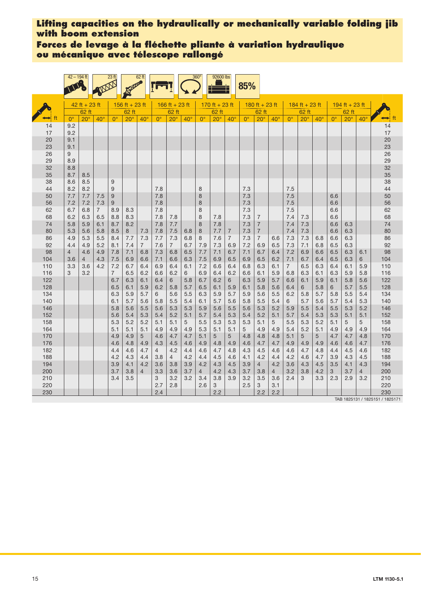**Forces de levage à la fléchette pliante à variation hydraulique ou mécanique avec télescope rallongé**

|            | $42 - 194$ ft<br><b>NEWS</b> |                 |                | 23 <sub>ft</sub>      |                  | 62 ft          |                  |                       |              | 360°             | 92600 lbs      |                | 85%              |                                  |            |                       |                  |            |                  |                |                |            |
|------------|------------------------------|-----------------|----------------|-----------------------|------------------|----------------|------------------|-----------------------|--------------|------------------|----------------|----------------|------------------|----------------------------------|------------|-----------------------|------------------|------------|------------------|----------------|----------------|------------|
|            |                              | $42$ ft + 23 ft |                |                       | 156 ft $+ 23$ ft |                |                  | 166 ft + 23 ft        |              |                  | 170 ft + 23 ft |                |                  | $180$ ft + 23 ft                 |            |                       | $184$ ft + 23 ft |            |                  | 194 ft + 23 ft |                |            |
|            |                              | 62 ft           |                |                       | 62 ft            |                |                  | 62 ft                 |              |                  | 62 ft          |                |                  | 62 ft                            |            |                       | 62 ft            |            |                  | 62 ft          |                |            |
|            | $0^{\circ}$                  | $20^\circ$      | $40^\circ$     | $0^{\circ}$           | $20^{\circ}$     | $40^{\circ}$   | $\Omega^{\circ}$ | $20^\circ$            | $40^{\circ}$ | $\Omega^{\circ}$ | $20^\circ$     | $40^\circ$     | $\Omega^{\circ}$ | $20^\circ$                       | $40^\circ$ | $\Omega^{\circ}$      | $20^\circ$       | $40^\circ$ | $\Omega^{\circ}$ | $20^\circ$     | $40^{\circ}$   | ft         |
| 14<br>17   | 9.2<br>9.2                   |                 |                |                       |                  |                |                  |                       |              |                  |                |                |                  |                                  |            |                       |                  |            |                  |                |                | 14<br>17   |
| 20         | 9.1                          |                 |                |                       |                  |                |                  |                       |              |                  |                |                |                  |                                  |            |                       |                  |            |                  |                |                | 20         |
| 23         | 9.1                          |                 |                |                       |                  |                |                  |                       |              |                  |                |                |                  |                                  |            |                       |                  |            |                  |                |                | 23         |
| 26         | 9                            |                 |                |                       |                  |                |                  |                       |              |                  |                |                |                  |                                  |            |                       |                  |            |                  |                |                | 26         |
| 29         | 8.9                          |                 |                |                       |                  |                |                  |                       |              |                  |                |                |                  |                                  |            |                       |                  |            |                  |                |                | 29         |
| 32<br>35   | 8.8<br>8.7                   |                 |                |                       |                  |                |                  |                       |              |                  |                |                |                  |                                  |            |                       |                  |            |                  |                |                | 32<br>35   |
| 38         | 8.6                          | 8.5<br>8.5      |                | 9                     |                  |                |                  |                       |              |                  |                |                |                  |                                  |            |                       |                  |            |                  |                |                | 38         |
| 44         | 8.2                          | 8.2             |                | 9                     |                  |                | 7.8              |                       |              | 8                |                |                | 7.3              |                                  |            | 7.5                   |                  |            |                  |                |                | 44         |
| 50         | 7.7                          | 7.7             | 7.5            | 9                     |                  |                | 7.8              |                       |              | 8                |                |                | 7.3              |                                  |            | 7.5                   |                  |            | 6.6              |                |                | 50         |
| 56         | 7.2                          | 7.2             | 7.3            | 9                     |                  |                | 7.8              |                       |              | 8                |                |                | 7.3              |                                  |            | 7.5                   |                  |            | 6.6              |                |                | 56         |
| 62         | 6.7                          | 6.8             | $\overline{7}$ | 8.9                   | 8.3              |                | 7.8              |                       |              | 8                |                |                | 7.3              |                                  |            | 7.5                   |                  |            | 6.6              |                |                | 62         |
| 68<br>74   | 6.2<br>5.8                   | 6.3<br>5.9      | 6.5<br>6.1     | 8.8<br>8.7            | 8.3<br>8.2       |                | 7.8<br>7.8       | 7.8<br>7.7            |              | 8<br>8           | 7.8<br>7.8     |                | 7.3<br>7.3       | $\overline{7}$<br>$\overline{7}$ |            | 7.4<br>7.4            | 7.3<br>7.3       |            | 6.6<br>6.6       | 6.3            |                | 68<br>74   |
| 80         | 5.3                          | 5.6             | 5.8            | 8.5                   | 8                | 7.3            | 7.8              | 7.5                   | 6.8          | 8                | 7.7            | 7              | 7.3              | $\overline{7}$                   |            | 7.4                   | 7.3              |            | 6.6              | 6.3            |                | 80         |
| 86         | 4.9                          | 5.3             | 5.5            | 8.4                   | 7.7              | 7.3            | 7.7              | 7.3                   | 6.8          | 8                | 7.6            | $\overline{7}$ | 7.3              | $\overline{7}$                   | 6.6        | 7.3                   | 7.3              | 6.8        | 6.6              | 6.3            |                | 86         |
| 92         | 4.4                          | 4.9             | 5.2            | 8.1                   | 7.4              | $\overline{7}$ | 7.6              | $\overline{7}$        | 6.7          | 7.9              | 7.3            | 6.9            | 7.2              | 6.9                              | 6.5        | 7.3                   | 7.1              | 6.8        | 6.5              | 6.3            |                | 92         |
| 98         | $\overline{4}$               | 4.6             | 4.9            | 7.8                   | 7.1              | 6.8            | 7.3              | 6.8                   | 6.5          | 7.7              | 7.1            | 6.7            | 7.1              | 6.7                              | 6.4        | 7.2                   | 6.9              | 6.6        | 6.5              | 6.3            | 6.1            | 98         |
| 104        | 3.6                          | 4               | 4.3            | 7.5                   | 6.9              | 6.6            | 7.1              | 6.6                   | 6.3          | 7.5              | 6.9            | 6.5            | 6.9              | 6.5                              | 6.2        | 7.1                   | 6.7              | 6.4        | 6.5              | 6.3            | 6              | 104<br>110 |
| 110<br>116 | 3.3<br>3                     | 3.6<br>3.2      | 4.2            | 7.2<br>$\overline{7}$ | 6.7<br>6.5       | 6.4<br>6.2     | 6.9<br>6.6       | 6.4<br>6.2            | 6.1<br>6     | 7.2<br>6.9       | 6.6<br>6.4     | 6.4<br>6.2     | 6.8<br>6.6       | 6.3<br>6.1                       | 6.1<br>5.9 | $\overline{7}$<br>6.8 | 6.5<br>6.3       | 6.3<br>6.1 | 6.4<br>6.3       | 6.1<br>5.9     | 5.9<br>5.8     | 116        |
| 122        |                              |                 |                | 6.7                   | 6.3              | 6.1            | 6.4              | 6                     | 5.8          | 6.7              | 6.2            | 6              | 6.3              | 5.9                              | 5.7        | 6.6                   | 6.1              | 5.9        | 6.1              | 5.8            | 5.6            | 122        |
| 128        |                              |                 |                | 6.5                   | 6.1              | 5.9            | 6.2              | 5.8                   | 5.7          | 6.5              | 6.1            | 5.9            | 6.1              | 5.8                              | 5.6        | 6.4                   | 6                | 5.8        | 6                | 5.7            | 5.5            | 128        |
| 134        |                              |                 |                | 6.3                   | 5.9              | 5.7            | 6                | 5.6                   | 5.5          | 6.3              | 5.9            | 5.7            | 5.9              | 5.6                              | 5.5        | 6.2                   | 5.8              | 5.7        | 5.8              | 5.5            | 5.4            | 134        |
| 140        |                              |                 |                | 6.1                   | 5.7              | 5.6            | 5.8              | 5.5                   | 5.4          | 6.1              | 5.7            | 5.6            | 5.8              | 5.5                              | 5.4        | 6                     | 5.7              | 5.6        | 5.7              | 5.4            | 5.3            | 140        |
| 146<br>152 |                              |                 |                | 5.8<br>5.6            | 5.6<br>5.4       | 5.5<br>5.3     | 5.6<br>5.4       | 5.3<br>5.2            | 5.3<br>5.1   | 5.9<br>5.7       | 5.6<br>5.4     | 5.5<br>5.3     | 5.6<br>5.4       | 5.3<br>5.2                       | 5.2<br>5.1 | 5.9<br>5.7            | 5.5<br>5.4       | 5.4<br>5.3 | 5.5<br>5.3       | 5.3<br>5.1     | 5.2<br>5.1     | 146<br>152 |
| 158        |                              |                 |                | 5.3                   | 5.2              | 5.2            | 5.1              | 5.1                   | 5            | 5.5              | 5.3            | 5.3            | 5.3              | 5.1                              | 5          | 5.5                   | 5.3              | 5.2        | 5.1              | 5              | 5              | 158        |
| 164        |                              |                 |                | 5.1                   | 5.1              | 5.1            | 4.9              | 4.9                   | 4.9          | 5.3              | 5.1            | 5.1            | 5                | 4.9                              | 4.9        | 5.4                   | 5.2              | 5.1        | 4.9              | 4.9            | 4.9            | 164        |
| 170        |                              |                 |                | 4.9                   | 4.9              | 5              | 4.6              | 4.7                   | 4.7          | 5.1              | 5              | 5              | 4.8              | 4.8                              | 4.8        | 5.1                   | 5                | 5          | 4.7              | 4.7            | 4.8            | 170        |
| 176        |                              |                 |                | 4.6                   | 4.8              | 4.9            | 4.3              | 4.5                   | 4.6          | 4.9              | 4.8            | 4.9            | 4.6              | 4.7                              | 4.7        | 4.9                   | 4.9              | 4.9        | 4.6              | 4.6            | 4.7            | 176        |
| 182        |                              |                 |                | 4.4                   | 4.6              | 4.7            | $\overline{4}$   | 4.2                   | 4.4          | 4.6              | 4.7            | 4.8            | 4.3              | 4.5                              | 4.6        | 4.6                   | 4.7              | 4.8        | 4.4              | 4.5            | 4.6            | 182        |
| 188<br>194 |                              |                 |                | 4.2<br>3.9            | 4.3<br>4.1       | 4.4<br>4.2     | 3.8<br>3.6       | $\overline{4}$<br>3.8 | 4.2<br>3.9   | 4.4<br>4.2       | 4.5<br>4.3     | 4.6<br>4.5     | 4.1<br>3.9       | 4.2<br>$\overline{4}$            | 4.4<br>4.2 | 4.2<br>3.6            | 4.6<br>4.3       | 4.7<br>4.5 | 3.9<br>3.5       | 4.3<br>4.1     | 4.5<br>4.3     | 188<br>194 |
| 200        |                              |                 |                | 3.7                   | 3.8              | $\overline{4}$ | 3.3              | 3.6                   | 3.7          | $\overline{4}$   | 4.2            | 4.3            | 3.7              | 3.8                              | 4          | 3.2                   | 3.8              | 4.2        | 3                | 3.7            | $\overline{4}$ | 200        |
| 210        |                              |                 |                | 3.4                   | 3.5              |                | 3                | 3.2                   | 3.2          | 3.4              | 3.8            | 3.9            | 3.2              | 3.5                              | 3.6        | 2.4                   | 3                | 3.3        | 2.3              | 2.9            | 3.2            | 210        |
| 220        |                              |                 |                |                       |                  |                | 2.7              | 2.8                   |              | 2.6              | 3              |                | 2.5              | 3                                | 3.1        |                       |                  |            |                  |                |                | 220        |
| 230        |                              |                 |                |                       |                  |                | 2.4              |                       |              |                  | 2.2            |                |                  | 2.2                              | 2.2        |                       |                  |            |                  |                |                | 230        |

TAB 1825131 / 1825151 / 1825171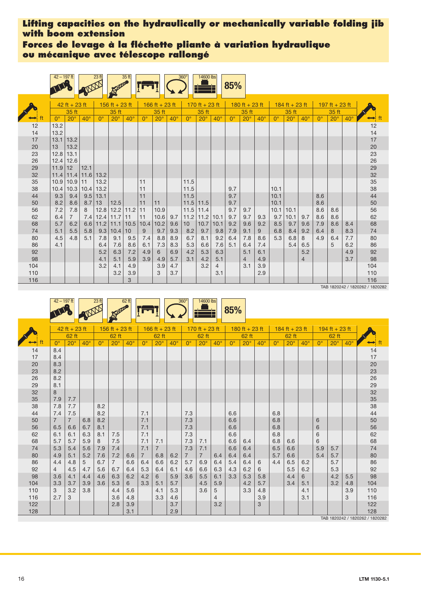**Forces de levage à la fléchette pliante à variation hydraulique ou mécanique avec télescope rallongé**

|     | $42 - 197$ ft |                 |            | 23 <sub>ft</sub> |                | 35 ft       |             |                |              | $360^\circ$ | 14600 lbs      |                | 85%         |                |              |             |                |                |             |                |              |          |
|-----|---------------|-----------------|------------|------------------|----------------|-------------|-------------|----------------|--------------|-------------|----------------|----------------|-------------|----------------|--------------|-------------|----------------|----------------|-------------|----------------|--------------|----------|
|     |               | $42$ ft + 23 ft |            |                  | 156 ft + 23 ft |             |             | 166 ft + 23 ft |              |             | 170 ft + 23 ft |                |             | 180 ft + 23 ft |              |             | 184 ft + 23 ft |                |             | 197 ft + 23 ft |              |          |
|     |               | 35 ft           |            |                  | 35 ft          |             |             | 35 ft          |              |             | 35 ft          |                |             | 35 ft          |              |             | 35 ft          |                |             | 35 ft          |              |          |
|     | $0^{\circ}$   | $20^\circ$      | $40^\circ$ | $0^{\circ}$      | $20^\circ$     | $40^\circ$  | $0^{\circ}$ | $20^\circ$     | $40^{\circ}$ | $\theta$    | $20^\circ$     | $40^\circ$     | $0^{\circ}$ | $20^\circ$     | $40^{\circ}$ | $0^{\circ}$ | $20^\circ$     | $40^\circ$     | $0^{\circ}$ | $20^\circ$     | $40^{\circ}$ |          |
| 12  | 13.2          |                 |            |                  |                |             |             |                |              |             |                |                |             |                |              |             |                |                |             |                |              | 12       |
| 14  | 13.2          |                 |            |                  |                |             |             |                |              |             |                |                |             |                |              |             |                |                |             |                |              | 14       |
| 17  | 13.1          | 13.2            |            |                  |                |             |             |                |              |             |                |                |             |                |              |             |                |                |             |                |              | 17       |
| 20  | 13            | 13.2            |            |                  |                |             |             |                |              |             |                |                |             |                |              |             |                |                |             |                |              | 20       |
| 23  | 12.8          | 13.1            |            |                  |                |             |             |                |              |             |                |                |             |                |              |             |                |                |             |                |              | 23       |
| 26  | 12.4          | 12.6            |            |                  |                |             |             |                |              |             |                |                |             |                |              |             |                |                |             |                |              | 26       |
| 29  | 11.9          | 12              | 12.1       |                  |                |             |             |                |              |             |                |                |             |                |              |             |                |                |             |                |              | 29<br>32 |
| 32  | 11.4          | 11.4            | 11.6 13.2  |                  |                |             |             |                |              |             |                |                |             |                |              |             |                |                |             |                |              |          |
| 35  | 10.9          | 10.9            | 11         | 13.2             |                |             | 11          |                |              | 11.5        |                |                |             |                |              |             |                |                |             |                |              | 35       |
| 38  | 10.4          | 10.3            | 10.4       | 13.2             |                |             | 11          |                |              | 11.5        |                |                | 9.7         |                |              | 10.1        |                |                |             |                |              | 38       |
| 44  | 9.3           | 9.4             | 9.5        | 13.1             |                |             | 11          |                |              | 11.5        |                |                | 9.7         |                |              | 10.1        |                |                | 8.6         |                |              | 44       |
| 50  | 8.2           | 8.6             | 8.7        | 13               | 12.5           |             | 11          | 11             |              | 11.5        | 11.5           |                | 9.7         |                |              | 10.1        |                |                | 8.6         |                |              | 50       |
| 56  | 7.2           | 7.8             | 8          | 12.8             |                | $12.2$ 11.2 | 11          | 10.9           |              | 11.5        | 11.4           |                | 9.7         | 9.7            |              | 10.1        | 10.1           |                | 8.6         | 8.6            |              | 56       |
| 62  | 6.4           | $\overline{7}$  | 7.4        | 12.4             | 11.7           | 11          | 11          | 10.6           | 9.7          | 11.2        | 11.2           | 10.1           | 9.7         | 9.7            | 9.3          | 9.7         | 10.1           | 9.7            | 8.6         | 8.6            |              | 62       |
| 68  | 5.7           | 6.2             | 6.6        | 11.2             | 11.1           | 10.5        | 10.4        | 10.2           | 9.6          | 10          | 10.7           | 10.1           | 9.2         | 9.6            | 9.2          | 8.5         | 9.7            | 9.6            | 7.9         | 8.6            | 8.4          | 68       |
| 74  | 5.1           | 5.5             | 5.8        | 9.3              | 10.4           | 10          | 9           | 9.7            | 9.3          | 8.2         | 9.7            | 9.8            | 7.9         | 9.1            | 9            | 6.8         | 8.4            | 9.2            | 6.4         | 8              | 8.3          | 74       |
| 80  | 4.5           | 4.8             | 5.1        | 7.8              | 9.1            | 9.5         | 7.4         | 8.8            | 8.9          | 6.7         | 8.1            | 9.2            | 6.4         | 7.8            | 8.6          | 5.3         | 6.8            | 8              | 4.9         | 6.4            | 7.7          | 80       |
| 86  | 4.1           |                 |            | 6.4              | 7.6            | 8.6         | 6.1         | 7.3            | 8.3          | 5.3         | 6.6            | 7.6            | 5.1         | 6.4            | 7.4          |             | 5.4            | 6.5            |             | 5              | 6.2          | 86       |
| 92  |               |                 |            | 5.2              | 6.3            | 7.2         | 4.9         | 6              | 6.9          | 4.2         | 5.3            | 6.3            |             | 5.1            | 6.1          |             |                | 5.2            |             |                | 4.9          | 92       |
| 98  |               |                 |            | 4.1              | 5.1            | 5.9         | 3.9         | 4.9            | 5.7          | 3.1         | 4.2            | 5.1            |             | $\overline{4}$ | 4.9          |             |                | $\overline{4}$ |             |                | 3.7          | 98       |
| 104 |               |                 |            | 3.2              | 4.1            | 4.9         |             | 3.9            | 4.7          |             | 3.2            | $\overline{4}$ |             | 3.1            | 3.9          |             |                |                |             |                |              | 104      |
| 110 |               |                 |            |                  | 3.2            | 3.9         |             | 3              | 3.7          |             |                | 3.1            |             |                | 2.9          |             |                |                |             |                |              | 110      |
| 116 |               |                 |            |                  |                | 3           |             |                |              |             |                |                |             |                |              |             |                |                |             |                |              | 116      |

TAB 1820242 / 1820262 / 1820282

|          |                       |                 |            |             |                |            |             |                |            |                |                |              | 85%         |                |              |             |                  |              |             |                  |              |                                 |
|----------|-----------------------|-----------------|------------|-------------|----------------|------------|-------------|----------------|------------|----------------|----------------|--------------|-------------|----------------|--------------|-------------|------------------|--------------|-------------|------------------|--------------|---------------------------------|
|          |                       |                 |            |             |                |            |             |                |            |                |                |              |             |                |              |             |                  |              |             |                  |              |                                 |
|          |                       | $42$ ft + 23 ft |            |             | 156 ft + 23 ft |            |             | 166 ft + 23 ft |            |                | 170 ft + 23 ft |              |             | 180 ft + 23 ft |              |             | $184$ ft + 23 ft |              |             | $194$ ft + 23 ft |              |                                 |
|          |                       | 62 ft           |            |             | 62 ft          |            |             | 62 ft          |            |                | 62 ft          |              |             | 62 ft          |              |             | 62 ft            |              |             | 62 ft            |              |                                 |
|          | $0^{\circ}$           | $20^\circ$      | $40^\circ$ | $0^{\circ}$ | $20^{\circ}$   | $40^\circ$ | $0^{\circ}$ | $20^\circ$     | $40^\circ$ | $0^{\circ}$    | $20^{\circ}$   | $40^{\circ}$ | $0^{\circ}$ | $20^{\circ}$   | $40^{\circ}$ | $0^{\circ}$ | $20^\circ$       | $40^{\circ}$ | $0^{\circ}$ | $20^{\circ}$     | $40^{\circ}$ |                                 |
| 14       | 8.4                   |                 |            |             |                |            |             |                |            |                |                |              |             |                |              |             |                  |              |             |                  |              | 14                              |
| 17       | 8.4                   |                 |            |             |                |            |             |                |            |                |                |              |             |                |              |             |                  |              |             |                  |              | $17$                            |
| 20       | 8.3                   |                 |            |             |                |            |             |                |            |                |                |              |             |                |              |             |                  |              |             |                  |              | $\frac{20}{23}$                 |
| 23       | 8.2                   |                 |            |             |                |            |             |                |            |                |                |              |             |                |              |             |                  |              |             |                  |              |                                 |
| 26       | 8.2                   |                 |            |             |                |            |             |                |            |                |                |              |             |                |              |             |                  |              |             |                  |              | 26<br>29                        |
| 29       | 8.1                   |                 |            |             |                |            |             |                |            |                |                |              |             |                |              |             |                  |              |             |                  |              |                                 |
| 32       | 8                     |                 |            |             |                |            |             |                |            |                |                |              |             |                |              |             |                  |              |             |                  |              | 32<br>35                        |
| 35<br>38 | 7.9<br>7.8            | 7.7             |            | 8.2         |                |            |             |                |            |                |                |              |             |                |              |             |                  |              |             |                  |              | 38                              |
| 44       |                       | 7.7<br>7.5      |            | 8.2         |                |            | 7.1         |                |            |                |                |              | 6.6         |                |              |             |                  |              |             |                  |              | 44                              |
| 50       | 7.4<br>$\overline{7}$ | $\overline{7}$  | 6.8        | 8.2         |                |            | 7.1         |                |            | 7.3<br>7.3     |                |              | 6.6         |                |              | 6.8<br>6.8  |                  |              | 6           |                  |              | 50                              |
| 56       | 6.5                   |                 | 6.7        | 8.1         |                |            | 7.1         |                |            | 7.3            |                |              |             |                |              | 6.8         |                  |              |             |                  |              | 56                              |
| 62       | 6.1                   | 6.6<br>6.1      | 6.3        | 8.1         | 7.5            |            | 7.1         |                |            | 7.3            |                |              | 6.6<br>6.6  |                |              | 6.8         |                  |              | 6<br>6      |                  |              | 62                              |
| 68       | 5.7                   | 5.7             | 5.9        | 8           | 7.5            |            | 7.1         | 7.1            |            | 7.3            | 7.1            |              | 6.6         | 6.4            |              | 6.8         | 6.6              |              | 6           |                  |              | 68                              |
| 74       | 5.3                   | 5.4             | 5.6        | 7.9         | 7.4            |            | 7.1         | $\overline{7}$ |            | 7.3            | 7.1            |              | 6.6         | 6.4            |              | 6.5         | 6.6              |              | 5.9         | 5.7              |              | 74                              |
| 80       | 4.9                   | 5.1             | 5.2        | 7.6         | 7.2            | 6.6        | 7           | 6.8            | 6.2        | $\overline{7}$ | $\overline{7}$ | 6.4          | 6.4         | 6.4            |              | 5.7         | 6.6              |              | 5.4         | 5.7              |              | 80                              |
| 86       | 4.4                   | 4.8             | 5          | 6.7         | $\overline{7}$ | 6.6        | 6.4         | 6.6            | 6.2        | 5.7            | 6.9            | 6.4          | 5.4         | 6.4            | 6            | 4.4         | 6.5              | 6.2          |             | 5.7              |              | 86                              |
| 92       | $\overline{4}$        | 4.5             | 4.7        | 5.6         | 6.7            | 6.4        | 5.3         | 6.4            | 6.1        | 4.6            | 6.6            | 6.3          | 4.3         | 6.2            | 6            |             | 5.5              | 6.2          |             | 5.3              |              | 92                              |
| 98       | 3.6                   | 4.1             | 4.4        | 4.6         | 6.3            | 6.2        | 4.2         | 6              | 5.9        | 3.6            | 5.5            | 6.1          | 3.3         | 5.3            | 5.8          |             | 4.4              | 6            |             | 4.2              | 5.5          | 98                              |
| 104      | 3.3                   | 3.7             | 3.9        | 3.6         | 5.3            | 6          | 3.3         | 5.1            | 5.7        |                | 4.5            | 5.9          |             | 4.2            | 5.7          |             | 3.4              | 5.1          |             | 3.2              | 4.8          | 104                             |
| 110      | 3                     | 3.2             | 3.8        |             | 4.4            | 5.6        |             | 4.1            | 5.3        |                | 3.6            | 5            |             | 3.3            | 4.8          |             |                  | 4.1          |             |                  | 3.9          | 110                             |
| 116      | 2.7                   | 3               |            |             | 3.6            | 4.8        |             | 3.3            | 4.6        |                |                | 4            |             |                | 3.9          |             |                  | 3.1          |             |                  | 3            | 116                             |
| 122      |                       |                 |            |             | 2.8            | 3.9        |             |                | 3.7        |                |                | 3.2          |             |                | 3            |             |                  |              |             |                  |              | 122                             |
| 128      |                       |                 |            |             |                | 3.1        |             |                | 2.9        |                |                |              |             |                |              |             |                  |              |             |                  |              | 128                             |
|          |                       |                 |            |             |                |            |             |                |            |                |                |              |             |                |              |             |                  |              |             |                  |              | TAB 1820242 / 1820262 / 1820282 |

42 – 197 ft | 23 ft | 62 ft | 360° | 14600 lbs

 $23 \text{ ft}$  62 ft  $\sim$  1 360 $^{\circ}$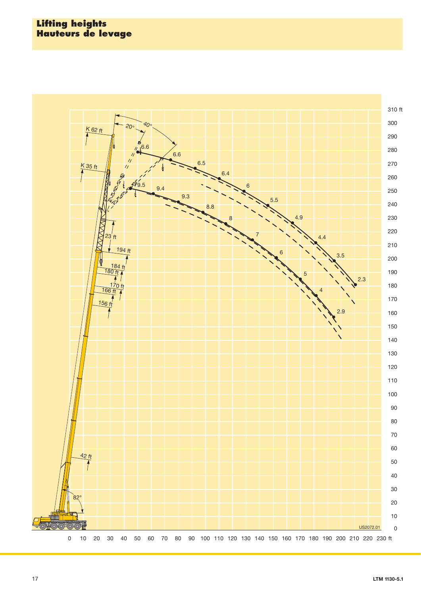#### **Lifting heights Hauteurs de levage**

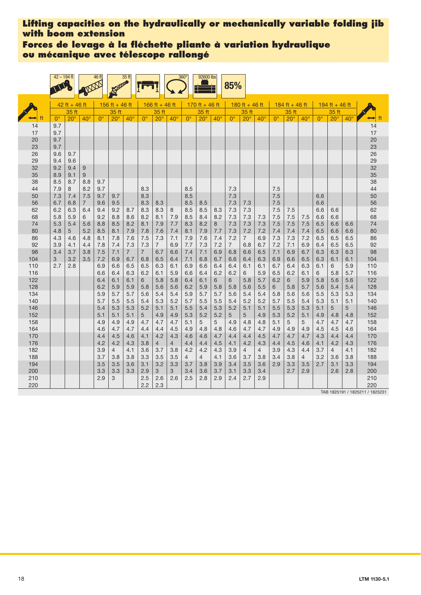**Forces de levage à la fléchette pliante à variation hydraulique ou mécanique avec télescope rallongé**

|            | $42 - 194$ ft |               |                       | 46 ft       |                | 35 ft          |                |                |              | $360^\circ$ | 92600 lbs      |              | 85%             |                |              |             |                |              |             |                |              |                                        |
|------------|---------------|---------------|-----------------------|-------------|----------------|----------------|----------------|----------------|--------------|-------------|----------------|--------------|-----------------|----------------|--------------|-------------|----------------|--------------|-------------|----------------|--------------|----------------------------------------|
|            |               | 42 ft + 46 ft |                       |             | 156 ft + 46 ft |                |                | 166 ft + 46 ft |              |             | 170 ft + 46 ft |              |                 | 180 ft + 46 ft |              |             | 184 ft + 46 ft |              |             | 194 ft + 46 ft |              |                                        |
|            |               | 35 ft         |                       |             | 35 ft          |                |                | 35 ft          |              |             | 35 ft          |              |                 | 35 ft          |              |             | 35 ft          |              |             | 35 ft          |              |                                        |
|            | $0^{\circ}$   | $20^\circ$    | $40^{\circ}$          | $0^{\circ}$ | $20^{\circ}$   | $40^{\circ}$   | $0^{\circ}$    | $20^\circ$     | $40^{\circ}$ | $0^{\circ}$ | $20^\circ$     | $40^{\circ}$ | $0^{\circ}$     | $20^{\circ}$   | $40^{\circ}$ | $0^{\circ}$ | $20^\circ$     | $40^{\circ}$ | $0^{\circ}$ | $20^\circ$     | $40^{\circ}$ | ft                                     |
| 14         | 9.7           |               |                       |             |                |                |                |                |              |             |                |              |                 |                |              |             |                |              |             |                |              | 14                                     |
| 17<br>20   | 9.7<br>9.7    |               |                       |             |                |                |                |                |              |             |                |              |                 |                |              |             |                |              |             |                |              | 17<br>20                               |
| 23         | 9.7           |               |                       |             |                |                |                |                |              |             |                |              |                 |                |              |             |                |              |             |                |              | 23                                     |
| 26         | 9.6           | 9.7           |                       |             |                |                |                |                |              |             |                |              |                 |                |              |             |                |              |             |                |              | 26                                     |
| 29         | 9.4           | 9.6           |                       |             |                |                |                |                |              |             |                |              |                 |                |              |             |                |              |             |                |              | 29                                     |
| 32         | 9.2           | 9.4           | 9                     |             |                |                |                |                |              |             |                |              |                 |                |              |             |                |              |             |                |              | 32                                     |
| 35         | 8.9           | 9.1           | 9                     |             |                |                |                |                |              |             |                |              |                 |                |              |             |                |              |             |                |              | 35                                     |
| 38         | 8.5           | 8.7           | 8.8                   | 9.7         |                |                |                |                |              |             |                |              |                 |                |              |             |                |              |             |                |              | 38                                     |
| 44         | 7.9           | 8             | 8.2                   | 9.7         |                |                | 8.3            |                |              | 8.5         |                |              | 7.3             |                |              | 7.5         |                |              |             |                |              | 44                                     |
| 50<br>56   | 7.3<br>6.7    | 7.4<br>6.8    | 7.5<br>$\overline{7}$ | 9.7<br>9.6  | 9.7<br>9.5     |                | 8.3<br>8.3     | 8.3            |              | 8.5<br>8.5  | 8.5            |              | 7.3<br>7.3      | 7.3            |              | 7.5<br>7.5  |                |              | 6.6<br>6.6  |                |              | 50<br>56                               |
| 62         | 6.2           | 6.3           | 6.4                   | 9.4         | 9.2            | 8.7            | 8.3            | 8.3            | 8            | 8.5         | 8.5            | 8.3          | 7.3             | 7.3            |              | 7.5         | 7.5            |              | 6.6         | 6.6            |              | 62                                     |
| 68         | 5.8           | 5.9           | 6                     | 9.2         | 8.8            | 8.6            | 8.2            | 8.1            | 7.9          | 8.5         | 8.4            | 8.2          | 7.3             | 7.3            | 7.3          | 7.5         | 7.5            | 7.5          | 6.6         | 6.6            |              | 68                                     |
| 74         | 5.3           | 5.4           | 5.6                   | 8.8         | 8.5            | 8.2            | 8.1            | 7.9            | 7.7          | 8.3         | 8.2            | 8            | 7.3             | 7.3            | 7.3          | 7.5         | 7.5            | 7.5          | 6.5         | 6.6            | 6.6          | 74                                     |
| 80         | 4.8           | 5             | 5.2                   | 8.5         | 8.1            | 7.9            | 7.8            | 7.6            | 7.4          | 8.1         | 7.9            | 7.7          | 7.3             | 7.2            | 7.2          | 7.4         | 7.4            | 7.4          | 6.5         | 6.6            | 6.6          | 80                                     |
| 86         | 4.3           | 4.6           | 4.8                   | 8.1         | 7.8            | 7.6            | 7.5            | 7.3            | 7.1          | 7.9         | 7.6            | 7.4          | 7.2             | $\overline{7}$ | 6.9          | 7.3         | 7.3            | 7.2          | 6.5         | 6.5            | 6.5          | 86                                     |
| 92         | 3.9           | 4.1           | 4.4                   | 7.8         | 7.4            | 7.3            | 7.3            | $\overline{7}$ | 6.9          | 7.7         | 7.3            | 7.2          | $7\overline{ }$ | 6.8            | 6.7          | 7.2         | 7.1            | 6.9          | 6.4         | 6.5            | 6.5          | 92                                     |
| 98         | 3.4           | 3.7           | 3.8                   | 7.5         | 7.1            | $\overline{7}$ | $\overline{7}$ | 6.7            | 6.6          | 7.4         | 7.1            | 6.9          | 6.8             | 6.6            | 6.5          | 7.1         | 6.9            | 6.7          | 6.3         | 6.3            | 6.3          | 98                                     |
| 104        | 3             | 3.2           | 3.5                   | 7.2         | 6.9            | 6.7            | 6.8            | 6.5            | 6.4          | 7.1         | 6.8            | 6.7          | 6.6             | 6.4            | 6.3          | 6.9         | 6.6            | 6.5          | 6.3         | 6.1            | 6.1          | 104                                    |
| 110<br>116 | 2.7           | 2.8           |                       | 6.9<br>6.6  | 6.6<br>6.4     | 6.5<br>6.3     | 6.5<br>6.2     | 6.3<br>6.1     | 6.1<br>5.9   | 6.9<br>6.6  | 6.6<br>6.4     | 6.4<br>6.2   | 6.4<br>6.2      | 6.1<br>6       | 6.1<br>5.9   | 6.7<br>6.5  | 6.4<br>6.2     | 6.3<br>6.1   | 6.1<br>6    | 6<br>5.8       | 5.9<br>5.7   | 110<br>116                             |
| 122        |               |               |                       | 6.4         | 6.1            | 6.1            | 6              | 5.8            | 5.8          | 6.4         | 6.1            | 6            | 6               | 5.8            | 5.7          | 6.2         | 6              | 5.9          | 5.8         | 5.6            | 5.6          | 122                                    |
| 128        |               |               |                       | 6.2         | 5.9            | 5.9            | 5.8            | 5.6            | 5.6          | 6.2         | 5.9            | 5.8          | 5.8             | 5.6            | 5.5          | 6           | 5.8            | 5.7          | 5.6         | 5.4            | 5.4          | 128                                    |
| 134        |               |               |                       | 5.9         | 5.7            | 5.7            | 5.6            | 5.4            | 5.4          | 5.9         | 5.7            | 5.7          | 5.6             | 5.4            | 5.4          | 5.8         | 5.6            | 5.6          | 5.5         | 5.3            | 5.3          | 134                                    |
| 140        |               |               |                       | 5.7         | 5.5            | 5.5            | 5.4            | 5.3            | 5.2          | 5.7         | 5.5            | 5.5          | 5.4             | 5.2            | 5.2          | 5.7         | 5.5            | 5.4          | 5.3         | 5.1            | 5.1          | 140                                    |
| 146        |               |               |                       | 5.4         | 5.3            | 5.3            | 5.2            | 5.1            | 5.1          | 5.5         | 5.4            | 5.3          | 5.2             | 5.1            | 5.1          | 5.5         | 5.3            | 5.3          | 5.1         | 5              | 5            | 146                                    |
| 152        |               |               |                       | 5.1         | 5.1            | 5.1            | 5              | 4.9            | 4.9          | 5.3         | 5.2            | 5.2          | 5               | 5              | 4.9          | 5.3         | 5.2            | 5.1          | 4.9         | 4.8            | 4.8          | 152                                    |
| 158        |               |               |                       | 4.9         | 4.9            | 4.9            | 4.7            | 4.7            | 4.7          | 5.1         | 5              | 5            | 4.9             | 4.8            | 4.8          | 5.1         | 5              | 5            | 4.7         | 4.7            | 4.7          | 158                                    |
| 164<br>170 |               |               |                       | 4.6<br>4.4  | 4.7            | 4.7<br>4.6     | 4.4            | 4.4<br>4.2     | 4.5          | 4.9<br>4.6  | 4.8<br>4.6     | 4.8<br>4.7   | 4.6<br>4.4      | 4.7<br>4.4     | 4.7          | 4.9         | 4.9            | 4.9          | 4.5         | 4.5<br>4.4     | 4.6          | 164<br>170                             |
| 176        |               |               |                       | 4.2         | 4.5<br>4.2     | 4.3            | 4.1<br>3.8     | 4              | 4.3<br>4     | 4.4         | 4.4            | 4.5          | 4.1             | 4.2            | 4.5<br>4.3   | 4.7<br>4.4  | 4.7<br>4.5     | 4.7<br>4.6   | 4.3<br>4.1  | 4.2            | 4.4<br>4.3   | 176                                    |
| 182        |               |               |                       | 3.9         | 4              | 4.1            | 3.6            | 3.7            | 3.8          | 4.2         | 4.2            | 4.3          | 3.9             | $\overline{4}$ | 4            | 3.9         | 4.3            | 4.4          | 3.7         | $\overline{4}$ | 4.1          | 182                                    |
| 188        |               |               |                       | 3.7         | 3.8            | 3.8            | 3.3            | 3.5            | 3.5          | 4           | 4              | 4.1          | 3.6             | 3.7            | 3.8          | 3.4         | 3.8            | 4            | 3.2         | 3.6            | 3.8          | 188                                    |
| 194        |               |               |                       | 3.5         | 3.5            | 3.6            | 3.1            | 3.2            | 3.3          | 3.7         | 3.8            | 3.9          | 3.4             | 3.5            | 3.6          | 2.9         | 3.3            | 3.5          | 2.7         | 3.1            | 3.3          | 194                                    |
| 200        |               |               |                       | 3.3         | 3.3            | 3.3            | 2.9            | 3              | 3            | 3.4         | 3.6            | 3.7          | 3.1             | 3.3            | 3.4          |             | 2.7            | 2.9          |             | 2.6            | 2.8          | 200                                    |
| 210        |               |               |                       | 2.9         | 3              |                | 2.5            | 2.6            | 2.6          | 2.5         | 2.8            | 2.9          | 2.4             | 2.7            | 2.9          |             |                |              |             |                |              | 210                                    |
| 220        |               |               |                       |             |                |                | 2.2            | 2.3            |              |             |                |              |                 |                |              |             |                |              |             |                |              | 220<br>TAB 1825191 / 1825211 / 1825231 |

18 **LTM 1130-**LTM 1130-5.1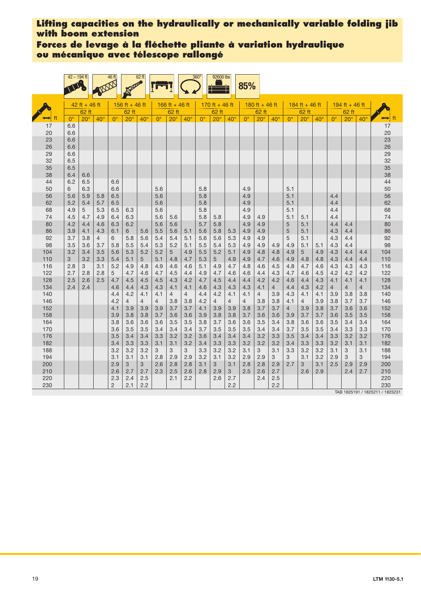**Forces de levage à la fléchette pliante à variation hydraulique ou mécanique avec télescope rallongé**

|            | $42 - 194$ ft |                 |                | 46 ft          |                | 62 ft          |                |                |                | 360°        | 92600 lbs      |              | 85%            |                |                       |                |                |            |             |                |                       |                                        |
|------------|---------------|-----------------|----------------|----------------|----------------|----------------|----------------|----------------|----------------|-------------|----------------|--------------|----------------|----------------|-----------------------|----------------|----------------|------------|-------------|----------------|-----------------------|----------------------------------------|
|            |               | $42$ ft + 46 ft |                |                | 156 ft + 46 ft |                |                | 166 ft + 46 ft |                |             | 170 ft + 46 ft |              |                | 180 ft + 46 ft |                       |                | 184 ft + 46 ft |            |             | 194 ft + 46 ft |                       |                                        |
|            |               | 62 ft           |                |                | 62 ft          |                |                | 62 ft          |                |             | 62 ft          |              |                | 62 ft          |                       |                | 62 ft          |            |             | 62 ft          |                       |                                        |
|            | $0^{\circ}$   | $20^\circ$      | $40^{\circ}$   | $0^{\circ}$    | $20^\circ$     | $40^{\circ}$   | $0^{\circ}$    | $20^\circ$     | $40^{\circ}$   | $0^{\circ}$ | $20^\circ$     | $40^{\circ}$ | $0^{\circ}$    | $20^\circ$     | $40^{\circ}$          | $0^{\circ}$    | $20^{\circ}$   | $40^\circ$ | $0^{\circ}$ | $20^{\circ}$   | $40^{\circ}$          | ft                                     |
| 17         | 6.6           |                 |                |                |                |                |                |                |                |             |                |              |                |                |                       |                |                |            |             |                |                       | 17                                     |
| 20         | 6.6           |                 |                |                |                |                |                |                |                |             |                |              |                |                |                       |                |                |            |             |                |                       | 20                                     |
| 23<br>26   | 6.6<br>6.6    |                 |                |                |                |                |                |                |                |             |                |              |                |                |                       |                |                |            |             |                |                       | 23<br>26                               |
| 29         | 6.6           |                 |                |                |                |                |                |                |                |             |                |              |                |                |                       |                |                |            |             |                |                       | 29                                     |
| 32         | 6.5           |                 |                |                |                |                |                |                |                |             |                |              |                |                |                       |                |                |            |             |                |                       | 32                                     |
| 35         | 6.5           |                 |                |                |                |                |                |                |                |             |                |              |                |                |                       |                |                |            |             |                |                       | 35                                     |
| 38         | 6.4           | 6.6             |                |                |                |                |                |                |                |             |                |              |                |                |                       |                |                |            |             |                |                       | 38                                     |
| 44         | 6.2           | 6.5             |                | 6.6            |                |                |                |                |                |             |                |              |                |                |                       |                |                |            |             |                |                       | 44                                     |
| 50         | 6             | 6.3             |                | 6.6            |                |                | 5.6            |                |                | 5.8         |                |              | 4.9            |                |                       | 5.1            |                |            |             |                |                       | 50                                     |
| 56         | 5.6           | 5.9             | 5.8            | 6.5            |                |                | 5.6            |                |                | 5.8         |                |              | 4.9            |                |                       | 5.1            |                |            | 4.4         |                |                       | 56                                     |
| 62         | 5.2           | 5.4             | 5.7            | 6.5            |                |                | 5.6            |                |                | 5.8         |                |              | 4.9            |                |                       | 5.1            |                |            | 4.4         |                |                       | 62                                     |
| 68         | 4.9           | 5               | 5.3            | 6.5            | 6.3            |                | 5.6            |                |                | 5.8         |                |              | 4.9            |                |                       | 5.1            |                |            | 4.4         |                |                       | 68                                     |
| 74         | 4.5           | 4.7             | 4.9            | 6.4            | 6.3            |                | 5.6            | 5.6            |                | 5.8         | 5.8            |              | 4.9            | 4.9            |                       | 5.1            | 5.1            |            | 4.4         |                |                       | 74                                     |
| 80         | 4.2           | 4.4             | 4.6            | 6.3            | 6.2            |                | 5.6            | 5.6            |                | 5.7         | 5.8            |              | 4.9            | 4.9            |                       | 5              | 5.1            |            | 4.4         | 4.4            |                       | 80                                     |
| 86         | 3.9           | 4.1             | 4.3            | 6.1            | 6              | 5.6            | 5.5            | 5.6            | 5.1            | 5.6         | 5.8            | 5.3          | 4.9            | 4.9            |                       | $\sqrt{5}$     | 5.1            |            | 4.3         | 4.4            |                       | 86                                     |
| 92         | 3.7           | 3.8             | $\overline{4}$ | 6              | 5.8            | 5.6            | 5.4            | 5.4            | 5.1            | 5.6         | 5.6            | 5.3          | 4.9            | 4.9            |                       | 5              | 5.1            |            | 4.3         | 4.4            |                       | 92                                     |
| 98         | 3.5           | 3.6             | 3.7            | 5.8            | 5.5            | 5.4            | 5.3            | 5.2            | 5.1            | 5.5         | 5.4            | 5.3          | 4.9            | 4.9            | 4.9                   | 4.9            | 5.1            | 5.1        | 4.3         | 4.4            |                       | 98                                     |
| 104        | 3.2           | 3.4             | 3.5            | 5.6            | 5.3            | 5.2            | 5.2            | 5              | 4.9            | 5.5         | 5.2            | 5.1          | 4.9            | 4.8            | 4.8                   | 4.9            | 5              | 4.9        | 4.3         | 4.4            | 4.4                   | 104                                    |
| 110        | 3             | 3.2             | 3.3            | 5.4            | 5.1            | 5              | 5.1            | 4.8            | 4.7            | 5.3         | 5              | 4.9          | 4.9            | 4.7            | 4.6                   | 4.9            | 4.8            | 4.8        | 4.3         | 4.4            | 4.4                   | 110                                    |
| 116        | 2.8           | 3               | 3.1            | 5.2            | 4.9            | 4.8            | 4.9            | 4.6            | 4.6            | 5.1         | 4.9            | 4.7          | 4.8            | 4.6            | 4.5                   | 4.8            | 4.7            | 4.6        | 4.3         | 4.3            | 4.3                   | 116                                    |
| 122<br>128 | 2.7           | 2.8             | 2.8            | 5              | 4.7            | 4.6            | 4.7            | 4.5            | 4.4            | 4.9         | 4.7            | 4.6          | 4.6            | 4.4            | 4.3                   | 4.7            | 4.6            | 4.5        | 4.2         | 4.2            | 4.2                   | 122<br>128                             |
| 134        | 2.5<br>2.4    | 2.6<br>2.4      | 2.5            | 4.7<br>4.6     | 4.5<br>4.4     | 4.5<br>4.3     | 4.5<br>4.3     | 4.3<br>4.1     | 4.2<br>4.1     | 4.7<br>4.6  | 4.5<br>4.3     | 4.4<br>4.3   | 4.4<br>4.3     | 4.2<br>4.1     | 4.2<br>$\overline{4}$ | 4.6<br>4.4     | 4.4<br>4.3     | 4.3<br>4.2 | 4.1<br>4    | 4.1<br>4       | 4.1<br>$\overline{4}$ | 134                                    |
| 140        |               |                 |                | 4.4            | 4.2            | 4.1            | 4.1            | $\overline{4}$ | $\overline{4}$ | 4.4         | 4.2            | 4.1          | 4.1            | $\overline{4}$ | 3.9                   | 4.3            | 4.1            | 4.1        | 3.9         | 3.8            | 3.8                   | 140                                    |
| 146        |               |                 |                | 4.2            | $\overline{4}$ | $\overline{4}$ | $\overline{4}$ | 3.8            | 3.8            | 4.2         | $\overline{4}$ | 4            | $\overline{4}$ | 3.8            | 3.8                   | 4.1            | 4              | 3.9        | 3.8         | 3.7            | 3.7                   | 146                                    |
| 152        |               |                 |                | 4.1            | 3.9            | 3.9            | 3.9            | 3.7            | 3.7            | 4.1         | 3.9            | 3.9          | 3.8            | 3.7            | 3.7                   | $\overline{4}$ | 3.9            | 3.8        | 3.7         | 3.6            | 3.6                   | 152                                    |
| 158        |               |                 |                | 3.9            | 3.8            | 3.8            | 3.7            | 3.6            | 3.6            | 3.9         | 3.8            | 3.8          | 3.7            | 3.6            | 3.6                   | 3.9            | 3.7            | 3.7        | 3.6         | 3.5            | 3.5                   | 158                                    |
| 164        |               |                 |                | 3.8            | 3.6            | 3.6            | 3.6            | 3.5            | 3.5            | 3.8         | 3.7            | 3.6          | 3.6            | 3.5            | 3.4                   | 3.8            | 3.6            | 3.6        | 3.5         | 3.4            | 3.4                   | 164                                    |
| 170        |               |                 |                | 3.6            | 3.5            | 3.5            | 3.4            | 3.4            | 3.4            | 3.7         | 3.5            | 3.5          | 3.5            | 3.4            | 3.4                   | 3.7            | 3.5            | 3.5        | 3.4         | 3.3            | 3.3                   | 170                                    |
| 176        |               |                 |                | 3.5            | 3.4            | 3.4            | 3.3            | 3.2            | 3.2            | 3.6         | 3.4            | 3.4          | 3.4            | 3.2            | 3.3                   | 3.5            | 3.4            | 3.4        | 3.3         | 3.2            | 3.2                   | 176                                    |
| 182        |               |                 |                | 3.4            | 3.3            | 3.3            | 3.1            | 3.1            | 3.2            | 3.4         | 3.3            | 3.3          | 3.2            | 3.2            | 3.2                   | 3.4            | 3.3            | 3.3        | 3.2         | 3.1            | 3.1                   | 182                                    |
| 188        |               |                 |                | 3.2            | 3.2            | 3.2            | 3              | 3              | 3              | 3.3         | 3.2            | 3.2          | 3.1            | 3              | 3.1                   | 3.3            | 3.2            | 3.2        | 3.1         | 3              | 3.1                   | 188                                    |
| 194        |               |                 |                | 3.1            | 3.1            | 3.1            | 2.8            | 2.9            | 2.9            | 3.2         | 3.1            | 3.2          | 2.9            | 2.9            | 3                     | 3              | 3.1            | 3.2        | 2.9         | 3              | 3                     | 194                                    |
| 200        |               |                 |                | 2.9            | 3              | 3              | 2.6            | 2.8            | 2.8            | 3.1         | 3              | 3.1          | 2.8            | 2.8            | 2.9                   | 2.7            | 3              | 3.1        | 2.5         | 2.9            | 2.9                   | 200                                    |
| 210        |               |                 |                | 2.6            | 2.7            | 2.7            | 2.3            | 2.5            | 2.6            | 2.8         | 2.9            | 3            | 2.5            | 2.6            | 2.7                   |                | 2.6            | 2.9        |             | 2.4            | 2.7                   | 210                                    |
| 220        |               |                 |                | 2.3            | 2.4            | 2.5            |                | 2.1            | 2.2            |             | 2.6            | 2.7          |                | 2.4            | 2.5                   |                |                |            |             |                |                       | 220                                    |
| 230        |               |                 |                | $\overline{2}$ | 2.1            | 2.2            |                |                |                |             |                | 2.2          |                |                | 2.2                   |                |                |            |             |                |                       | 230<br>TAB 1825191 / 1825211 / 1825231 |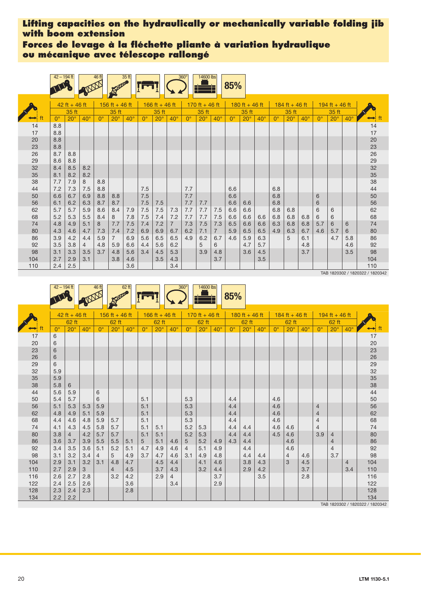**Forces de levage à la fléchette pliante à variation hydraulique ou mécanique avec télescope rallongé**

|     | $42 - 194$ ft |                 |            | 46 ft       |                | 35ft       |             |                |                | $360^\circ$      | 14600 lbs      |                | 85%         |                |            |             |                |              |             |                |              |          |
|-----|---------------|-----------------|------------|-------------|----------------|------------|-------------|----------------|----------------|------------------|----------------|----------------|-------------|----------------|------------|-------------|----------------|--------------|-------------|----------------|--------------|----------|
|     |               | $42$ ft + 46 ft |            |             | 156 ft + 46 ft |            |             | 166 ft + 46 ft |                |                  | 170 ft + 46 ft |                |             | 180 ft + 46 ft |            |             | 184 ft + 46 ft |              |             | 194 ft + 46 ft |              |          |
|     |               | 35 ft           |            |             | 35 ft          |            |             | 35 ft          |                |                  | 35 ft          |                |             | 35 ft          |            |             | 35 ft          |              |             | 35 ft          |              |          |
|     | $0^{\circ}$   | $20^\circ$      | $40^\circ$ | $0^{\circ}$ | $20^{\circ}$   | $40^\circ$ | $0^{\circ}$ | $20^\circ$     | $40^\circ$     | $\Omega^{\circ}$ | $20^\circ$     | $40^\circ$     | $0^{\circ}$ | $20^\circ$     | $40^\circ$ | $0^{\circ}$ | $20^\circ$     | $40^{\circ}$ | $0^{\circ}$ | $20^{\circ}$   | $40^{\circ}$ |          |
| 14  | 8.8           |                 |            |             |                |            |             |                |                |                  |                |                |             |                |            |             |                |              |             |                |              | 14       |
| 17  | 8.8           |                 |            |             |                |            |             |                |                |                  |                |                |             |                |            |             |                |              |             |                |              | 17       |
| 20  | 8.8           |                 |            |             |                |            |             |                |                |                  |                |                |             |                |            |             |                |              |             |                |              | 20       |
| 23  | 8.8           |                 |            |             |                |            |             |                |                |                  |                |                |             |                |            |             |                |              |             |                |              | 23       |
| 26  | 8.7           | 8.8             |            |             |                |            |             |                |                |                  |                |                |             |                |            |             |                |              |             |                |              | 26<br>29 |
| 29  | 8.6           | 8.8             |            |             |                |            |             |                |                |                  |                |                |             |                |            |             |                |              |             |                |              |          |
| 32  | 8.4           | 8.5             | 8.2        |             |                |            |             |                |                |                  |                |                |             |                |            |             |                |              |             |                |              | 32<br>35 |
| 35  | 8.1           | 8.2             | 8.2        |             |                |            |             |                |                |                  |                |                |             |                |            |             |                |              |             |                |              |          |
| 38  | 7.7           | 7.9             | 8          | 8.8         |                |            |             |                |                |                  |                |                |             |                |            |             |                |              |             |                |              | 38       |
| 44  | 7.2           | 7.3             | 7.5        | 8.8         |                |            | 7.5         |                |                | 7.7              |                |                | 6.6         |                |            | 6.8         |                |              |             |                |              | 44       |
| 50  | 6.6           | 6.7             | 6.9        | 8.8         | 8.8            |            | 7.5         |                |                | 7.7              |                |                | 6.6         |                |            | 6.8         |                |              | 6           |                |              | 50       |
| 56  | 6.1           | 6.2             | 6.3        | 8.7         | 8.7            |            | 7.5         | 7.5            |                | 7.7              | 7.7            |                | 6.6         | 6.6            |            | 6.8         |                |              | 6           |                |              | 56       |
| 62  | 5.7           | 5.7             | 5.9        | 8.6         | 8.4            | 7.9        | $7.5\,$     | 7.5            | 7.3            | 7.7              | 7.7            | 7.5            | 6.6         | 6.6            |            | 6.8         | 6.8            |              | 6           | 6              |              | 62       |
| 68  | 5.2           | 5.3             | 5.5        | 8.4         | 8              | 7.8        | 7.5         | 7.4            | 7.2            | 7.7              | 7.7            | 7.5            | 6.6         | 6.6            | 6.6        | 6.8         | 6.8            | 6.8          | 6           | 6              |              | 68       |
| 74  | 4.8           | 4.9             | 5.1        | 8           | 7.7            | 7.5        | 7.4         | 7.2            | $\overline{7}$ | 7.3              | 7.5            | 7.3            | 6.5         | 6.6            | 6.6        | 6.3         | 6.8            | 6.8          | 5.7         | 6              | 6            | 74       |
| 80  | 4.3           | 4.6             | 4.7        | 7.3         | 7.4            | 7.2        | 6.9         | 6.9            | 6.7            | 6.2              | 7.1            | $\overline{7}$ | 5.9         | 6.5            | 6.5        | 4.9         | 6.3            | 6.7          | 4.6         | 5.7            | 6            | 80       |
| 86  | 3.9           | 4.2             | 4.4        | 5.9         | $\overline{7}$ | 6.9        | 5.6         | 6.5            | 6.5            | 4.9              | 6.2            | 6.7            | 4.6         | 5.9            | 6.3        |             | 5              | 6.1          |             | 4.7            | 5.8          | 86       |
| 92  | 3.5           | 3.8             | 4          | 4.8         | 5.9            | 6.6        | 4.4         | 5.6            | 6.2            |                  | 5              | 6              |             | 4.7            | 5.7        |             |                | 4.8          |             |                | 4.6          | 92       |
| 98  | 3.1           | 3.3             | 3.5        | 3.7         | 4.8            | 5.6        | 3.4         | 4.5            | 5.3            |                  | 3.9            | 4.8            |             | 3.6            | 4.5        |             |                | 3.7          |             |                | 3.5          | 98       |
| 104 | 2.7           | 2.9             | 3.1        |             | 3.8            | 4.6        |             | 3.5            | 4.3            |                  |                | 3.7            |             |                | 3.5        |             |                |              |             |                |              | 104      |
| 110 | 2.4           | 2.5             |            |             |                | 3.6        |             |                | 3.4            |                  |                |                |             |                |            |             |                |              |             |                |              | 110      |

TAB 1820302 / 1820322 / 1820342



|               |             | $42$ ft + 46 ft |              |             | 156 ft + 46 ft |              |                      | 166 ft + 46 ft |            |                | 170 ft + 46 ft |              |             | 180 ft + 46 ft |              |             | 184 ft + 46 ft |              |                | 194 ft + 46 ft |                |                                 |
|---------------|-------------|-----------------|--------------|-------------|----------------|--------------|----------------------|----------------|------------|----------------|----------------|--------------|-------------|----------------|--------------|-------------|----------------|--------------|----------------|----------------|----------------|---------------------------------|
|               |             | 62 ft           |              |             | 62 ft          |              |                      | 62 ft          |            |                | 62 ft          |              |             | 62 ft          |              |             | 62 ft          |              |                | 62 ft          |                |                                 |
| $\rightarrow$ | $0^{\circ}$ | $20^\circ$      | $40^{\circ}$ | $0^{\circ}$ | $20^\circ$     | $40^{\circ}$ | $\mathbf{0}^{\circ}$ | $20^\circ$     | $40^\circ$ | $0^{\circ}$    | $20^\circ$     | $40^{\circ}$ | $0^{\circ}$ | $20^\circ$     | $40^{\circ}$ | $0^{\circ}$ | $20^\circ$     | $40^{\circ}$ | $0^{\circ}$    | $20^{\circ}$   | $40^{\circ}$   |                                 |
| 17            | 6           |                 |              |             |                |              |                      |                |            |                |                |              |             |                |              |             |                |              |                |                |                | 17                              |
| 20            | 6           |                 |              |             |                |              |                      |                |            |                |                |              |             |                |              |             |                |              |                |                |                | 20                              |
| 23            | 6           |                 |              |             |                |              |                      |                |            |                |                |              |             |                |              |             |                |              |                |                |                | 23                              |
| 26            | 6           |                 |              |             |                |              |                      |                |            |                |                |              |             |                |              |             |                |              |                |                |                | 26                              |
| 29            | 6           |                 |              |             |                |              |                      |                |            |                |                |              |             |                |              |             |                |              |                |                |                | 29                              |
| 32            | 5.9         |                 |              |             |                |              |                      |                |            |                |                |              |             |                |              |             |                |              |                |                |                | 32                              |
| 35            | 5.9         |                 |              |             |                |              |                      |                |            |                |                |              |             |                |              |             |                |              |                |                |                | 35                              |
| 38            | 5.8         | 6               |              |             |                |              |                      |                |            |                |                |              |             |                |              |             |                |              |                |                |                | 38                              |
| 44            | 5.6         | 5.9             |              | 6           |                |              |                      |                |            |                |                |              |             |                |              |             |                |              |                |                |                | 44                              |
| 50            | 5.4         | 5.7             |              | 6           |                |              | 5.1                  |                |            | 5.3            |                |              | 4.4         |                |              | 4.6         |                |              |                |                |                | 50                              |
| 56            | 5.1         | 5.3             | 5.3          | 5.9         |                |              | 5.1                  |                |            | 5.3            |                |              | 4.4         |                |              | 4.6         |                |              | $\overline{4}$ |                |                | 56                              |
| 62            | 4.8         | 4.9             | 5.1          | 5.9         |                |              | 5.1                  |                |            | 5.3            |                |              | 4.4         |                |              | 4.6         |                |              | $\overline{4}$ |                |                | 62                              |
| 68            | 4.4         | 4.6             | 4.8          | 5.9         | 5.7            |              | 5.1                  |                |            | 5.3            |                |              | 4.4         |                |              | 4.6         |                |              | $\overline{4}$ |                |                | 68                              |
| 74            | 4.1         | 4.3             | 4.5          | 5.8         | 5.7            |              | 5.1                  | 5.1            |            | 5.2            | 5.3            |              | 4.4         | 4.4            |              | 4.6         | 4.6            |              | $\overline{4}$ |                |                | 74                              |
| 80            | 3.8         | $\overline{4}$  | 4.2          | 5.7         | 5.7            |              | 5.1                  | 5.1            |            | 5.2            | 5.3            |              | 4.4         | 4.4            |              | 4.5         | 4.6            |              | 3.9            | $\overline{4}$ |                | 80                              |
| 86            | 3.6         | 3.7             | 3.9          | 5.5         | 5.5            | 5.1          | 5                    | 5.1            | 4.6        | 5              | 5.2            | 4.9          | 4.3         | 4.4            |              |             | 4.6            |              |                | $\overline{4}$ |                | 86                              |
| 92            | 3.4         | 3.5             | 3.6          | 5.1         | 5.2            | 5.1          | 4.7                  | 4.9            | 4.6        | $\overline{4}$ | 5.1            | 4.9          |             | 4.4            |              |             | 4.6            |              |                | $\overline{4}$ |                | 92                              |
| 98            | 3.1         | 3.2             | 3.4          | 4           | 5              | 4.9          | 3.7                  | 4.7            | 4.6        | 3.1            | 4.9            | 4.8          |             | 4.4            | 4.4          |             | 4              | 4.6          |                | 3.7            |                | 98                              |
| 104           | 2.9         | 3.1             | 3.2          | 3.1         | 4.8            | 4.7          |                      | 4.5            | 4.4        |                | 4.1            | 4.6          |             | 3.8            | 4.3          |             | 3              | 4.5          |                |                | $\overline{4}$ | 104                             |
| 110           | 2.7         | 2.9             | 3            |             | $\overline{4}$ | 4.5          |                      | 3.7            | 4.3        |                | 3.2            | 4.4          |             | 2.9            | 4.2          |             |                | 3.7          |                |                | 3.4            | 110                             |
| 116           | 2.6         | 2.7             | 2.8          |             | 3.2            | 4.2          |                      | 2.9            | 4          |                |                | 3.7          |             |                | 3.5          |             |                | 2.8          |                |                |                | 116                             |
| 122           | 2.4         | 2.5             | 2.6          |             |                | 3.6          |                      |                | 3.4        |                |                | 2.9          |             |                |              |             |                |              |                |                |                | 122                             |
| 128           | 2.3         | 2.4             | 2.3          |             |                | 2.8          |                      |                |            |                |                |              |             |                |              |             |                |              |                |                |                | 128                             |
| 134           | 2.2         | 2.2             |              |             |                |              |                      |                |            |                |                |              |             |                |              |             |                |              |                |                |                | 134                             |
|               |             |                 |              |             |                |              |                      |                |            |                |                |              |             |                |              |             |                |              |                |                |                | TAB 1820302 / 1820322 / 1820342 |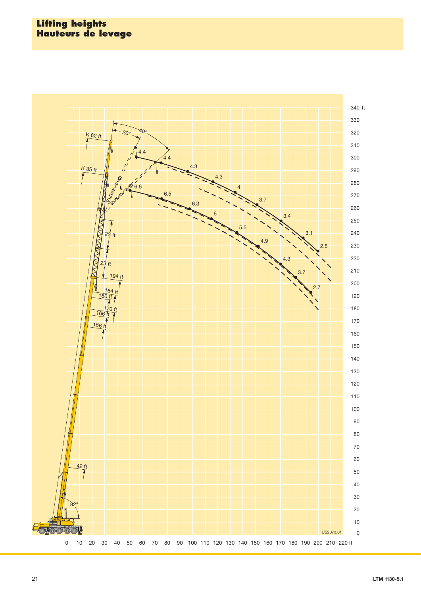#### **Lifting heights Hauteurs de levage**

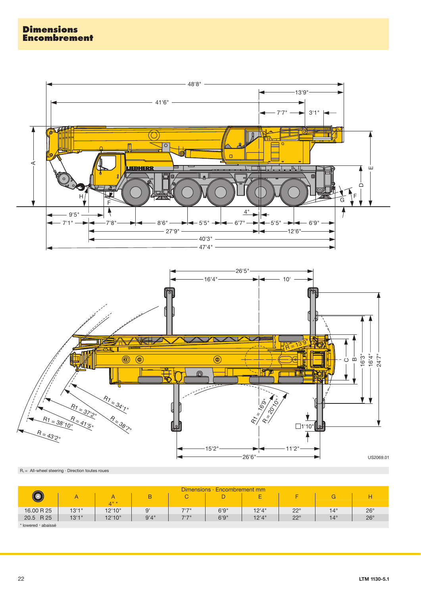



 $R_1 =$  All-wheel steering  $\cdot$  Direction toutes roues

|                     |        |        |      |       | Dimensions · Encombrement mm |        |              |              |              |
|---------------------|--------|--------|------|-------|------------------------------|--------|--------------|--------------|--------------|
| $\circledcirc$      |        |        | B    | C.    | ┕                            | -<br>- |              | G            |              |
|                     |        | $4"$ * |      |       |                              |        |              |              |              |
| 16.00 R 25          | 13'1'' | 12'10" | 9'   | 7'7'' | 6'9''                        | 12'4'' | $22^{\circ}$ | $14^{\circ}$ | $26^{\circ}$ |
| 20.5 R 25           | 13'1'' | 12'10" | 9'4" | 7'7'' | 6'9''                        | 12'4"  | $22^{\circ}$ | $14^\circ$   | $26^{\circ}$ |
| * lowered · abaissé |        |        |      |       |                              |        |              |              |              |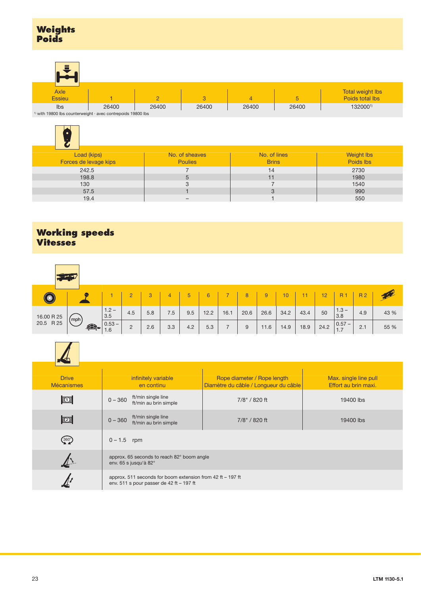| Ξ                                                                             |       |       |       |       |       |                         |
|-------------------------------------------------------------------------------|-------|-------|-------|-------|-------|-------------------------|
| Axle                                                                          |       |       |       |       |       | <b>Total weight lbs</b> |
| <b>Essieu</b>                                                                 |       |       | 3     | 4     | ь     | Poids total lbs         |
| Ibs                                                                           | 26400 | 26400 | 26400 | 26400 | 26400 | 1320001)                |
| <sup>1)</sup> with 19800 lbs counterweight $\cdot$ avec contrepoids 19800 lbs |       |       |       |       |       |                         |

|  | $\rightarrow$ with 19800 lbs counterweight $\cdot$ avec contrepoids 19800 lbs |  |
|--|-------------------------------------------------------------------------------|--|
|  |                                                                               |  |

| Load (kips)<br>Forces de levage kips | No. of sheaves<br><b>Poulies</b> | No. of lines<br><b>Brins</b> | <b>Weight lbs</b><br>Poids lbs |
|--------------------------------------|----------------------------------|------------------------------|--------------------------------|
| 242.5                                |                                  | 14                           | 2730                           |
| 198.8                                | 5                                | 11                           | 1980                           |
| 130                                  | З                                |                              | 1540                           |
| 57.5                                 |                                  | 3                            | 990                            |
| 19.4                                 | $\overline{\phantom{0}}$         |                              | 550                            |

## **Working speeds Vitesses**

| $(\circledast$          |              |                 |     | 3   |     | 5   | 6    |      | 8    | 9    | 10   |      | 12 <sub>1</sub> | <b>R1</b>                                  | <b>R2</b> |      |
|-------------------------|--------------|-----------------|-----|-----|-----|-----|------|------|------|------|------|------|-----------------|--------------------------------------------|-----------|------|
|                         | (mph)        | $1.2 -$<br>3.5  | 4.5 | 5.8 | 7.5 | 9.5 | 12.2 | 16.1 | 20.6 | 26.6 | 34.2 | 43.4 | 50              | $1.3 -$<br>3.8                             | 4.9       | 43 % |
| 16.00 R 25<br>20.5 R 25 | $\mathbf{E}$ | $0.53 -$<br>1.6 | ے   | 2.6 | 3.3 | 4.2 | 5.3  |      | 9    | 11.6 | 14.9 | 18.9 | 24.2            | $\begin{vmatrix} 0.57 - 1.7 \end{vmatrix}$ | 2.1       | 55 % |



| <b>Drive</b><br><b>Mécanismes</b>                          | infinitely variable<br>en continu                                                                          | Rope diameter / Rope length<br>Diamètre du câble / Longueur du câble | Max. single line pull<br>Effort au brin maxi. |
|------------------------------------------------------------|------------------------------------------------------------------------------------------------------------|----------------------------------------------------------------------|-----------------------------------------------|
| $\mathbb{E}$                                               | ft/min single line<br>$0 - 360$<br>ft/min au brin simple                                                   | 7/8" / 820 ft                                                        | 19400 lbs                                     |
| $\mathbb{R}$                                               | ft/min single line<br>$0 - 360$<br>ft/min au brin simple                                                   | 7/8" / 820 ft                                                        | 19400 lbs                                     |
| $\left( \begin{smallmatrix} 360 \end{smallmatrix} \right)$ | $0 - 1.5$ rpm                                                                                              |                                                                      |                                               |
|                                                            | approx. 65 seconds to reach 82° boom angle<br>env. 65 s jusqu'à 82°                                        |                                                                      |                                               |
|                                                            | approx. 511 seconds for boom extension from 42 ft $-$ 197 ft<br>env. 511 s pour passer de 42 ft $-$ 197 ft |                                                                      |                                               |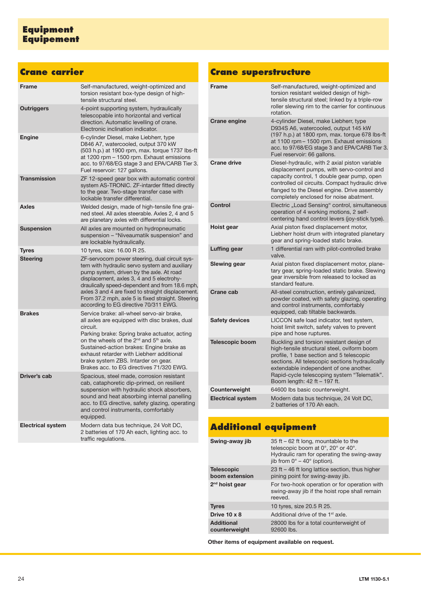## **Crane carrier**

| <b>Frame</b>             | Self-manufactured, weight-optimized and<br>torsion resistant box-type design of high-<br>tensile structural steel.                                                                                                                                                                                                                                                                                   |
|--------------------------|------------------------------------------------------------------------------------------------------------------------------------------------------------------------------------------------------------------------------------------------------------------------------------------------------------------------------------------------------------------------------------------------------|
| <b>Outriggers</b>        | 4-point supporting system, hydraulically<br>telescopable into horizontal and vertical<br>direction. Automatic levelling of crane.<br>Electronic inclination indicator.                                                                                                                                                                                                                               |
| <b>Engine</b>            | 6-cylinder Diesel, make Liebherr, type<br>D846 A7, watercooled, output 370 kW<br>(503 h.p.) at 1900 rpm, max. torque 1737 lbs-ft<br>at 1200 rpm - 1500 rpm. Exhaust emissions<br>acc. to 97/68/EG stage 3 and EPA/CARB Tier 3.<br>Fuel reservoir: 127 gallons.                                                                                                                                       |
| <b>Transmission</b>      | ZF 12-speed gear box with automatic control<br>system AS-TRONIC. ZF-intarder fitted directly<br>to the gear. Two-stage transfer case with<br>lockable transfer differential.                                                                                                                                                                                                                         |
| <b>Axles</b>             | Welded design, made of high-tensile fine grai-<br>ned steel. All axles steerable. Axles 2, 4 and 5<br>are planetary axles with differential locks.                                                                                                                                                                                                                                                   |
| <b>Suspension</b>        | All axles are mounted on hydropneumatic<br>suspension - "Niveaumatik suspension" and<br>are lockable hydraulically.                                                                                                                                                                                                                                                                                  |
| <b>Tyres</b>             | 10 tyres, size: 16.00 R 25.                                                                                                                                                                                                                                                                                                                                                                          |
| <b>Steering</b>          | ZF-servocom power steering, dual circuit sys-<br>tem with hydraulic servo system and auxiliary<br>pump system, driven by the axle. At road<br>displacement, axles 3, 4 and 5 electrohy-<br>draulically speed-dependent and from 18.6 mph,<br>axles 3 and 4 are fixed to straight displacement.<br>From 37.2 mph, axle 5 is fixed straight. Steering<br>according to EG directive 70/311 EWG.         |
| <b>Brakes</b>            | Service brake: all-wheel servo-air brake,<br>all axles are equipped with disc brakes, dual<br>circuit.<br>Parking brake: Spring brake actuator, acting<br>on the wheels of the 2 <sup>nd</sup> and 5 <sup>th</sup> axle.<br>Sustained-action brakes: Engine brake as<br>exhaust retarder with Liebherr additional<br>brake system ZBS. Intarder on gear.<br>Brakes acc. to EG directives 71/320 EWG. |
| Driver's cab             | Spacious, steel made, corrosion resistant<br>cab, cataphoretic dip-primed, on resilient<br>suspension with hydraulic shock absorbers,<br>sound and heat absorbing internal panelling<br>acc. to EG directive, safety glazing, operating<br>and control instruments, comfortably<br>equipped.                                                                                                         |
| <b>Electrical system</b> | Modern data bus technique, 24 Volt DC,<br>2 batteries of 170 Ah each, lighting acc. to<br>traffic regulations.                                                                                                                                                                                                                                                                                       |

## **Crane superstructure**

| <b>Frame</b>             | Self-manufactured, weight-optimized and<br>torsion resistant welded design of high-<br>tensile structural steel; linked by a triple-row<br>roller slewing rim to the carrier for continuous<br>rotation.                                                                                                        |
|--------------------------|-----------------------------------------------------------------------------------------------------------------------------------------------------------------------------------------------------------------------------------------------------------------------------------------------------------------|
| <b>Crane engine</b>      | 4-cylinder Diesel, make Liebherr, type<br>D934S A6, watercooled, output 145 kW<br>(197 h.p.) at 1800 rpm, max. torque 678 lbs-ft<br>at 1100 rpm - 1500 rpm. Exhaust emissions<br>acc. to 97/68/EG stage 3 and EPA/CARB Tier 3.<br>Fuel reservoir: 66 gallons.                                                   |
| <b>Crane drive</b>       | Diesel-hydraulic, with 2 axial piston variable<br>displacement pumps, with servo-control and<br>capacity control, 1 double gear pump, open<br>controlled oil circuits. Compact hydraulic drive<br>flanged to the Diesel engine. Drive assembly<br>completely enclosed for noise abatment.                       |
| Control                  | Electric "Load Sensing" control, simultaneous<br>operation of 4 working motions, 2 self-<br>centering hand control levers (joy-stick type).                                                                                                                                                                     |
| Hoist gear               | Axial piston fixed displacement motor,<br>Liebherr hoist drum with integrated planetary<br>gear and spring-loaded static brake.                                                                                                                                                                                 |
| Luffing gear             | 1 differential ram with pilot-controlled brake<br>valve.                                                                                                                                                                                                                                                        |
| Slewing gear             | Axial piston fixed displacement motor, plane-<br>tary gear, spring-loaded static brake. Slewing<br>gear inversible from released to locked as<br>standard feature.                                                                                                                                              |
| Crane cab                | All-steel construction, entirely galvanized,<br>powder coated, with safety glazing, operating<br>and control instruments, comfortably<br>equipped, cab tiltable backwards.                                                                                                                                      |
| <b>Safety devices</b>    | LICCON safe load indicator, test system,<br>hoist limit switch, safety valves to prevent<br>pipe and hose ruptures.                                                                                                                                                                                             |
| <b>Telescopic boom</b>   | Buckling and torsion resistant design of<br>high-tensile structural steel, oviform boom<br>profile, 1 base section and 5 telescopic<br>sections. All telescopic sections hydraulically<br>extendable independent of one another.<br>Rapid-cycle telescoping system "Telematik".<br>Boom length: 42 ft - 197 ft. |
| Counterweight            | 64600 lbs basic counterweight.                                                                                                                                                                                                                                                                                  |
| <b>Electrical system</b> | Modern data bus technique, 24 Volt DC,<br>2 batteries of 170 Ah each.                                                                                                                                                                                                                                           |

# **Additional equipment**

| Swing-away jib                      | 35 ft – 62 ft long, mountable to the<br>telescopic boom at 0°, 20° or 40°.<br>Hydraulic ram for operating the swing-away<br>jib from $0^\circ - 40^\circ$ (option). |
|-------------------------------------|---------------------------------------------------------------------------------------------------------------------------------------------------------------------|
| <b>Telescopic</b><br>boom extension | 23 ft $-$ 46 ft long lattice section, thus higher<br>pining point for swing-away jib.                                                                               |
| 2 <sup>nd</sup> hoist gear          | For two-hook operation or for operation with<br>swing-away jib if the hoist rope shall remain<br>reeved.                                                            |
| <b>Tyres</b>                        | 10 tyres, size 20.5 R 25.                                                                                                                                           |
| Drive 10 x 8                        | Additional drive of the 1 <sup>st</sup> axle.                                                                                                                       |
| <b>Additional</b><br>counterweight  | 28000 lbs for a total counterweight of<br>92600 lbs.                                                                                                                |
|                                     |                                                                                                                                                                     |

**Other items of equipment available on request.**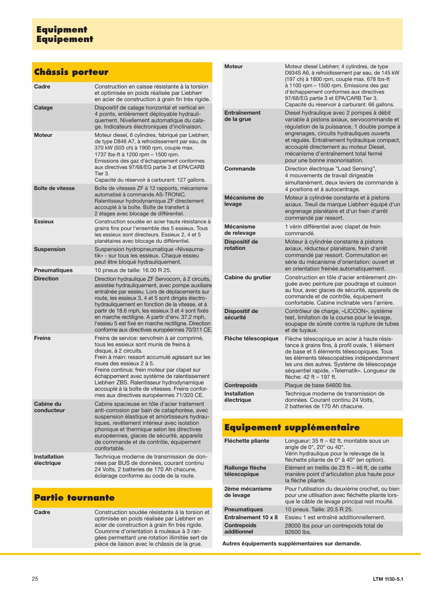## **Equipment Equipement**

#### **Châssis porteur** Cadre Construction en caisse résistante à la torsion et optimisée en poids réalisée par Liebherr en acier de construction à grain fin très rigide. **Calage Dispositif de calage horizontal et vertical en** 4 points, entièrement déployable hydrauliquement. Nivellement automatique du calage. Indicateurs électroniques d'inclinaison. **Moteur** Moteur diesel, 6 cylindres, fabriqué par Liebherr, de type D846 A7, à refroidissement par eau, de 370 kW (503 ch) à 1900 rpm, couple max. 1737 lbs-ft à 1200 rpm – 1500 rpm. Emissions des gaz d'échappement conformes aux directives 97/68/EG partie 3 et EPA/CARB Tier 3. Capacité du réservoir à carburant: 127 gallons. **Boîte de vitesse** Boîte de vitesses ZF à 12 rapports, mécanisme automatisé à commande AS-TRONIC. Ralentisseur hydrodynamique ZF directement accouplé à la boîte. Boîte de transfert à 2 étages avec blocage de différentiel. **Essieux** Construction soudée en acier haute résistance à grains fins pour l'ensemble des 5 essieux. Tous les essieux sont directeurs. Essieux 2, 4 et 5 planétaires avec blocage du différentiel. **Suspension** Suspension hydropneumatique «Niveaumatik» - sur tous les essieux. Chaque essieu peut être bloqué hydrauliquement. **Pneumatiques** 10 pneus de taille: 16.00 R 25. **Direction** Direction hydraulique ZF Servocom, à 2 circuits, assistée hydrauliquement, avec pompe auxiliaire entraînée par essieu. Lors de déplacements sur route, les essieux 3, 4 et 5 sont dirigés électrohydrauliquement en fonction de la vitesse, et à partir de 18.6 mph, les essieux 3 et 4 sont fixés en marche rectiligne. A partir d'env. 37.2 mph, l'essieu 5 est fixé en marche rectiligne. Direction conforme aux directives européennes 70/311 CE. **Freins** Freins de service: servofrein à air comprimé, tous les essieux sont munis de freins à disque, à 2 circuits. Frein à main: ressort accumulé agissant sur les roues des essieux 2 à 5. Freins continus: frein moteur par clapet sur échappement avec système de ralentissement Liebherr ZBS. Ralentisseur hydrodynamique accouplé à la boîte de vitesses. Freins conformes aux directives européennes 71/320 CE. **Cabine du conducteur** Cabine spacieuse en tôle d'acier traitement anti-corrosion par bain de cataphorèse, avec suspension élastique et amortisseurs hydrauliques, revêtement intérieur avec isolation phonique et thermique selon les directives européennes, glaces de sécurité, appareils de commande et de contrôle, équipement confortable.

**Installation électrique** Technique moderne de transmission de données par BUS de données, courant continu 24 Volts, 2 batteries de 170 Ah chacune, éclairage conforme au code de la route.

#### **Partie tournante**

**Cadre** Construction soudée résistante à la torsion et optimisée en poids réalisée par Liebherr en acier de construction à grain fin très rigide. Couronne d'orientation à rouleaux à 3 rangées permettant une rotation illimitée sert de pièce de liaison avec le châssis de la grue.

| <b>Moteur</b>                     | Moteur diesel Liebherr, 4 cylindres, de type<br>D934S A6, à refroidissement par eau, de 145 kW<br>(197 ch) à 1800 rpm, couple max. 678 lbs-ft<br>à 1100 rpm - 1500 rpm. Emissions des gaz<br>d'échappement conformes aux directives<br>97/68/EG partie 3 et EPA/CARB Tier 3.<br>Capacité du réservoir à carburant: 66 gallons.                            |
|-----------------------------------|-----------------------------------------------------------------------------------------------------------------------------------------------------------------------------------------------------------------------------------------------------------------------------------------------------------------------------------------------------------|
| <b>Entraînement</b><br>de la grue | Diesel hydraulique avec 2 pompes à débit<br>variable à pistons axiaux, servocommande et<br>régulation de la puissance, 1 double pompe à<br>engrenages, circuits hydrauliques ouverts<br>et régulés. Entraînement hydraulique compact,<br>accouplé directement au moteur Diesel,<br>mécanisme d'entraînement total fermé<br>pour une bonne insonorisation. |
| Commande                          | Direction électrique "Load Sensing",<br>4 mouvements de travail dirigeable<br>simultanément, deux leviers de commande à<br>4 positions et à autocentrage.                                                                                                                                                                                                 |
| Mécanisme de<br>levage            | Moteur à cylindrée constante et à pistons<br>axiaux. Treuil de marque Liebherr équipé d'un<br>engrenage planétaire et d'un frein d'arrêt<br>commandé par ressort.                                                                                                                                                                                         |
| <b>Mécanisme</b><br>de relevage   | 1 vérin différentiel avec clapet de frein<br>commandé.                                                                                                                                                                                                                                                                                                    |
| Dispositif de<br>rotation         | Moteur à cylindrée constante à pistons<br>axiaux, réducteur planétaire, frein d'arrêt<br>commandé par ressort. Commutation en<br>série du mécanisme d'orientation: ouvert et<br>en orientation freinée automatiquement.                                                                                                                                   |
| Cabine du grutier                 | Construction en tôle d'acier entièrement zin-<br>guée avec peinture par poudrage et cuisson<br>au four, avec glaces de sécurité, appareils de<br>commande et de contrôle, équipement<br>confortable. Cabine inclinable vers l'arrière.                                                                                                                    |
| Dispositif de<br>sécurité         | Contrôleur de charge, «LICCON», système<br>test, limitation de la course pour le levage,<br>soupape de sûreté contre la rupture de tubes<br>et de tuyaux.                                                                                                                                                                                                 |
| Flèche télescopique               | Flèche télescopique en acier à haute résis-<br>tance à grains fins, à profil ovale, 1 élément<br>de base et 5 éléments télescopiques. Tous<br>les éléments télescopables indépendamment<br>les uns des autres. Système de télescopage<br>séquentiel rapide, «Telematik». Longueur de<br>flèche: 42 ft - 197 ft.                                           |
| <b>Contrepoids</b>                | Plaque de base 64600 lbs.                                                                                                                                                                                                                                                                                                                                 |
| <b>Installation</b><br>électrique | Technique moderne de transmission de<br>données. Courant continu 24 Volts,<br>2 batteries de 170 Ah chacune.                                                                                                                                                                                                                                              |

### **Equipement supplémentaire**

| Fléchette pliante                 | Longueur: 35 ft – 62 ft, montable sous un<br>angle de 0°, 20° ou 40°.<br>Vérin hydraulique pour le relevage de la<br>fléchette pliante de $0^\circ$ à 40 $^\circ$ (en option). |
|-----------------------------------|--------------------------------------------------------------------------------------------------------------------------------------------------------------------------------|
| Rallonge flèche<br>télescopique   | Elément en treillis de 23 ft - 46 ft, de cette<br>manière point d'articulation plus haute pour<br>la flèche pliante.                                                           |
| 2ème mécanisme<br>de levage       | Pour l'utilisation du deuxième crochet, ou bien<br>pour une utilisation avec fléchette pliante lors-<br>que le câble de levage principal rest mouflé.                          |
| <b>Pneumatiques</b>               | 10 pneus. Taille: 20.5 R 25.                                                                                                                                                   |
| Entraînement 10 x 8               | Essieu 1 est entraîné additionnellement.                                                                                                                                       |
| <b>Contrepoids</b><br>additionnel | 28000 lbs pour un contrepoids total de<br>92600 lbs.                                                                                                                           |
|                                   |                                                                                                                                                                                |

**Autres équipements supplémentaires sur demande.**